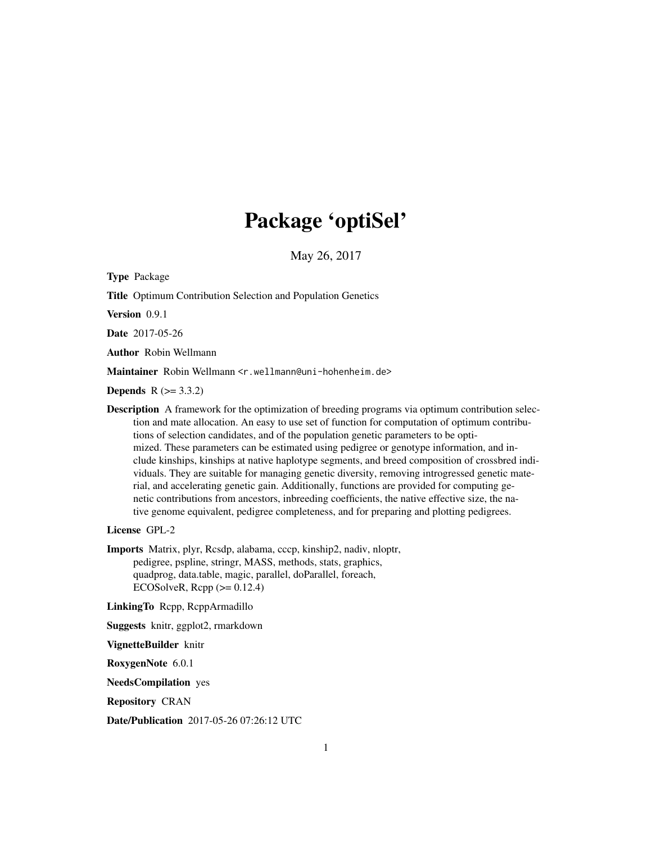# Package 'optiSel'

May 26, 2017

<span id="page-0-0"></span>Type Package

Title Optimum Contribution Selection and Population Genetics

Version 0.9.1

Date 2017-05-26

Author Robin Wellmann

Maintainer Robin Wellmann <r.wellmann@uni-hohenheim.de>

**Depends**  $R (= 3.3.2)$ 

Description A framework for the optimization of breeding programs via optimum contribution selection and mate allocation. An easy to use set of function for computation of optimum contributions of selection candidates, and of the population genetic parameters to be optimized. These parameters can be estimated using pedigree or genotype information, and include kinships, kinships at native haplotype segments, and breed composition of crossbred individuals. They are suitable for managing genetic diversity, removing introgressed genetic material, and accelerating genetic gain. Additionally, functions are provided for computing genetic contributions from ancestors, inbreeding coefficients, the native effective size, the native genome equivalent, pedigree completeness, and for preparing and plotting pedigrees.

License GPL-2

Imports Matrix, plyr, Rcsdp, alabama, cccp, kinship2, nadiv, nloptr, pedigree, pspline, stringr, MASS, methods, stats, graphics, quadprog, data.table, magic, parallel, doParallel, foreach, ECOSolveR,  $\text{Rcpp}$  ( $\geq 0.12.4$ )

LinkingTo Rcpp, RcppArmadillo

Suggests knitr, ggplot2, rmarkdown

VignetteBuilder knitr

RoxygenNote 6.0.1

NeedsCompilation yes

Repository CRAN

Date/Publication 2017-05-26 07:26:12 UTC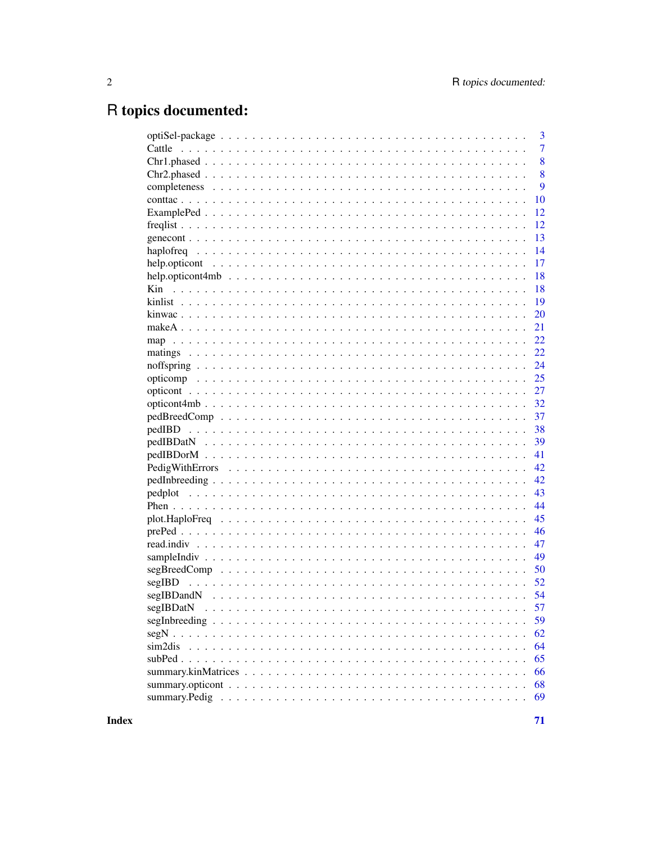# R topics documented:

|        | 3              |
|--------|----------------|
| Cattle | $\overline{7}$ |
|        | 8              |
|        | 8              |
|        | 9              |
|        | 10             |
|        | 12             |
|        | 12             |
|        | 13             |
|        | 14             |
|        | 17             |
|        | 18             |
|        | 18             |
|        | 19             |
|        | 20             |
|        | 21             |
|        | 22             |
|        | 22             |
|        | 24             |
|        | 25             |
|        | 27             |
|        | 32             |
|        | 37             |
|        | 38             |
|        | 39             |
|        | 41             |
|        | 42             |
|        | 42             |
|        | 43             |
|        | 44             |
|        |                |
|        | 45             |
|        | 46             |
|        | 47             |
|        | 49             |
|        | 50             |
| segIBD | 52             |
|        | 54             |
|        | 57             |
|        | 59             |
|        | 62             |
|        | 64             |
|        | 65             |
|        | 66             |
|        | 68             |
|        | 69             |
|        |                |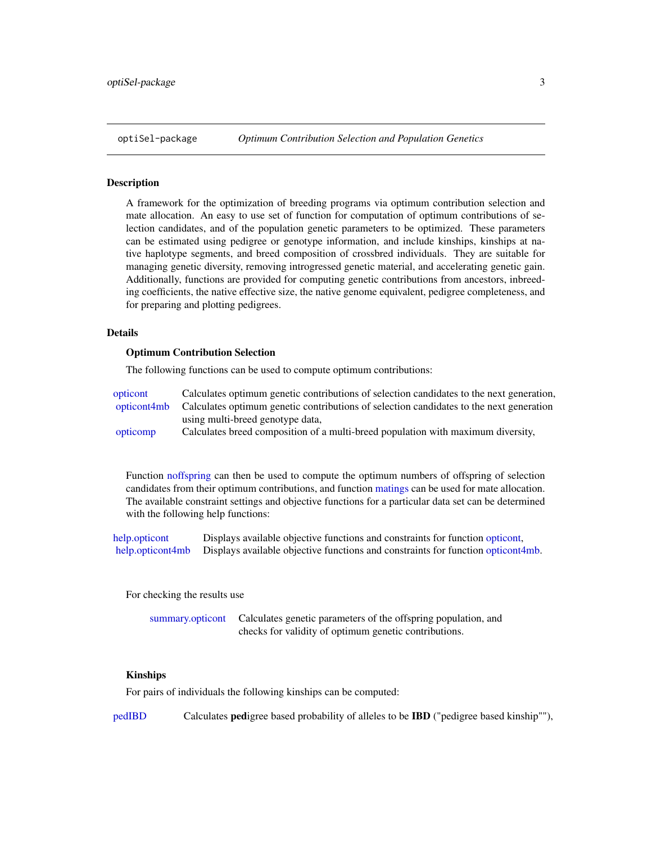<span id="page-2-0"></span>

#### Description

A framework for the optimization of breeding programs via optimum contribution selection and mate allocation. An easy to use set of function for computation of optimum contributions of selection candidates, and of the population genetic parameters to be optimized. These parameters can be estimated using pedigree or genotype information, and include kinships, kinships at native haplotype segments, and breed composition of crossbred individuals. They are suitable for managing genetic diversity, removing introgressed genetic material, and accelerating genetic gain. Additionally, functions are provided for computing genetic contributions from ancestors, inbreeding coefficients, the native effective size, the native genome equivalent, pedigree completeness, and for preparing and plotting pedigrees.

## Details

#### Optimum Contribution Selection

The following functions can be used to compute optimum contributions:

| opticont    | Calculates optimum genetic contributions of selection candidates to the next generation, |
|-------------|------------------------------------------------------------------------------------------|
| opticont4mb | Calculates optimum genetic contributions of selection candidates to the next generation  |
|             | using multi-breed genotype data,                                                         |
| opticomp    | Calculates breed composition of a multi-breed population with maximum diversity,         |

Function [noffspring](#page-23-1) can then be used to compute the optimum numbers of offspring of selection candidates from their optimum contributions, and function [matings](#page-21-1) can be used for mate allocation. The available constraint settings and objective functions for a particular data set can be determined with the following help functions:

[help.opticont](#page-16-1) Displays available objective functions and constraints for function [opticont,](#page-26-1) [help.opticont4mb](#page-17-1) Displays available objective functions and constraints for function [opticont4mb.](#page-31-1)

For checking the results use

[summary.opticont](#page-67-1) Calculates genetic parameters of the offspring population, and checks for validity of optimum genetic contributions.

#### Kinships

For pairs of individuals the following kinships can be computed:

[pedIBD](#page-37-1) Calculates pedigree based probability of alleles to be IBD ("pedigree based kinship""),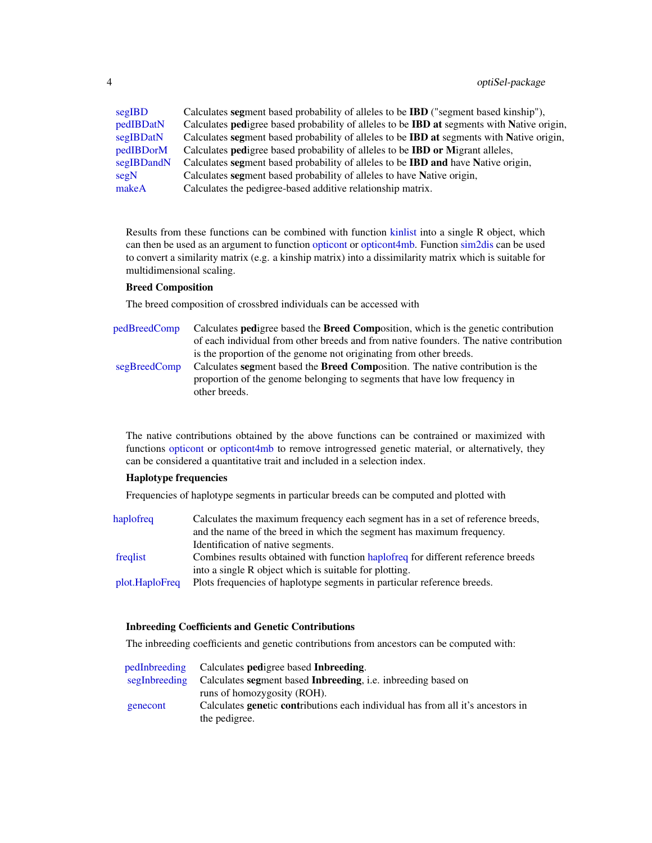<span id="page-3-0"></span>

| segIBD     | Calculates segment based probability of alleles to be <b>IBD</b> ("segment based kinship").       |
|------------|---------------------------------------------------------------------------------------------------|
| pedIBDatN  | Calculates pedigree based probability of alleles to be <b>IBD</b> at segments with Native origin, |
| segIBDatN  | Calculates segment based probability of alleles to be <b>IBD</b> at segments with Native origin,  |
| pedIBDorM  | Calculates <b>pedigree</b> based probability of alleles to be <b>IBD</b> or Migrant alleles,      |
| segIBDandN | Calculates segment based probability of alleles to be <b>IBD</b> and have Native origin,          |
| segN       | Calculates segment based probability of alleles to have Native origin,                            |
| makeA      | Calculates the pedigree-based additive relationship matrix.                                       |

Results from these functions can be combined with function [kinlist](#page-18-1) into a single R object, which can then be used as an argument to function [opticont](#page-26-1) or [opticont4mb.](#page-31-1) Function [sim2dis](#page-63-1) can be used to convert a similarity matrix (e.g. a kinship matrix) into a dissimilarity matrix which is suitable for multidimensional scaling.

## Breed Composition

The breed composition of crossbred individuals can be accessed with

- [pedBreedComp](#page-36-1) Calculates pedigree based the Breed Composition, which is the genetic contribution of each individual from other breeds and from native founders. The native contribution is the proportion of the genome not originating from other breeds. [segBreedComp](#page-49-1) Calculates segment based the Breed Composition. The native contribution is the
	- proportion of the genome belonging to segments that have low frequency in other breeds.

The native contributions obtained by the above functions can be contrained or maximized with functions [opticont](#page-26-1) or [opticont4mb](#page-31-1) to remove introgressed genetic material, or alternatively, they can be considered a quantitative trait and included in a selection index.

## Haplotype frequencies

Frequencies of haplotype segments in particular breeds can be computed and plotted with

| haplofreq      | Calculates the maximum frequency each segment has in a set of reference breeds,  |
|----------------|----------------------------------------------------------------------------------|
|                | and the name of the breed in which the segment has maximum frequency.            |
|                | Identification of native segments.                                               |
| freqlist       | Combines results obtained with function hapoofreq for different reference breeds |
|                | into a single R object which is suitable for plotting.                           |
| plot.HaploFreq | Plots frequencies of haplotype segments in particular reference breeds.          |

## Inbreeding Coefficients and Genetic Contributions

The inbreeding coefficients and genetic contributions from ancestors can be computed with:

|          | pedInbreeding Calculates pedigree based Inbreeding.                                    |
|----------|----------------------------------------------------------------------------------------|
|          | segInbreeding Calculates segment based Inbreeding, i.e. inbreeding based on            |
|          | runs of homozygosity (ROH).                                                            |
| genecont | Calculates <b>genetic contributions</b> each individual has from all it's ancestors in |
|          | the pedigree.                                                                          |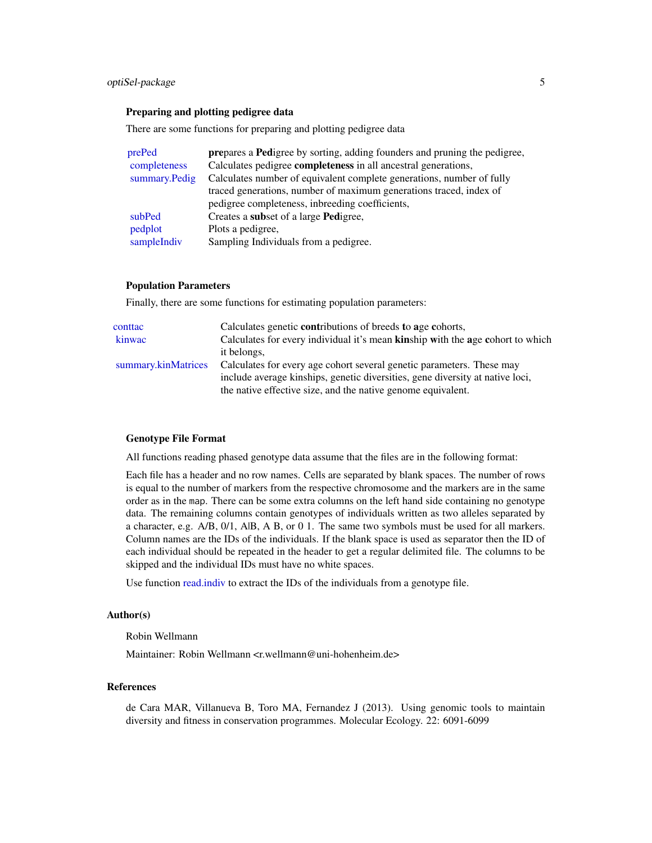#### <span id="page-4-0"></span>Preparing and plotting pedigree data

There are some functions for preparing and plotting pedigree data

| prePed        | <b>prepares a Pedigree by sorting, adding founders and pruning the pedigree,</b> |
|---------------|----------------------------------------------------------------------------------|
| completeness  | Calculates pedigree <b>completeness</b> in all ancestral generations,            |
| summary.Pedig | Calculates number of equivalent complete generations, number of fully            |
|               | traced generations, number of maximum generations traced, index of               |
|               | pedigree completeness, inbreeding coefficients,                                  |
| subPed        | Creates a <b>subset</b> of a large <b>Pedigree</b> ,                             |
| pedplot       | Plots a pedigree,                                                                |
| sampleIndiv   | Sampling Individuals from a pedigree.                                            |

#### Population Parameters

Finally, there are some functions for estimating population parameters:

| Calculates genetic <b>contributions</b> of breeds to age cohorts,              |
|--------------------------------------------------------------------------------|
| Calculates for every individual it's mean kinship with the age cohort to which |
| it belongs,                                                                    |
| Calculates for every age cohort several genetic parameters. These may          |
| include average kinships, genetic diversities, gene diversity at native loci,  |
| the native effective size, and the native genome equivalent.                   |
|                                                                                |

## Genotype File Format

All functions reading phased genotype data assume that the files are in the following format:

Each file has a header and no row names. Cells are separated by blank spaces. The number of rows is equal to the number of markers from the respective chromosome and the markers are in the same order as in the map. There can be some extra columns on the left hand side containing no genotype data. The remaining columns contain genotypes of individuals written as two alleles separated by a character, e.g. A/B, 0/1, A|B, A B, or 0 1. The same two symbols must be used for all markers. Column names are the IDs of the individuals. If the blank space is used as separator then the ID of each individual should be repeated in the header to get a regular delimited file. The columns to be skipped and the individual IDs must have no white spaces.

Use function [read.indiv](#page-46-1) to extract the IDs of the individuals from a genotype file.

#### Author(s)

Robin Wellmann

Maintainer: Robin Wellmann <r.wellmann@uni-hohenheim.de>

#### References

de Cara MAR, Villanueva B, Toro MA, Fernandez J (2013). Using genomic tools to maintain diversity and fitness in conservation programmes. Molecular Ecology. 22: 6091-6099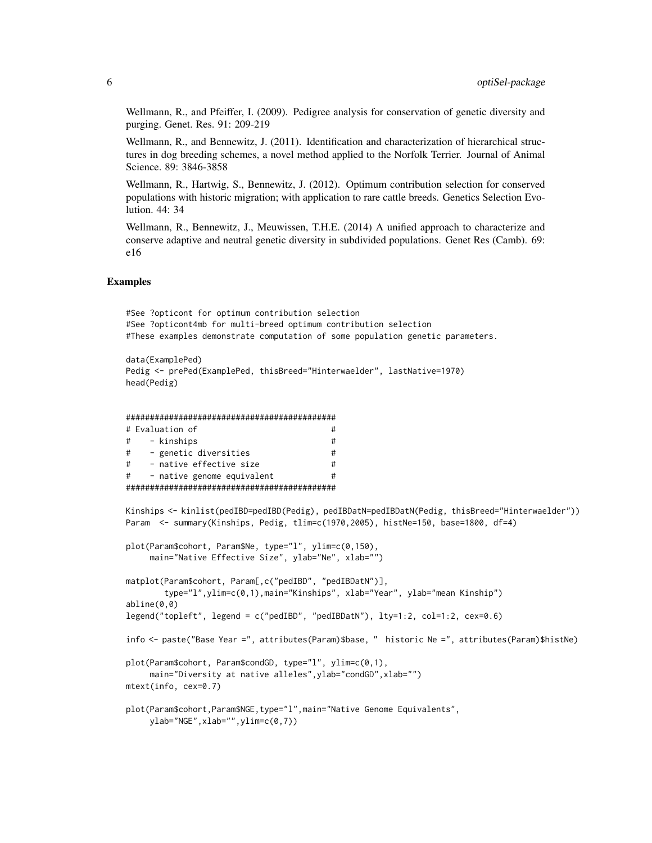Wellmann, R., and Pfeiffer, I. (2009). Pedigree analysis for conservation of genetic diversity and purging. Genet. Res. 91: 209-219

Wellmann, R., and Bennewitz, J. (2011). Identification and characterization of hierarchical structures in dog breeding schemes, a novel method applied to the Norfolk Terrier. Journal of Animal Science. 89: 3846-3858

Wellmann, R., Hartwig, S., Bennewitz, J. (2012). Optimum contribution selection for conserved populations with historic migration; with application to rare cattle breeds. Genetics Selection Evolution. 44: 34

Wellmann, R., Bennewitz, J., Meuwissen, T.H.E. (2014) A unified approach to characterize and conserve adaptive and neutral genetic diversity in subdivided populations. Genet Res (Camb). 69: e16

#### Examples

```
#See ?opticont for optimum contribution selection
#See ?opticont4mb for multi-breed optimum contribution selection
#These examples demonstrate computation of some population genetic parameters.
```

```
data(ExamplePed)
Pedig <- prePed(ExamplePed, thisBreed="Hinterwaelder", lastNative=1970)
head(Pedig)
```

```
############################################
# Evaluation of #
# - kinships #
# - genetic diversities #
# - native effective size #
# - native genome equivalent #
############################################
```
Kinships <- kinlist(pedIBD=pedIBD(Pedig), pedIBDatN=pedIBDatN(Pedig, thisBreed="Hinterwaelder")) Param <- summary(Kinships, Pedig, tlim=c(1970,2005), histNe=150, base=1800, df=4)

```
plot(Param$cohort, Param$Ne, type="l", ylim=c(0,150),
     main="Native Effective Size", ylab="Ne", xlab="")
matplot(Param$cohort, Param[,c("pedIBD", "pedIBDatN")],
        type="l",ylim=c(0,1),main="Kinships", xlab="Year", ylab="mean Kinship")
abline(0,0)
legend("topleft", legend = c("pedIBD", "pedIBDatN"), lty=1:2, col=1:2, cex=0.6)
info <- paste("Base Year =", attributes(Param)$base, " historic Ne =", attributes(Param)$histNe)
plot(Param$cohort, Param$condGD, type="l", ylim=c(0,1),
     main="Diversity at native alleles", ylab="condGD", xlab="")
mtext(info, cex=0.7)
plot(Param$cohort,Param$NGE,type="l",main="Native Genome Equivalents",
    ylab="NGE",xlab="",ylim=c(0,7))
```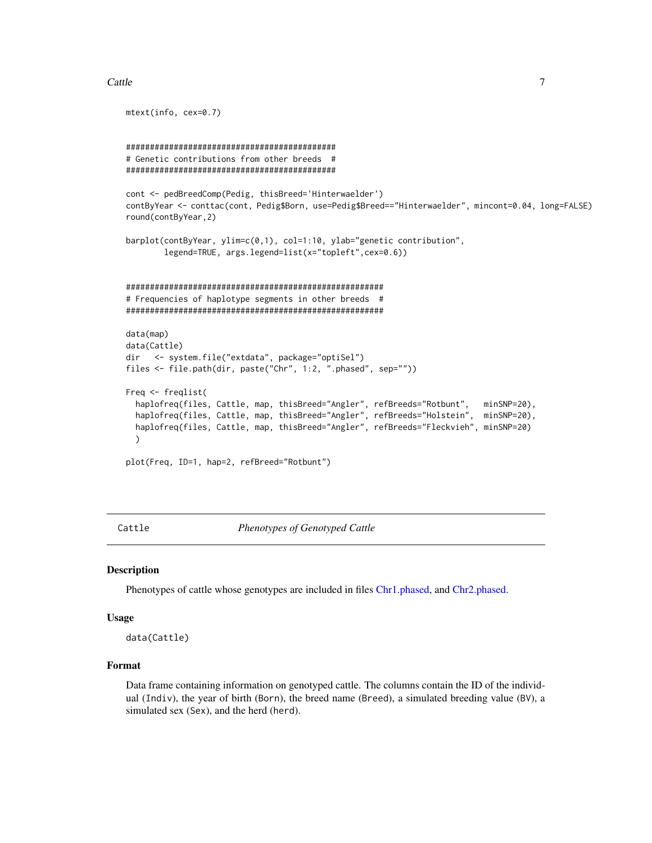#### <span id="page-6-0"></span>Cattle 7 and 7 and 7 and 7 and 7 and 7 and 7 and 7 and 7 and 7 and 7 and 7 and 7 and 7 and 7 and 7 and 7 and 7

```
mtext(info, cex=0.7)
############################################
# Genetic contributions from other breeds #
############################################
cont <- pedBreedComp(Pedig, thisBreed='Hinterwaelder')
contByYear <- conttac(cont, Pedig$Born, use=Pedig$Breed=="Hinterwaelder", mincont=0.04, long=FALSE)
round(contByYear,2)
barplot(contByYear, ylim=c(0,1), col=1:10, ylab="genetic contribution",
        legend=TRUE, args.legend=list(x="topleft",cex=0.6))
######################################################
# Frequencies of haplotype segments in other breeds #
######################################################
data(map)
data(Cattle)
dir <- system.file("extdata", package="optiSel")
files <- file.path(dir, paste("Chr", 1:2, ".phased", sep=""))
Freq <- freqlist(
 haplofreq(files, Cattle, map, thisBreed="Angler", refBreeds="Rotbunt", minSNP=20),
 haplofreq(files, Cattle, map, thisBreed="Angler", refBreeds="Holstein", minSNP=20),
 haplofreq(files, Cattle, map, thisBreed="Angler", refBreeds="Fleckvieh", minSNP=20)
 )
plot(Freq, ID=1, hap=2, refBreed="Rotbunt")
```
<span id="page-6-1"></span>Cattle *Phenotypes of Genotyped Cattle*

#### Description

Phenotypes of cattle whose genotypes are included in files [Chr1.phased,](#page-7-1) and [Chr2.phased.](#page-7-2)

#### Usage

```
data(Cattle)
```
## Format

Data frame containing information on genotyped cattle. The columns contain the ID of the individual (Indiv), the year of birth (Born), the breed name (Breed), a simulated breeding value (BV), a simulated sex (Sex), and the herd (herd).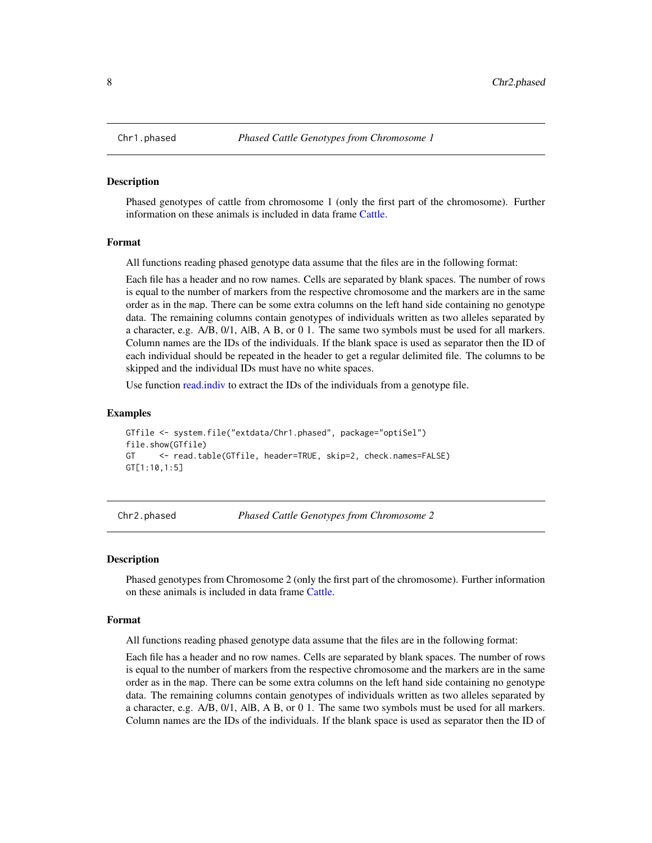#### Description

Phased genotypes of cattle from chromosome 1 (only the first part of the chromosome). Further information on these animals is included in data frame [Cattle.](#page-6-1)

#### Format

All functions reading phased genotype data assume that the files are in the following format:

Each file has a header and no row names. Cells are separated by blank spaces. The number of rows is equal to the number of markers from the respective chromosome and the markers are in the same order as in the map. There can be some extra columns on the left hand side containing no genotype data. The remaining columns contain genotypes of individuals written as two alleles separated by a character, e.g. A/B, 0/1, A|B, A B, or 0 1. The same two symbols must be used for all markers. Column names are the IDs of the individuals. If the blank space is used as separator then the ID of each individual should be repeated in the header to get a regular delimited file. The columns to be skipped and the individual IDs must have no white spaces.

Use function [read.indiv](#page-46-1) to extract the IDs of the individuals from a genotype file.

#### Examples

```
GTfile <- system.file("extdata/Chr1.phased", package="optiSel")
file.show(GTfile)
GT <- read.table(GTfile, header=TRUE, skip=2, check.names=FALSE)
GT[1:10,1:5]
```
<span id="page-7-2"></span>Chr2.phased *Phased Cattle Genotypes from Chromosome 2*

#### Description

Phased genotypes from Chromosome 2 (only the first part of the chromosome). Further information on these animals is included in data frame [Cattle.](#page-6-1)

#### Format

All functions reading phased genotype data assume that the files are in the following format:

Each file has a header and no row names. Cells are separated by blank spaces. The number of rows is equal to the number of markers from the respective chromosome and the markers are in the same order as in the map. There can be some extra columns on the left hand side containing no genotype data. The remaining columns contain genotypes of individuals written as two alleles separated by a character, e.g. A/B, 0/1, A|B, A B, or 0 1. The same two symbols must be used for all markers. Column names are the IDs of the individuals. If the blank space is used as separator then the ID of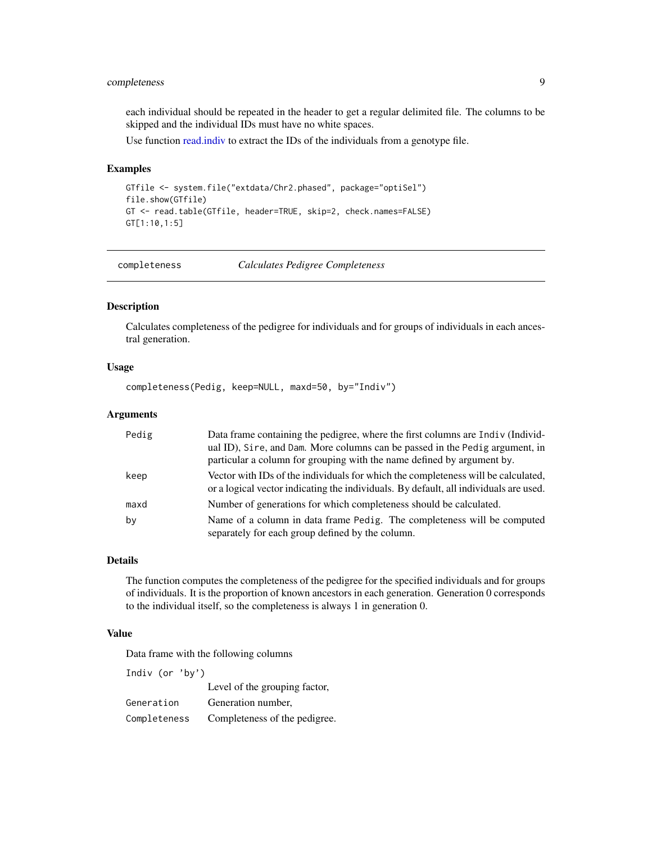## <span id="page-8-0"></span>completeness 9

each individual should be repeated in the header to get a regular delimited file. The columns to be skipped and the individual IDs must have no white spaces.

Use function [read.indiv](#page-46-1) to extract the IDs of the individuals from a genotype file.

## Examples

```
GTfile <- system.file("extdata/Chr2.phased", package="optiSel")
file.show(GTfile)
GT <- read.table(GTfile, header=TRUE, skip=2, check.names=FALSE)
GT[1:10,1:5]
```
<span id="page-8-1"></span>completeness *Calculates Pedigree Completeness*

## Description

Calculates completeness of the pedigree for individuals and for groups of individuals in each ancestral generation.

## Usage

completeness(Pedig, keep=NULL, maxd=50, by="Indiv")

## Arguments

| Pedig | Data frame containing the pedigree, where the first columns are Indiv (Individ-<br>ual ID), Sire, and Dam. More columns can be passed in the Pedig argument, in            |
|-------|----------------------------------------------------------------------------------------------------------------------------------------------------------------------------|
|       | particular a column for grouping with the name defined by argument by.                                                                                                     |
| keep  | Vector with IDs of the individuals for which the completeness will be calculated,<br>or a logical vector indicating the individuals. By default, all individuals are used. |
| maxd  | Number of generations for which completeness should be calculated.                                                                                                         |
| by    | Name of a column in data frame Pedig. The completeness will be computed<br>separately for each group defined by the column.                                                |

## Details

The function computes the completeness of the pedigree for the specified individuals and for groups of individuals. It is the proportion of known ancestors in each generation. Generation 0 corresponds to the individual itself, so the completeness is always 1 in generation 0.

## Value

Data frame with the following columns

Indiv (or 'by')

Level of the grouping factor, Generation Generation number,

Completeness Completeness of the pedigree.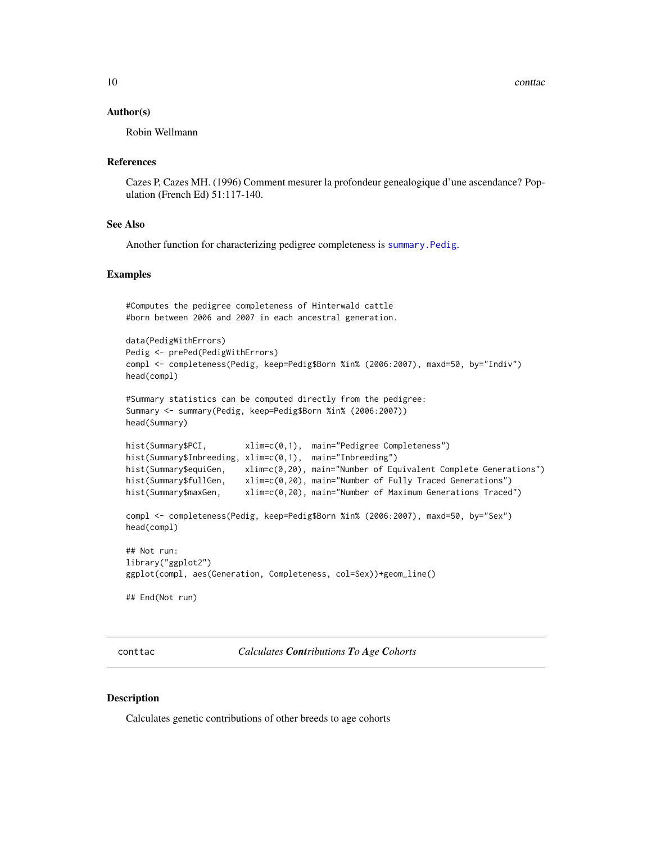#### <span id="page-9-0"></span>Author(s)

Robin Wellmann

#### References

Cazes P, Cazes MH. (1996) Comment mesurer la profondeur genealogique d'une ascendance? Population (French Ed) 51:117-140.

#### See Also

Another function for characterizing pedigree completeness is [summary.Pedig](#page-68-1).

#### Examples

```
#Computes the pedigree completeness of Hinterwald cattle
#born between 2006 and 2007 in each ancestral generation.
data(PedigWithErrors)
Pedig <- prePed(PedigWithErrors)
compl <- completeness(Pedig, keep=Pedig$Born %in% (2006:2007), maxd=50, by="Indiv")
head(compl)
#Summary statistics can be computed directly from the pedigree:
Summary <- summary(Pedig, keep=Pedig$Born %in% (2006:2007))
head(Summary)
hist(Summary$PCI, xlim=c(0,1), main="Pedigree Completeness")
hist(Summary$Inbreeding, xlim=c(0,1), main="Inbreeding")
hist(Summary$equiGen, xlim=c(0,20), main="Number of Equivalent Complete Generations")
hist(Summary$fullGen, xlim=c(0,20), main="Number of Fully Traced Generations")
hist(Summary$maxGen, xlim=c(0,20), main="Number of Maximum Generations Traced")
compl <- completeness(Pedig, keep=Pedig$Born %in% (2006:2007), maxd=50, by="Sex")
head(compl)
## Not run:
library("ggplot2")
ggplot(compl, aes(Generation, Completeness, col=Sex))+geom_line()
## End(Not run)
```
<span id="page-9-1"></span>conttac *Calculates Contributions To Age Cohorts*

#### Description

Calculates genetic contributions of other breeds to age cohorts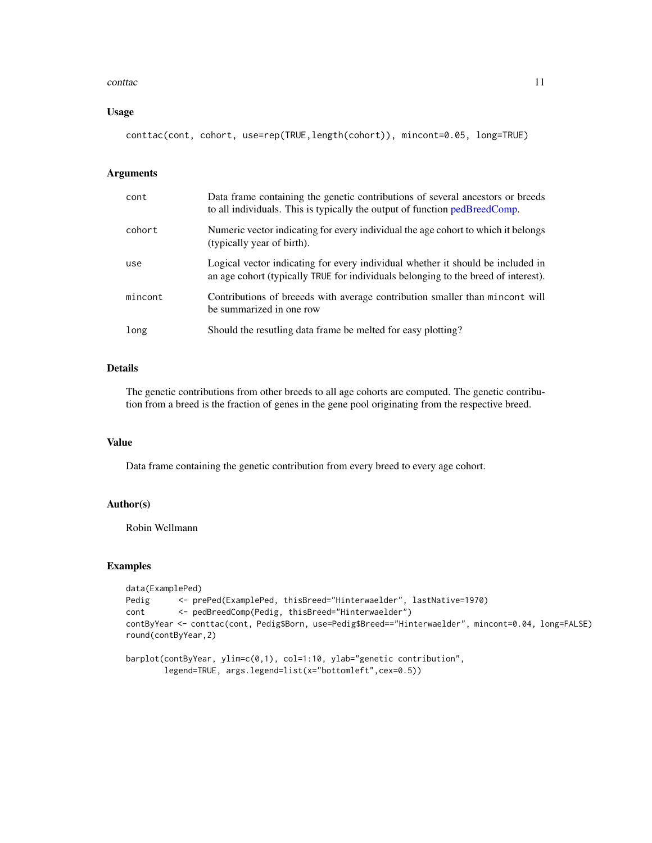#### <span id="page-10-0"></span>conttactive the contraction of the contraction of the contraction of the contraction of the contraction of the contraction of the contraction of the contraction of the contraction of the contraction of the contraction of t

## Usage

conttac(cont, cohort, use=rep(TRUE,length(cohort)), mincont=0.05, long=TRUE)

#### Arguments

| cont    | Data frame containing the genetic contributions of several ancestors or breeds<br>to all individuals. This is typically the output of function pedBreedComp.          |
|---------|-----------------------------------------------------------------------------------------------------------------------------------------------------------------------|
| cohort  | Numeric vector indicating for every individual the age cohort to which it belongs<br>(typically year of birth).                                                       |
| use     | Logical vector indicating for every individual whether it should be included in<br>an age cohort (typically TRUE for individuals belonging to the breed of interest). |
| mincont | Contributions of breeeds with average contribution smaller than mincont will<br>be summarized in one row                                                              |
| long    | Should the resutling data frame be melted for easy plotting?                                                                                                          |

## Details

The genetic contributions from other breeds to all age cohorts are computed. The genetic contribution from a breed is the fraction of genes in the gene pool originating from the respective breed.

## Value

Data frame containing the genetic contribution from every breed to every age cohort.

## Author(s)

Robin Wellmann

```
data(ExamplePed)
Pedig <- prePed(ExamplePed, thisBreed="Hinterwaelder", lastNative=1970)
cont <- pedBreedComp(Pedig, thisBreed="Hinterwaelder")
contByYear <- conttac(cont, Pedig$Born, use=Pedig$Breed=="Hinterwaelder", mincont=0.04, long=FALSE)
round(contByYear,2)
```

```
barplot(contByYear, ylim=c(0,1), col=1:10, ylab="genetic contribution",
       legend=TRUE, args.legend=list(x="bottomleft",cex=0.5))
```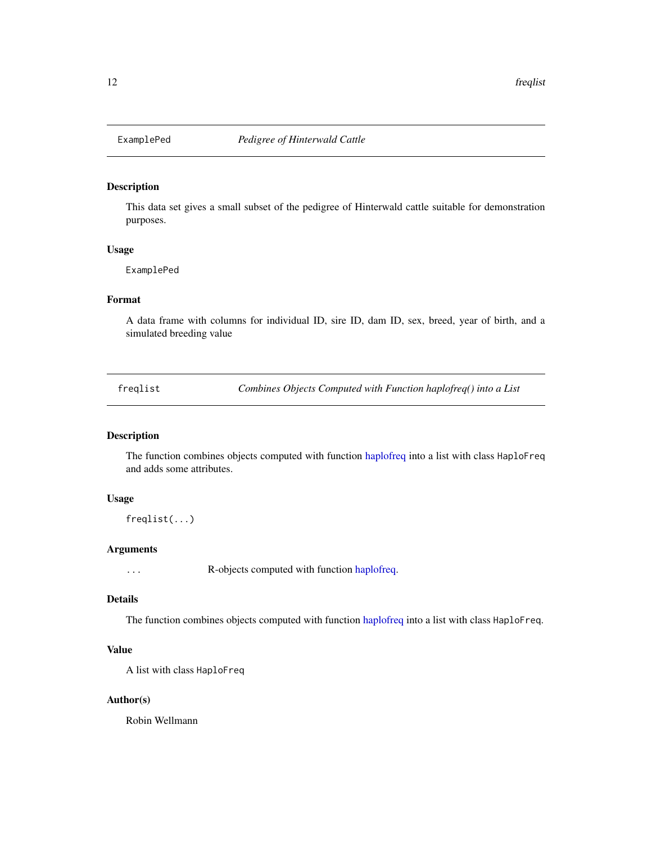<span id="page-11-0"></span>

## Description

This data set gives a small subset of the pedigree of Hinterwald cattle suitable for demonstration purposes.

#### Usage

ExamplePed

## Format

A data frame with columns for individual ID, sire ID, dam ID, sex, breed, year of birth, and a simulated breeding value

<span id="page-11-1"></span>freqlist *Combines Objects Computed with Function haplofreq() into a List*

## Description

The function combines objects computed with function [haplofreq](#page-13-1) into a list with class HaploFreq and adds some attributes.

## Usage

freqlist(...)

## Arguments

... R-objects computed with function [haplofreq.](#page-13-1)

## Details

The function combines objects computed with function [haplofreq](#page-13-1) into a list with class HaploFreq.

## Value

A list with class HaploFreq

## Author(s)

Robin Wellmann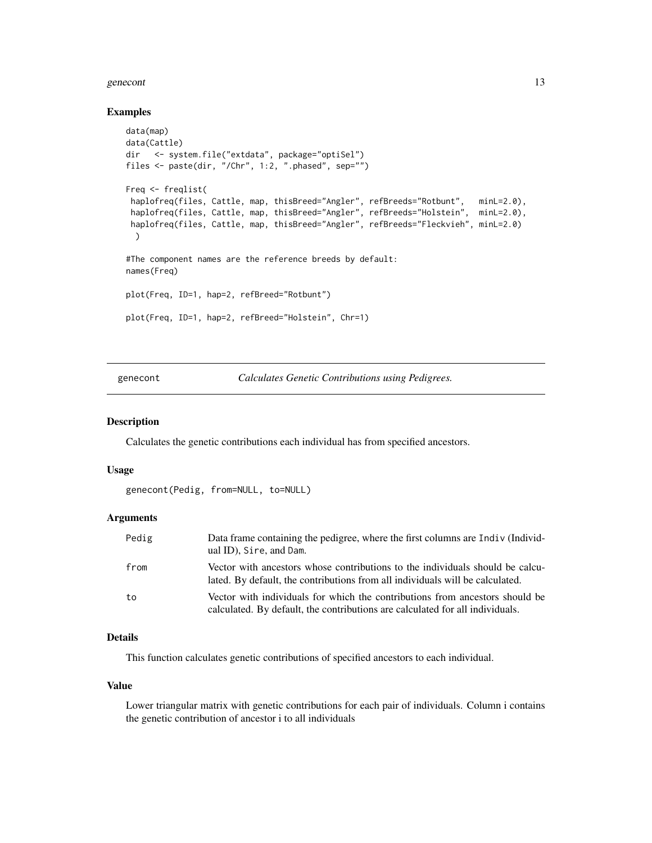#### <span id="page-12-0"></span>genecont and the set of the set of the set of the set of the set of the set of the set of the set of the set of the set of the set of the set of the set of the set of the set of the set of the set of the set of the set of

#### Examples

```
data(map)
data(Cattle)
dir <- system.file("extdata", package="optiSel")
files <- paste(dir, "/Chr", 1:2, ".phased", sep="")
Freq <- freqlist(
 haplofreq(files, Cattle, map, thisBreed="Angler", refBreeds="Rotbunt", minL=2.0),
 haplofreq(files, Cattle, map, thisBreed="Angler", refBreeds="Holstein", minL=2.0),
 haplofreq(files, Cattle, map, thisBreed="Angler", refBreeds="Fleckvieh", minL=2.0)
  )
#The component names are the reference breeds by default:
names(Freq)
plot(Freq, ID=1, hap=2, refBreed="Rotbunt")
plot(Freq, ID=1, hap=2, refBreed="Holstein", Chr=1)
```
<span id="page-12-1"></span>genecont *Calculates Genetic Contributions using Pedigrees.*

## Description

Calculates the genetic contributions each individual has from specified ancestors.

## Usage

```
genecont(Pedig, from=NULL, to=NULL)
```
## Arguments

| Pedig | Data frame containing the pedigree, where the first columns are Indiv (Individ-<br>ual ID), Sire, and Dam.                                                     |
|-------|----------------------------------------------------------------------------------------------------------------------------------------------------------------|
| from  | Vector with ancestors whose contributions to the individuals should be calcu-<br>lated. By default, the contributions from all individuals will be calculated. |
| to    | Vector with individuals for which the contributions from ancestors should be<br>calculated. By default, the contributions are calculated for all individuals.  |

## Details

This function calculates genetic contributions of specified ancestors to each individual.

#### Value

Lower triangular matrix with genetic contributions for each pair of individuals. Column i contains the genetic contribution of ancestor i to all individuals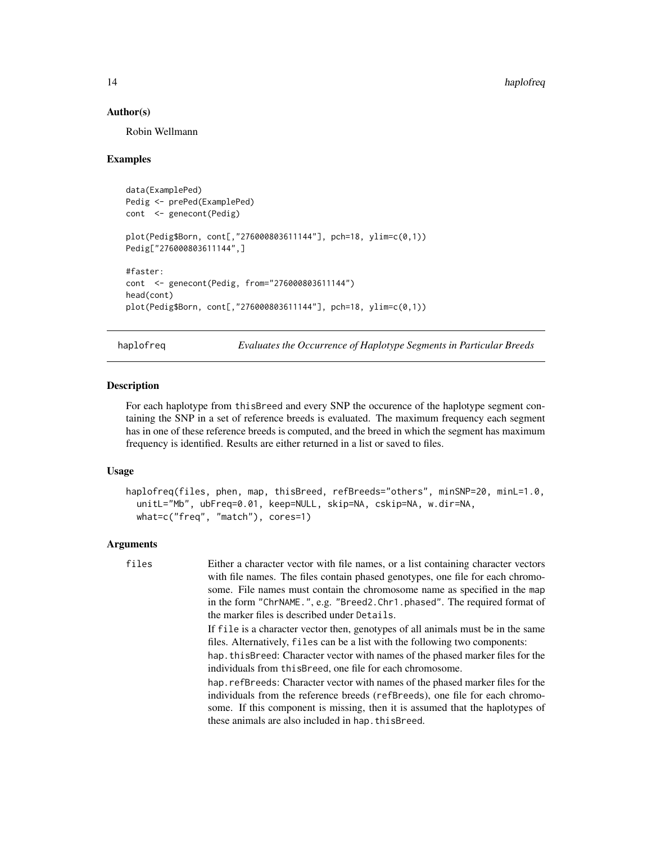#### Author(s)

Robin Wellmann

## Examples

```
data(ExamplePed)
Pedig <- prePed(ExamplePed)
cont <- genecont(Pedig)
plot(Pedig$Born, cont[,"276000803611144"], pch=18, ylim=c(0,1))
Pedig["276000803611144",]
#faster:
cont <- genecont(Pedig, from="276000803611144")
head(cont)
plot(Pedig$Born, cont[,"276000803611144"], pch=18, ylim=c(0,1))
```
<span id="page-13-1"></span>haplofreq *Evaluates the Occurrence of Haplotype Segments in Particular Breeds*

## Description

For each haplotype from thisBreed and every SNP the occurence of the haplotype segment containing the SNP in a set of reference breeds is evaluated. The maximum frequency each segment has in one of these reference breeds is computed, and the breed in which the segment has maximum frequency is identified. Results are either returned in a list or saved to files.

## Usage

```
haplofreq(files, phen, map, thisBreed, refBreeds="others", minSNP=20, minL=1.0,
  unitL="Mb", ubFreq=0.01, keep=NULL, skip=NA, cskip=NA, w.dir=NA,
 what=c("freq", "match"), cores=1)
```
## Arguments

| files | Either a character vector with file names, or a list containing character vectors<br>with file names. The files contain phased genotypes, one file for each chromo-                                                                             |
|-------|-------------------------------------------------------------------------------------------------------------------------------------------------------------------------------------------------------------------------------------------------|
|       | some. File names must contain the chromosome name as specified in the map<br>in the form "ChrNAME.", e.g. "Breed2.Chr1.phased". The required format of<br>the marker files is described under Details.                                          |
|       | If file is a character vector then, genotypes of all animals must be in the same<br>files. Alternatively, files can be a list with the following two components:                                                                                |
|       | hap, this Breed: Character vector with names of the phased marker files for the<br>individuals from this Breed, one file for each chromosome.                                                                                                   |
|       | hap. refBreeds: Character vector with names of the phased marker files for the<br>individuals from the reference breeds (refBreeds), one file for each chromo-<br>some. If this component is missing, then it is assumed that the haplotypes of |
|       | these animals are also included in hap. this Breed.                                                                                                                                                                                             |

<span id="page-13-0"></span>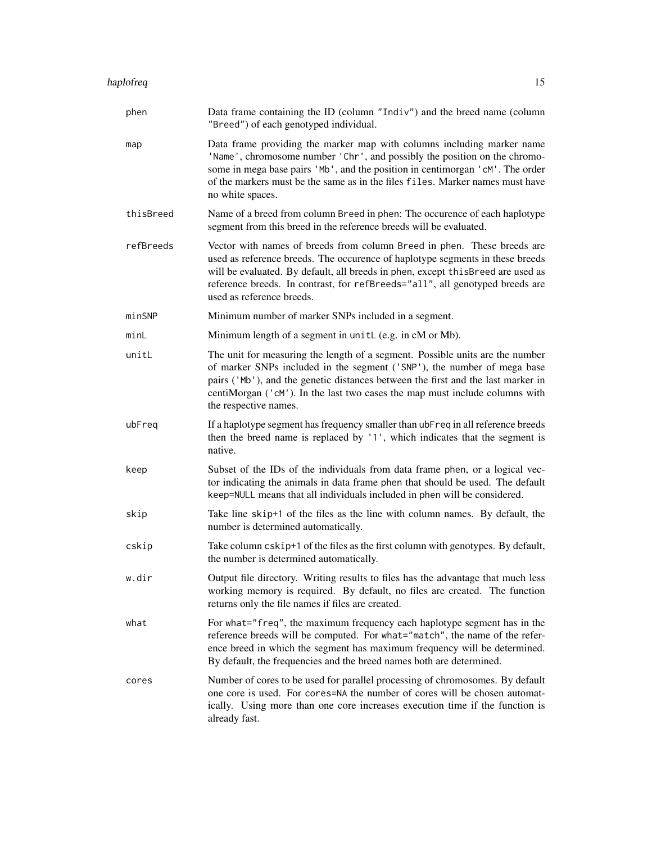| phen      | Data frame containing the ID (column "Indiv") and the breed name (column<br>"Breed") of each genotyped individual.                                                                                                                                                                                                                                        |
|-----------|-----------------------------------------------------------------------------------------------------------------------------------------------------------------------------------------------------------------------------------------------------------------------------------------------------------------------------------------------------------|
| map       | Data frame providing the marker map with columns including marker name<br>'Name', chromosome number 'Chr', and possibly the position on the chromo-<br>some in mega base pairs 'Mb', and the position in centimorgan 'cM'. The order<br>of the markers must be the same as in the files files. Marker names must have<br>no white spaces.                 |
| thisBreed | Name of a breed from column Breed in phen: The occurence of each haplotype<br>segment from this breed in the reference breeds will be evaluated.                                                                                                                                                                                                          |
| refBreeds | Vector with names of breeds from column Breed in phen. These breeds are<br>used as reference breeds. The occurence of haplotype segments in these breeds<br>will be evaluated. By default, all breeds in phen, except this Breed are used as<br>reference breeds. In contrast, for refBreeds="all", all genotyped breeds are<br>used as reference breeds. |
| minSNP    | Minimum number of marker SNPs included in a segment.                                                                                                                                                                                                                                                                                                      |
| minL      | Minimum length of a segment in unitL (e.g. in cM or Mb).                                                                                                                                                                                                                                                                                                  |
| unitL     | The unit for measuring the length of a segment. Possible units are the number<br>of marker SNPs included in the segment ('SNP'), the number of mega base<br>pairs ('Mb'), and the genetic distances between the first and the last marker in<br>centiMorgan ('cM'). In the last two cases the map must include columns with<br>the respective names.      |
| ubFreq    | If a haplotype segment has frequency smaller than ubFreq in all reference breeds<br>then the breed name is replaced by '1', which indicates that the segment is<br>native.                                                                                                                                                                                |
| keep      | Subset of the IDs of the individuals from data frame phen, or a logical vec-<br>tor indicating the animals in data frame phen that should be used. The default<br>keep=NULL means that all individuals included in phen will be considered.                                                                                                               |
| skip      | Take line skip+1 of the files as the line with column names. By default, the<br>number is determined automatically.                                                                                                                                                                                                                                       |
| cskip     | Take column cskip+1 of the files as the first column with genotypes. By default,<br>the number is determined automatically.                                                                                                                                                                                                                               |
| w.dir     | Output file directory. Writing results to files has the advantage that much less<br>working memory is required. By default, no files are created. The function<br>returns only the file names if files are created.                                                                                                                                       |
| what      | For what="freq", the maximum frequency each haplotype segment has in the<br>reference breeds will be computed. For what="match", the name of the refer-<br>ence breed in which the segment has maximum frequency will be determined.<br>By default, the frequencies and the breed names both are determined.                                              |
| cores     | Number of cores to be used for parallel processing of chromosomes. By default<br>one core is used. For cores=NA the number of cores will be chosen automat-<br>ically. Using more than one core increases execution time if the function is<br>already fast.                                                                                              |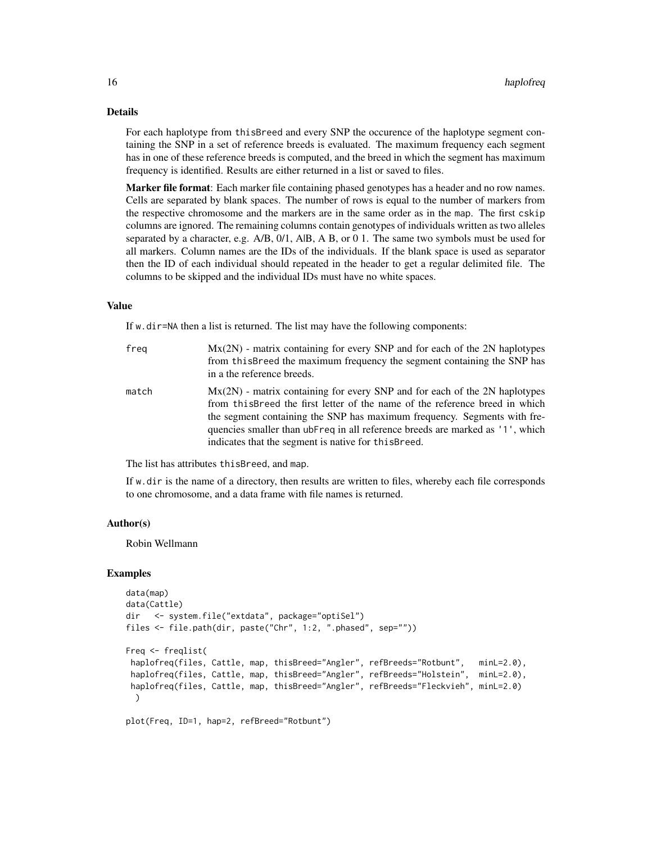## Details

For each haplotype from thisBreed and every SNP the occurence of the haplotype segment containing the SNP in a set of reference breeds is evaluated. The maximum frequency each segment has in one of these reference breeds is computed, and the breed in which the segment has maximum frequency is identified. Results are either returned in a list or saved to files.

Marker file format: Each marker file containing phased genotypes has a header and no row names. Cells are separated by blank spaces. The number of rows is equal to the number of markers from the respective chromosome and the markers are in the same order as in the map. The first cskip columns are ignored. The remaining columns contain genotypes of individuals written as two alleles separated by a character, e.g.  $A/B$ ,  $0/1$ ,  $A/B$ ,  $A B$ , or  $0 1$ . The same two symbols must be used for all markers. Column names are the IDs of the individuals. If the blank space is used as separator then the ID of each individual should repeated in the header to get a regular delimited file. The columns to be skipped and the individual IDs must have no white spaces.

#### Value

If w.dir=NA then a list is returned. The list may have the following components:

| freg  | $Mx(2N)$ - matrix containing for every SNP and for each of the 2N haplotypes<br>from this Breed the maximum frequency the segment containing the SNP has<br>in a the reference breeds.                                                                                                                                                                                            |
|-------|-----------------------------------------------------------------------------------------------------------------------------------------------------------------------------------------------------------------------------------------------------------------------------------------------------------------------------------------------------------------------------------|
| match | $Mx(2N)$ - matrix containing for every SNP and for each of the 2N haplotypes<br>from this Breed the first letter of the name of the reference breed in which<br>the segment containing the SNP has maximum frequency. Segments with fre-<br>quencies smaller than ubFreq in all reference breeds are marked as '1', which<br>indicates that the segment is native for this Breed. |

The list has attributes thisBreed, and map.

If w.dir is the name of a directory, then results are written to files, whereby each file corresponds to one chromosome, and a data frame with file names is returned.

#### Author(s)

Robin Wellmann

```
data(map)
data(Cattle)
dir <- system.file("extdata", package="optiSel")
files <- file.path(dir, paste("Chr", 1:2, ".phased", sep=""))
Freq <- freqlist(
haplofreq(files, Cattle, map, thisBreed="Angler", refBreeds="Rotbunt", minL=2.0),
 haplofreq(files, Cattle, map, thisBreed="Angler", refBreeds="Holstein", minL=2.0),
 haplofreq(files, Cattle, map, thisBreed="Angler", refBreeds="Fleckvieh", minL=2.0)
 )
plot(Freq, ID=1, hap=2, refBreed="Rotbunt")
```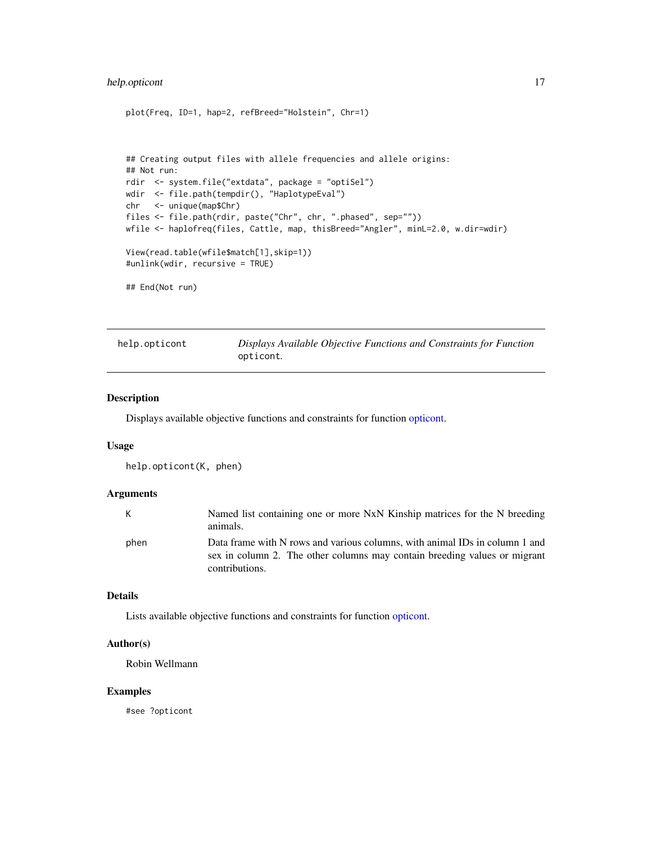## <span id="page-16-0"></span>help.opticont 17

```
plot(Freq, ID=1, hap=2, refBreed="Holstein", Chr=1)
## Creating output files with allele frequencies and allele origins:
## Not run:
rdir <- system.file("extdata", package = "optiSel")
wdir <- file.path(tempdir(), "HaplotypeEval")
chr <- unique(map$Chr)
files <- file.path(rdir, paste("Chr", chr, ".phased", sep=""))
wfile <- haplofreq(files, Cattle, map, thisBreed="Angler", minL=2.0, w.dir=wdir)
View(read.table(wfile$match[1],skip=1))
#unlink(wdir, recursive = TRUE)
## End(Not run)
```
<span id="page-16-1"></span>

| help.opticont | Displays Available Objective Functions and Constraints for Function |
|---------------|---------------------------------------------------------------------|
|               | opticont.                                                           |

## Description

Displays available objective functions and constraints for function [opticont.](#page-26-1)

#### Usage

```
help.opticont(K, phen)
```
#### Arguments

| K    | Named list containing one or more NxN Kinship matrices for the N breeding<br>animals.                                                                                      |
|------|----------------------------------------------------------------------------------------------------------------------------------------------------------------------------|
| phen | Data frame with N rows and various columns, with animal IDs in column 1 and<br>sex in column 2. The other columns may contain breeding values or migrant<br>contributions. |

#### Details

Lists available objective functions and constraints for function [opticont.](#page-26-1)

## Author(s)

Robin Wellmann

## Examples

#see ?opticont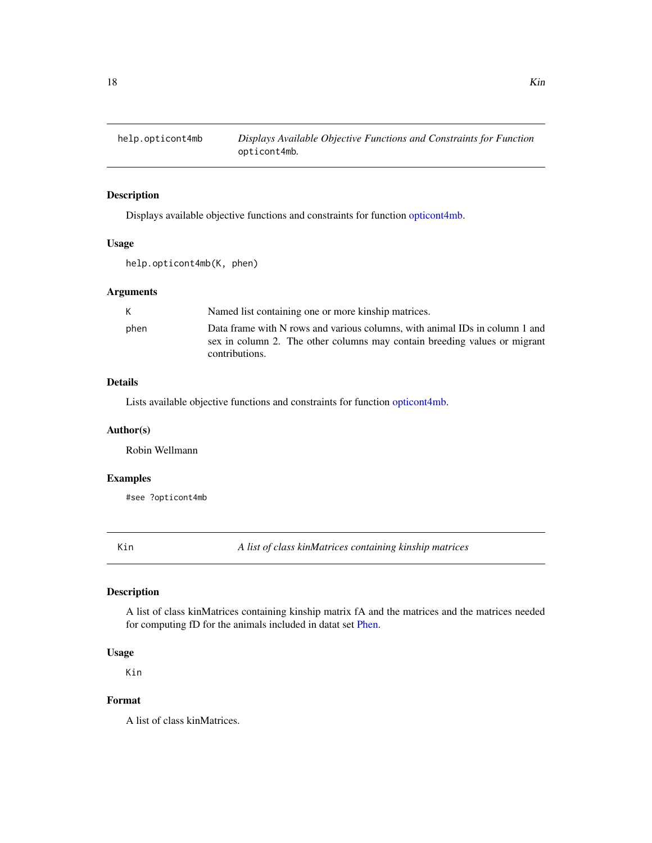<span id="page-17-1"></span><span id="page-17-0"></span>

## Description

Displays available objective functions and constraints for function [opticont4mb.](#page-31-1)

## Usage

help.opticont4mb(K, phen)

## Arguments

| K    | Named list containing one or more kinship matrices.                                                                                                                        |
|------|----------------------------------------------------------------------------------------------------------------------------------------------------------------------------|
| phen | Data frame with N rows and various columns, with animal IDs in column 1 and<br>sex in column 2. The other columns may contain breeding values or migrant<br>contributions. |

## Details

Lists available objective functions and constraints for function [opticont4mb.](#page-31-1)

#### Author(s)

Robin Wellmann

## Examples

#see ?opticont4mb

Kin *A list of class kinMatrices containing kinship matrices*

## Description

A list of class kinMatrices containing kinship matrix fA and the matrices and the matrices needed for computing fD for the animals included in datat set [Phen.](#page-43-1)

## Usage

Kin

## Format

A list of class kinMatrices.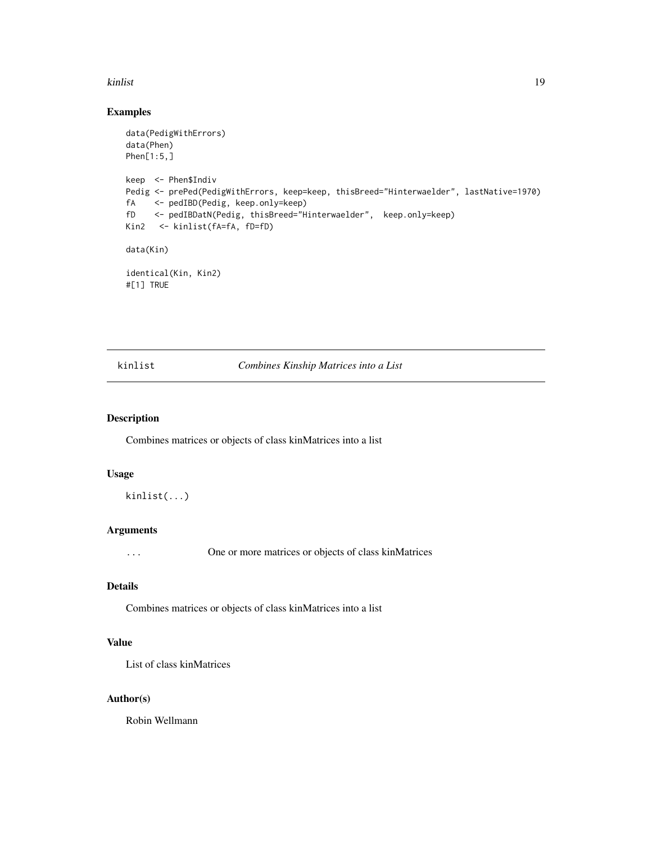#### <span id="page-18-0"></span>kinlist tegen at the set of the set of the set of the set of the set of the set of the set of the set of the set of the set of the set of the set of the set of the set of the set of the set of the set of the set of the set

## Examples

```
data(PedigWithErrors)
data(Phen)
Phen[1:5,]
keep <- Phen$Indiv
Pedig <- prePed(PedigWithErrors, keep=keep, thisBreed="Hinterwaelder", lastNative=1970)
fA <- pedIBD(Pedig, keep.only=keep)
fD <- pedIBDatN(Pedig, thisBreed="Hinterwaelder", keep.only=keep)
Kin2 <- kinlist(fA=fA, fD=fD)
data(Kin)
identical(Kin, Kin2)
#[1] TRUE
```
## <span id="page-18-1"></span>kinlist *Combines Kinship Matrices into a List*

#### Description

Combines matrices or objects of class kinMatrices into a list

## Usage

kinlist(...)

#### Arguments

... One or more matrices or objects of class kinMatrices

## Details

Combines matrices or objects of class kinMatrices into a list

## Value

List of class kinMatrices

## Author(s)

Robin Wellmann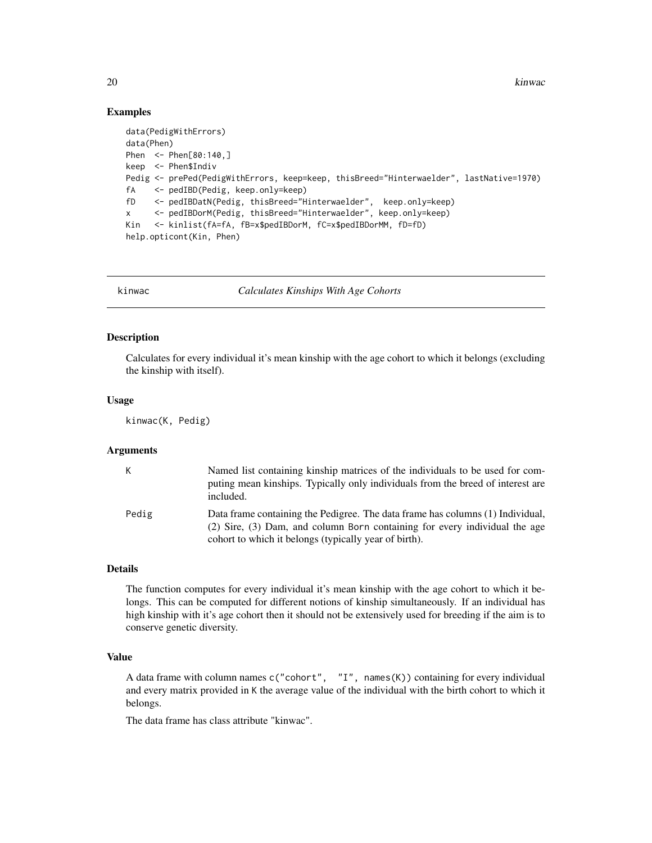20 kinwac

## Examples

```
data(PedigWithErrors)
data(Phen)
Phen <- Phen[80:140,]
keep <- Phen$Indiv
Pedig <- prePed(PedigWithErrors, keep=keep, thisBreed="Hinterwaelder", lastNative=1970)
fA <- pedIBD(Pedig, keep.only=keep)
fD <- pedIBDatN(Pedig, thisBreed="Hinterwaelder", keep.only=keep)
x <- pedIBDorM(Pedig, thisBreed="Hinterwaelder", keep.only=keep)
Kin <- kinlist(fA=fA, fB=x$pedIBDorM, fC=x$pedIBDorMM, fD=fD)
help.opticont(Kin, Phen)
```
<span id="page-19-1"></span>

kinwac *Calculates Kinships With Age Cohorts*

## Description

Calculates for every individual it's mean kinship with the age cohort to which it belongs (excluding the kinship with itself).

#### Usage

kinwac(K, Pedig)

#### Arguments

| K.    | Named list containing kinship matrices of the individuals to be used for com-<br>puting mean kinships. Typically only individuals from the breed of interest are<br>included.                                         |
|-------|-----------------------------------------------------------------------------------------------------------------------------------------------------------------------------------------------------------------------|
| Pedig | Data frame containing the Pedigree. The data frame has columns (1) Individual,<br>(2) Sire, (3) Dam, and column Born containing for every individual the age<br>cohort to which it belongs (typically year of birth). |

## Details

The function computes for every individual it's mean kinship with the age cohort to which it belongs. This can be computed for different notions of kinship simultaneously. If an individual has high kinship with it's age cohort then it should not be extensively used for breeding if the aim is to conserve genetic diversity.

#### Value

A data frame with column names c("cohort", "I", names(K)) containing for every individual and every matrix provided in K the average value of the individual with the birth cohort to which it belongs.

The data frame has class attribute "kinwac".

<span id="page-19-0"></span>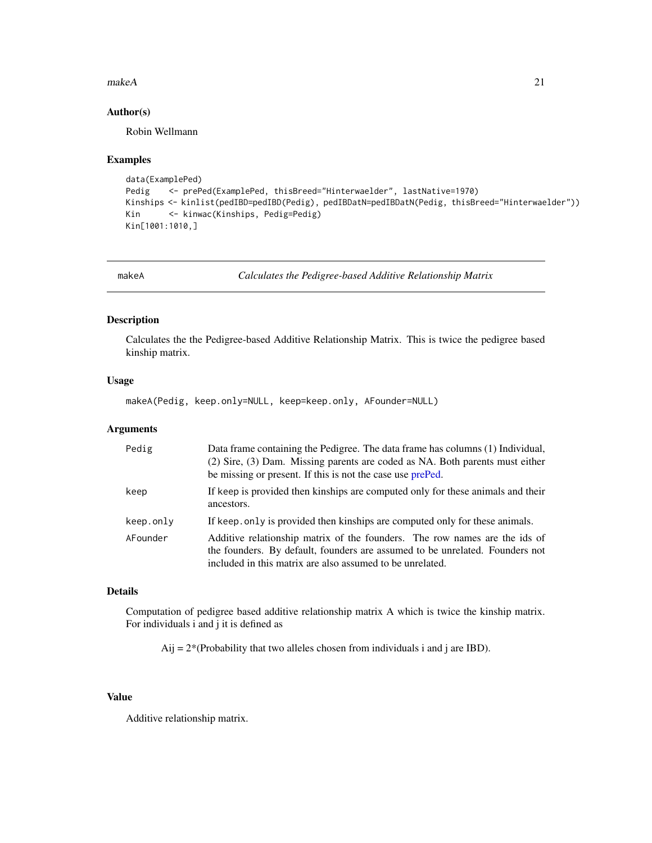#### <span id="page-20-0"></span> $makeA$  21

#### Author(s)

Robin Wellmann

#### Examples

```
data(ExamplePed)
Pedig <- prePed(ExamplePed, thisBreed="Hinterwaelder", lastNative=1970)
Kinships <- kinlist(pedIBD=pedIBD(Pedig), pedIBDatN=pedIBDatN(Pedig, thisBreed="Hinterwaelder"))
Kin <- kinwac(Kinships, Pedig=Pedig)
Kin[1001:1010,]
```
<span id="page-20-1"></span>makeA *Calculates the Pedigree-based Additive Relationship Matrix*

#### Description

Calculates the the Pedigree-based Additive Relationship Matrix. This is twice the pedigree based kinship matrix.

## Usage

makeA(Pedig, keep.only=NULL, keep=keep.only, AFounder=NULL)

#### Arguments

| Pedig     | Data frame containing the Pedigree. The data frame has columns (1) Individual,<br>(2) Sire, (3) Dam. Missing parents are coded as NA. Both parents must either<br>be missing or present. If this is not the case use prePed. |
|-----------|------------------------------------------------------------------------------------------------------------------------------------------------------------------------------------------------------------------------------|
| keep      | If keep is provided then kinships are computed only for these animals and their<br>ancestors.                                                                                                                                |
| keep.only | If keep, only is provided then kinships are computed only for these animals.                                                                                                                                                 |
| AFounder  | Additive relationship matrix of the founders. The row names are the ids of<br>the founders. By default, founders are assumed to be unrelated. Founders not<br>included in this matrix are also assumed to be unrelated.      |

## Details

Computation of pedigree based additive relationship matrix A which is twice the kinship matrix. For individuals i and j it is defined as

Aij =  $2*(Probability that two alleles chosen from individuals i and j are IBD).$ 

## Value

Additive relationship matrix.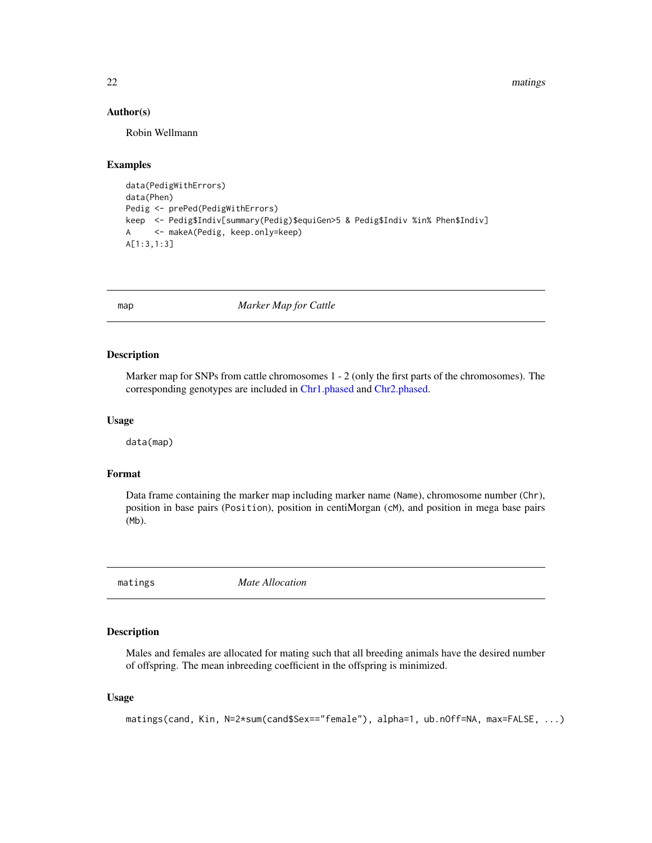22 matings and the contract of the contract of the contract of the contract of the contract of the contract of the contract of the contract of the contract of the contract of the contract of the contract of the contract of

#### Author(s)

Robin Wellmann

## Examples

```
data(PedigWithErrors)
data(Phen)
Pedig <- prePed(PedigWithErrors)
keep <- Pedig$Indiv[summary(Pedig)$equiGen>5 & Pedig$Indiv %in% Phen$Indiv]
A <- makeA(Pedig, keep.only=keep)
A[1:3,1:3]
```
map *Marker Map for Cattle*

#### Description

Marker map for SNPs from cattle chromosomes 1 - 2 (only the first parts of the chromosomes). The corresponding genotypes are included in [Chr1.phased](#page-7-1) and [Chr2.phased.](#page-7-2)

## Usage

data(map)

## Format

Data frame containing the marker map including marker name (Name), chromosome number (Chr), position in base pairs (Position), position in centiMorgan (cM), and position in mega base pairs (Mb).

<span id="page-21-1"></span>matings *Mate Allocation*

## Description

Males and females are allocated for mating such that all breeding animals have the desired number of offspring. The mean inbreeding coefficient in the offspring is minimized.

## Usage

```
matings(cand, Kin, N=2*sum(cand$Sex=="female"), alpha=1, ub.nOff=NA, max=FALSE, ...)
```
<span id="page-21-0"></span>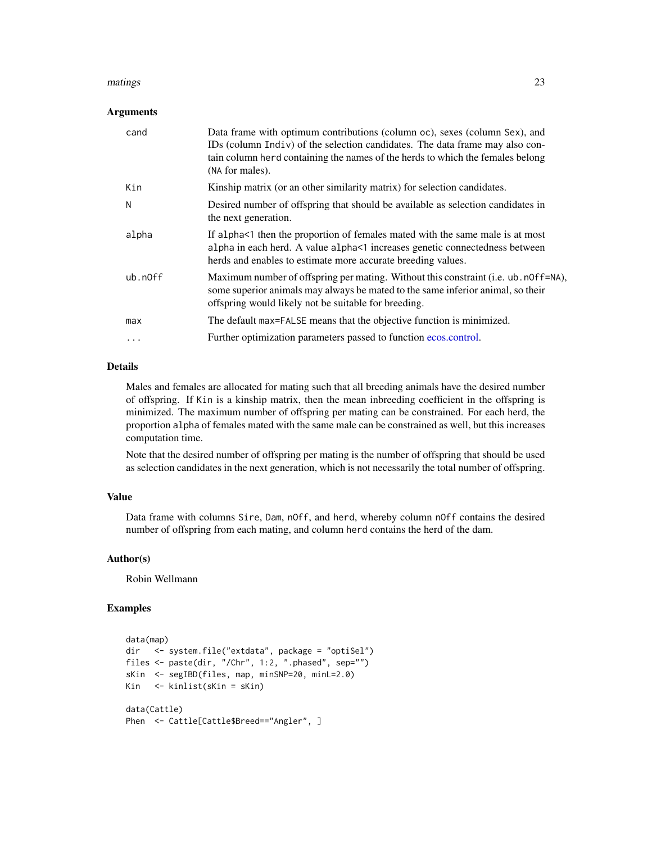#### <span id="page-22-0"></span>matings 23

#### Arguments

| cand     | Data frame with optimum contributions (column oc), sexes (column Sex), and<br>IDs (column Indiv) of the selection candidates. The data frame may also con-<br>tain column herd containing the names of the herds to which the females belong<br>(NA for males). |
|----------|-----------------------------------------------------------------------------------------------------------------------------------------------------------------------------------------------------------------------------------------------------------------|
| Kin      | Kinship matrix (or an other similarity matrix) for selection candidates.                                                                                                                                                                                        |
| N        | Desired number of offspring that should be available as selection candidates in<br>the next generation.                                                                                                                                                         |
| alpha    | If alpha $\leq$ 1 then the proportion of females mated with the same male is at most<br>alpha in each herd. A value alpha<1 increases genetic connectedness between<br>herds and enables to estimate more accurate breeding values.                             |
| ub.n0ff  | Maximum number of offspring per mating. Without this constraint (i.e. ub. n0ff=NA),<br>some superior animals may always be mated to the same inferior animal, so their<br>offspring would likely not be suitable for breeding.                                  |
| max      | The default max=FALSE means that the objective function is minimized.                                                                                                                                                                                           |
| $\cdots$ | Further optimization parameters passed to function ecos.control.                                                                                                                                                                                                |
|          |                                                                                                                                                                                                                                                                 |

## Details

Males and females are allocated for mating such that all breeding animals have the desired number of offspring. If Kin is a kinship matrix, then the mean inbreeding coefficient in the offspring is minimized. The maximum number of offspring per mating can be constrained. For each herd, the proportion alpha of females mated with the same male can be constrained as well, but this increases computation time.

Note that the desired number of offspring per mating is the number of offspring that should be used as selection candidates in the next generation, which is not necessarily the total number of offspring.

## Value

Data frame with columns Sire, Dam, nOff, and herd, whereby column nOff contains the desired number of offspring from each mating, and column herd contains the herd of the dam.

## Author(s)

Robin Wellmann

```
data(map)
dir <- system.file("extdata", package = "optiSel")
files <- paste(dir, "/Chr", 1:2, ".phased", sep="")
sKin <- segIBD(files, map, minSNP=20, minL=2.0)
Kin <- kinlist(sKin = sKin)
data(Cattle)
Phen <- Cattle[Cattle$Breed=="Angler", ]
```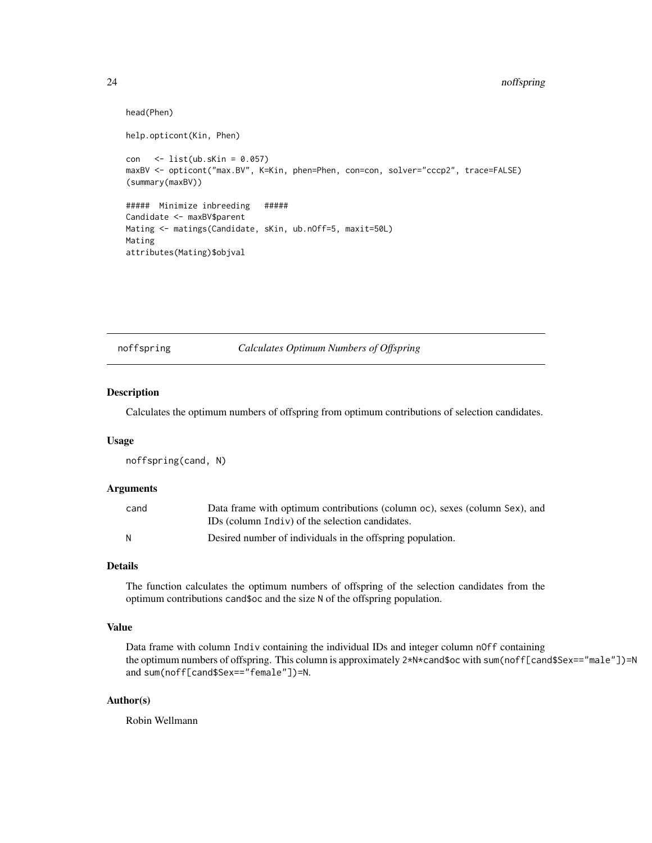```
head(Phen)
help.opticont(Kin, Phen)
con \le list(ub.sKin = 0.057)
maxBV <- opticont("max.BV", K=Kin, phen=Phen, con=con, solver="cccp2", trace=FALSE)
(summary(maxBV))
##### Minimize inbreeding #####
Candidate <- maxBV$parent
Mating <- matings(Candidate, sKin, ub.nOff=5, maxit=50L)
Mating
attributes(Mating)$objval
```
## <span id="page-23-1"></span>noffspring *Calculates Optimum Numbers of Offspring*

## Description

Calculates the optimum numbers of offspring from optimum contributions of selection candidates.

#### Usage

noffspring(cand, N)

#### **Arguments**

| cand | Data frame with optimum contributions (column oc), sexes (column Sex), and |
|------|----------------------------------------------------------------------------|
|      | IDs (column Indiv) of the selection candidates.                            |
| N    | Desired number of individuals in the offspring population.                 |

## Details

The function calculates the optimum numbers of offspring of the selection candidates from the optimum contributions cand\$oc and the size N of the offspring population.

## Value

Data frame with column Indiv containing the individual IDs and integer column nOff containing the optimum numbers of offspring. This column is approximately 2\*N\*cand\$oc with sum(noff[cand\$Sex=="male"])=N and sum(noff[cand\$Sex=="female"])=N.

## Author(s)

Robin Wellmann

<span id="page-23-0"></span>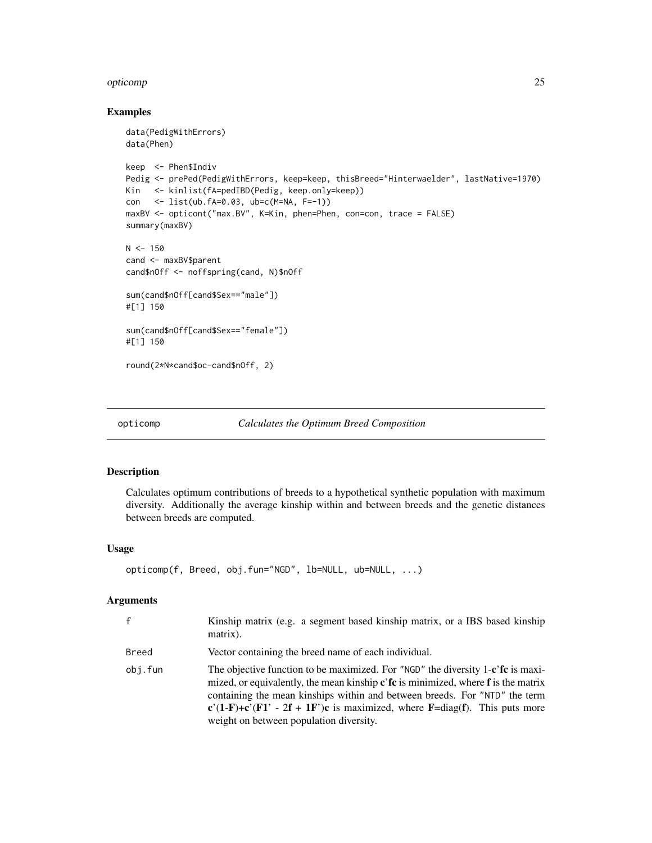#### <span id="page-24-0"></span>opticomp 25

#### Examples

```
data(PedigWithErrors)
data(Phen)
keep <- Phen$Indiv
Pedig <- prePed(PedigWithErrors, keep=keep, thisBreed="Hinterwaelder", lastNative=1970)
Kin <- kinlist(fA=pedIBD(Pedig, keep.only=keep))
con <- list(ub.fA=0.03, ub=c(M=NA, F=-1))
maxBV <- opticont("max.BV", K=Kin, phen=Phen, con=con, trace = FALSE)
summary(maxBV)
N < - 150cand <- maxBV$parent
cand$nOff <- noffspring(cand, N)$nOff
sum(cand$nOff[cand$Sex=="male"])
#[1] 150
sum(cand$nOff[cand$Sex=="female"])
#[1] 150
round(2*N*cand$oc-cand$nOff, 2)
```
<span id="page-24-1"></span>

```
opticomp Calculates the Optimum Breed Composition
```
## Description

Calculates optimum contributions of breeds to a hypothetical synthetic population with maximum diversity. Additionally the average kinship within and between breeds and the genetic distances between breeds are computed.

#### Usage

```
opticomp(f, Breed, obj.fun="NGD", lb=NULL, ub=NULL, ...)
```
#### Arguments

| $\mathsf{f}$ | Kinship matrix (e.g. a segment based kinship matrix, or a IBS based kinship<br>matrix).                                                                                                                                                                                                                                                                                                                                   |
|--------------|---------------------------------------------------------------------------------------------------------------------------------------------------------------------------------------------------------------------------------------------------------------------------------------------------------------------------------------------------------------------------------------------------------------------------|
| Breed        | Vector containing the breed name of each individual.                                                                                                                                                                                                                                                                                                                                                                      |
| obj.fun      | The objective function to be maximized. For "NGD" the diversity 1-c'fc is maxi-<br>mized, or equivalently, the mean kinship $\mathbf{c}'\mathbf{f}\mathbf{c}$ is minimized, where $\mathbf{f}$ is the matrix<br>containing the mean kinships within and between breeds. For "NTD" the term<br>$c'(1-F)+c'(F1' - 2f + 1F')c$ is maximized, where $F = diag(f)$ . This puts more<br>weight on between population diversity. |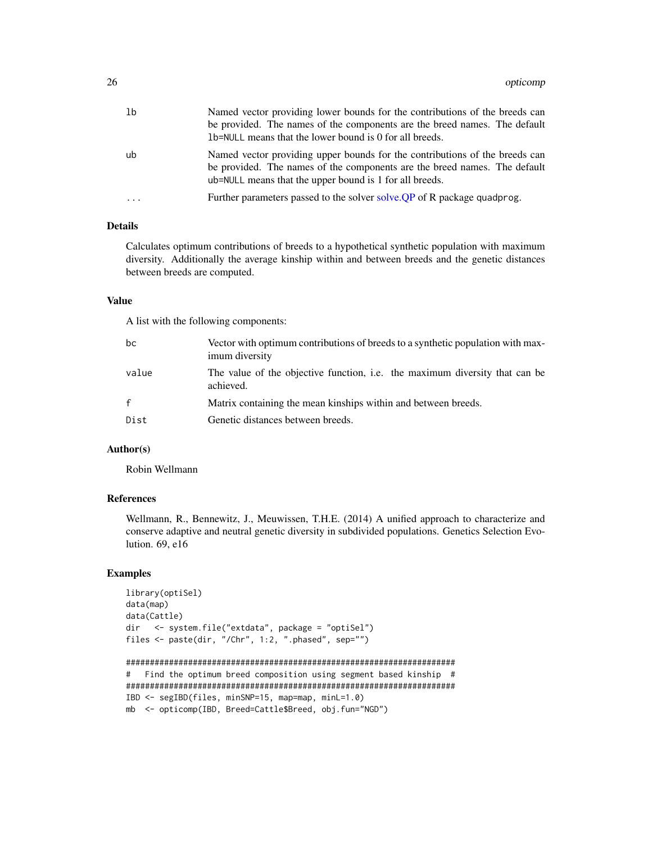<span id="page-25-0"></span>

| -1b | Named vector providing lower bounds for the contributions of the breeds can<br>be provided. The names of the components are the breed names. The default<br>1b=NULL means that the lower bound is 0 for all breeds. |
|-----|---------------------------------------------------------------------------------------------------------------------------------------------------------------------------------------------------------------------|
| ub  | Named vector providing upper bounds for the contributions of the breeds can<br>be provided. The names of the components are the breed names. The default<br>ub=NULL means that the upper bound is 1 for all breeds. |
| .   | Further parameters passed to the solver solve. QP of R package quadprog.                                                                                                                                            |

#### Details

Calculates optimum contributions of breeds to a hypothetical synthetic population with maximum diversity. Additionally the average kinship within and between breeds and the genetic distances between breeds are computed.

#### Value

A list with the following components:

| bc           | Vector with optimum contributions of breeds to a synthetic population with max-<br>imum diversity |
|--------------|---------------------------------------------------------------------------------------------------|
| value        | The value of the objective function, i.e. the maximum diversity that can be<br>achieved.          |
| $\mathbf{f}$ | Matrix containing the mean kinships within and between breeds.                                    |
| Dist         | Genetic distances between breeds.                                                                 |

## Author(s)

Robin Wellmann

## References

Wellmann, R., Bennewitz, J., Meuwissen, T.H.E. (2014) A unified approach to characterize and conserve adaptive and neutral genetic diversity in subdivided populations. Genetics Selection Evolution. 69, e16

```
library(optiSel)
data(map)
data(Cattle)
dir <- system.file("extdata", package = "optiSel")
files <- paste(dir, "/Chr", 1:2, ".phased", sep="")
```

```
#####################################################################
# Find the optimum breed composition using segment based kinship #
#####################################################################
IBD <- segIBD(files, minSNP=15, map=map, minL=1.0)
mb <- opticomp(IBD, Breed=Cattle$Breed, obj.fun="NGD")
```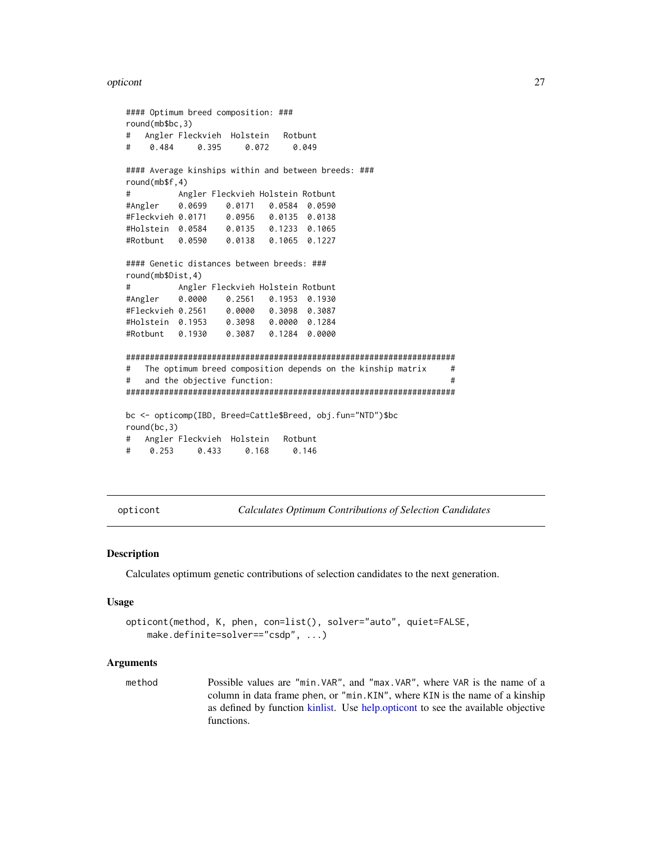#### <span id="page-26-0"></span>opticont 27

```
#### Optimum breed composition: ###
round(mb$bc,3)
# Angler Fleckvieh Holstein Rotbunt
# 0.484 0.395 0.072 0.049
#### Average kinships within and between breeds: ###
round(mb$f,4)
# Angler Fleckvieh Holstein Rotbunt
#Angler 0.0699 0.0171 0.0584 0.0590
#Fleckvieh 0.0171 0.0956 0.0135 0.0138
#Holstein 0.0584 0.0135 0.1233 0.1065
#Rotbunt 0.0590 0.0138 0.1065 0.1227
#### Genetic distances between breeds: ###
round(mb$Dist,4)
# Angler Fleckvieh Holstein Rotbunt
#Angler 0.0000 0.2561 0.1953 0.1930
#Fleckvieh 0.2561 0.0000 0.3098 0.3087
#Holstein 0.1953 0.3098 0.0000 0.1284
#Rotbunt 0.1930 0.3087 0.1284 0.0000
#####################################################################
# The optimum breed composition depends on the kinship matrix #
# and the objective function: #
#####################################################################
bc <- opticomp(IBD, Breed=Cattle$Breed, obj.fun="NTD")$bc
round(bc,3)
# Angler Fleckvieh Holstein Rotbunt
# 0.253 0.433 0.168 0.146
```
<span id="page-26-1"></span>opticont *Calculates Optimum Contributions of Selection Candidates*

#### **Description**

Calculates optimum genetic contributions of selection candidates to the next generation.

#### Usage

```
opticont(method, K, phen, con=list(), solver="auto", quiet=FALSE,
   make.definite=solver=="csdp", ...)
```
#### Arguments

method Possible values are "min.VAR", and "max.VAR", where VAR is the name of a column in data frame phen, or "min.KIN", where KIN is the name of a kinship as defined by function [kinlist.](#page-18-1) Use [help.opticont](#page-16-1) to see the available objective functions.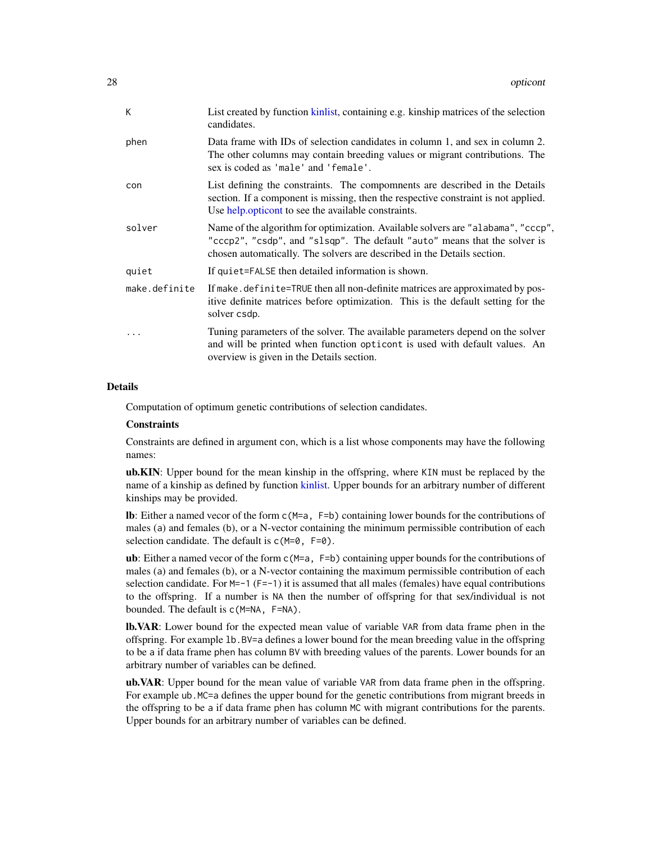<span id="page-27-0"></span>

| K             | List created by function kinlist, containing e.g. kinship matrices of the selection<br>candidates.                                                                                                                                       |
|---------------|------------------------------------------------------------------------------------------------------------------------------------------------------------------------------------------------------------------------------------------|
| phen          | Data frame with IDs of selection candidates in column 1, and sex in column 2.<br>The other columns may contain breeding values or migrant contributions. The<br>sex is coded as 'male' and 'female'.                                     |
| con           | List defining the constraints. The compomnents are described in the Details<br>section. If a component is missing, then the respective constraint is not applied.<br>Use help opticont to see the available constraints.                 |
| solver        | Name of the algorithm for optimization. Available solvers are "alabama", "cccp",<br>"cccp2", "csdp", and "slsqp". The default "auto" means that the solver is<br>chosen automatically. The solvers are described in the Details section. |
| quiet         | If quiet=FALSE then detailed information is shown.                                                                                                                                                                                       |
| make.definite | If make, definite=TRUE then all non-definite matrices are approximated by pos-<br>itive definite matrices before optimization. This is the default setting for the<br>solver csdp.                                                       |
|               | Tuning parameters of the solver. The available parameters depend on the solver<br>and will be printed when function opticont is used with default values. An<br>overview is given in the Details section.                                |

#### Details

Computation of optimum genetic contributions of selection candidates.

#### **Constraints**

Constraints are defined in argument con, which is a list whose components may have the following names:

ub.KIN: Upper bound for the mean kinship in the offspring, where KIN must be replaced by the name of a kinship as defined by function [kinlist.](#page-18-1) Upper bounds for an arbitrary number of different kinships may be provided.

lb: Either a named vecor of the form c(M=a, F=b) containing lower bounds for the contributions of males (a) and females (b), or a N-vector containing the minimum permissible contribution of each selection candidate. The default is  $c(M=0, F=0)$ .

ub: Either a named vecor of the form  $c(M=a, F=b)$  containing upper bounds for the contributions of males (a) and females (b), or a N-vector containing the maximum permissible contribution of each selection candidate. For  $M=-1$  (F=-1) it is assumed that all males (females) have equal contributions to the offspring. If a number is NA then the number of offspring for that sex/individual is not bounded. The default is c(M=NA, F=NA).

lb.VAR: Lower bound for the expected mean value of variable VAR from data frame phen in the offspring. For example lb.BV=a defines a lower bound for the mean breeding value in the offspring to be a if data frame phen has column BV with breeding values of the parents. Lower bounds for an arbitrary number of variables can be defined.

ub.VAR: Upper bound for the mean value of variable VAR from data frame phen in the offspring. For example ub.MC=a defines the upper bound for the genetic contributions from migrant breeds in the offspring to be a if data frame phen has column MC with migrant contributions for the parents. Upper bounds for an arbitrary number of variables can be defined.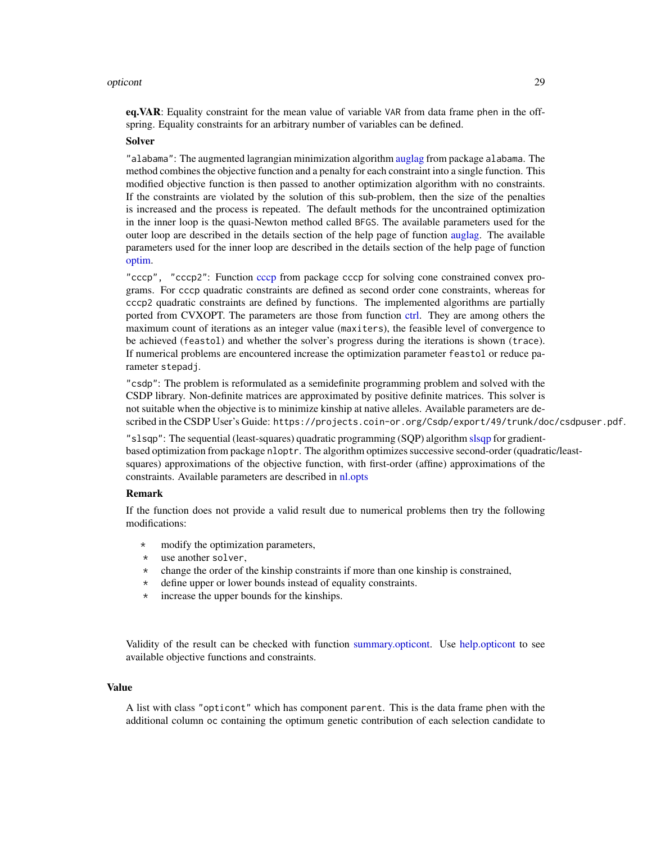#### <span id="page-28-0"></span>opticont 29

eq. VAR: Equality constraint for the mean value of variable VAR from data frame phen in the offspring. Equality constraints for an arbitrary number of variables can be defined.

#### Solver

"alabama": The augmented lagrangian minimization algorithm [auglag](#page-0-0) from package alabama. The method combines the objective function and a penalty for each constraint into a single function. This modified objective function is then passed to another optimization algorithm with no constraints. If the constraints are violated by the solution of this sub-problem, then the size of the penalties is increased and the process is repeated. The default methods for the uncontrained optimization in the inner loop is the quasi-Newton method called BFGS. The available parameters used for the outer loop are described in the details section of the help page of function [auglag.](#page-0-0) The available parameters used for the inner loop are described in the details section of the help page of function [optim.](#page-0-0)

"cccp", "cccp2": Function [cccp](#page-0-0) from package cccp for solving cone constrained convex programs. For cccp quadratic constraints are defined as second order cone constraints, whereas for cccp2 quadratic constraints are defined by functions. The implemented algorithms are partially ported from CVXOPT. The parameters are those from function [ctrl.](#page-0-0) They are among others the maximum count of iterations as an integer value (maxiters), the feasible level of convergence to be achieved (feastol) and whether the solver's progress during the iterations is shown (trace). If numerical problems are encountered increase the optimization parameter feastol or reduce parameter stepadj.

"csdp": The problem is reformulated as a semidefinite programming problem and solved with the CSDP library. Non-definite matrices are approximated by positive definite matrices. This solver is not suitable when the objective is to minimize kinship at native alleles. Available parameters are described in the CSDP User's Guide: https://projects.coin-or.org/Csdp/export/49/trunk/doc/csdpuser.pdf.

"slsqp": The sequential (least-squares) quadratic programming (SQP) algorithm [slsqp](#page-0-0) for gradientbased optimization from package nloptr. The algorithm optimizes successive second-order (quadratic/leastsquares) approximations of the objective function, with first-order (affine) approximations of the constraints. Available parameters are described in [nl.opts](#page-0-0)

#### Remark

If the function does not provide a valid result due to numerical problems then try the following modifications:

- modify the optimization parameters,
- \* use another solver,
- \* change the order of the kinship constraints if more than one kinship is constrained,
- \* define upper or lower bounds instead of equality constraints.
- \* increase the upper bounds for the kinships.

Validity of the result can be checked with function [summary.opticont.](#page-67-1) Use [help.opticont](#page-16-1) to see available objective functions and constraints.

#### Value

A list with class "opticont" which has component parent. This is the data frame phen with the additional column oc containing the optimum genetic contribution of each selection candidate to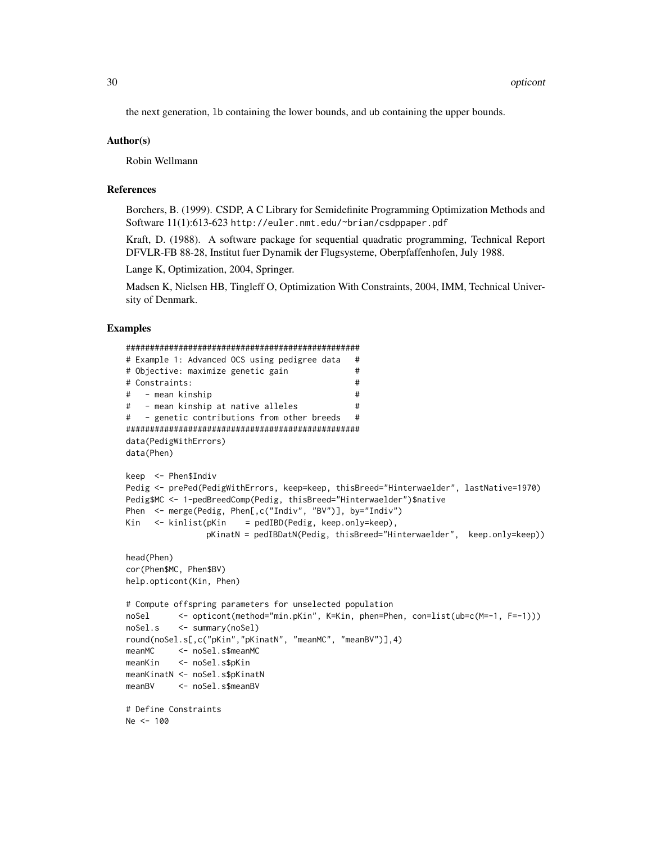the next generation, lb containing the lower bounds, and ub containing the upper bounds.

#### Author(s)

Robin Wellmann

## References

Borchers, B. (1999). CSDP, A C Library for Semidefinite Programming Optimization Methods and Software 11(1):613-623 http://euler.nmt.edu/~brian/csdppaper.pdf

Kraft, D. (1988). A software package for sequential quadratic programming, Technical Report DFVLR-FB 88-28, Institut fuer Dynamik der Flugsysteme, Oberpfaffenhofen, July 1988.

Lange K, Optimization, 2004, Springer.

Madsen K, Nielsen HB, Tingleff O, Optimization With Constraints, 2004, IMM, Technical University of Denmark.

```
#################################################
# Example 1: Advanced OCS using pedigree data #
# Objective: maximize genetic gain #
# Constraints: #
# - mean kinship #
# - mean kinship at native alleles #
# - genetic contributions from other breeds #
#################################################
data(PedigWithErrors)
data(Phen)
keep <- Phen$Indiv
Pedig <- prePed(PedigWithErrors, keep=keep, thisBreed="Hinterwaelder", lastNative=1970)
Pedig$MC <- 1-pedBreedComp(Pedig, thisBreed="Hinterwaelder")$native
Phen <- merge(Pedig, Phen[,c("Indiv", "BV")], by="Indiv")
Kin <- kinlist(pKin = pedIBD(Pedig, keep.only=keep),
               pKinatN = pedIBDatN(Pedig, thisBreed="Hinterwaelder", keep.only=keep))
head(Phen)
cor(Phen$MC, Phen$BV)
help.opticont(Kin, Phen)
# Compute offspring parameters for unselected population
noSel <- opticont(method="min.pKin", K=Kin, phen=Phen, con=list(ub=c(M=-1, F=-1)))
noSel.s <- summary(noSel)
round(noSel.s[,c("pKin","pKinatN", "meanMC", "meanBV")],4)
meanMC <- noSel.s$meanMC
meanKin <- noSel.s$pKin
meanKinatN <- noSel.s$pKinatN
meanBV <- noSel.s$meanBV
# Define Constraints
Ne < -100
```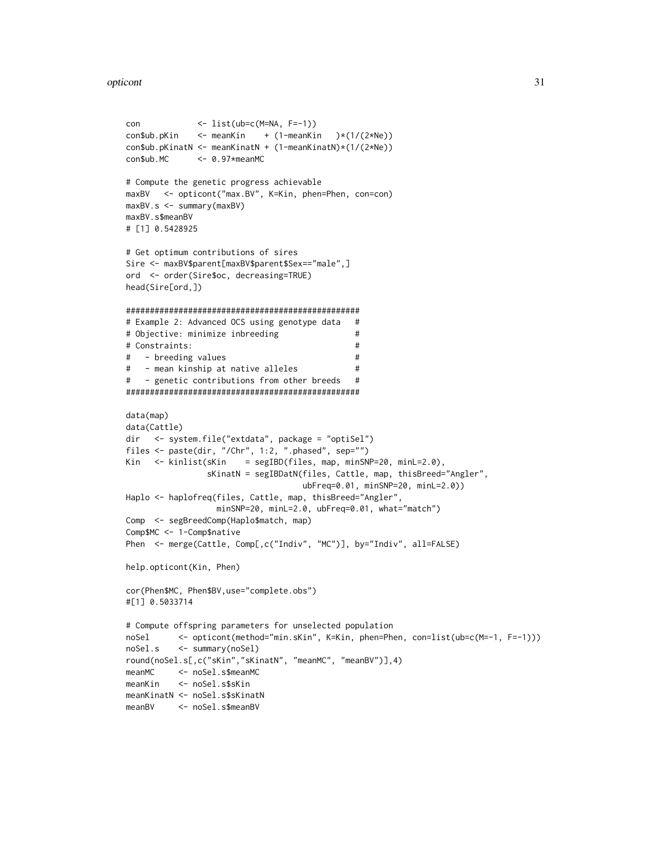#### opticont 31

```
con <- list(ub=c(M=NA, F=-1))
\text{conSub.pKin} <- meanKin + (1-meanKin )*(1/(2*Ne))
con$ub.pKinatN <- meanKinatN + (1-meanKinatN)*(1/(2*Ne))
con$ub.MC <- 0.97*meanMC
# Compute the genetic progress achievable
maxBV <- opticont("max.BV", K=Kin, phen=Phen, con=con)
maxBV.s <- summary(maxBV)
maxBV.s$meanBV
# [1] 0.5428925
# Get optimum contributions of sires
Sire <- maxBV$parent[maxBV$parent$Sex=="male",]
ord <- order(Sire$oc, decreasing=TRUE)
head(Sire[ord,])
#################################################
# Example 2: Advanced OCS using genotype data #
# Objective: minimize inbreeding ## Constraints: #
# - breeding values #
# - mean kinship at native alleles #
# - genetic contributions from other breeds #
#################################################
data(map)
data(Cattle)
dir <- system.file("extdata", package = "optiSel")
files <- paste(dir, "/Chr", 1:2, ".phased", sep="")
Kin <- kinlist(sKin = segIBD(files, map, minSNP=20, minL=2.0),
               sKinatN = segIBDatN(files, Cattle, map, thisBreed="Angler",
                                  ubFreq=0.01, minSNP=20, minL=2.0))
Haplo <- haplofreq(files, Cattle, map, thisBreed="Angler",
                 minSNP=20, minL=2.0, ubFreq=0.01, what="match")
Comp <- segBreedComp(Haplo$match, map)
Comp$MC <- 1-Comp$native
Phen <- merge(Cattle, Comp[,c("Indiv", "MC")], by="Indiv", all=FALSE)
help.opticont(Kin, Phen)
cor(Phen$MC, Phen$BV,use="complete.obs")
#[1] 0.5033714
# Compute offspring parameters for unselected population
noSel <- opticont(method="min.sKin", K=Kin, phen=Phen, con=list(ub=c(M=-1, F=-1)))
noSel.s <- summary(noSel)
round(noSel.s[,c("sKin","sKinatN", "meanMC", "meanBV")],4)
meanMC <- noSel.s$meanMC
meanKin <- noSel.s$sKin
meanKinatN <- noSel.s$sKinatN
meanBV <- noSel.s$meanBV
```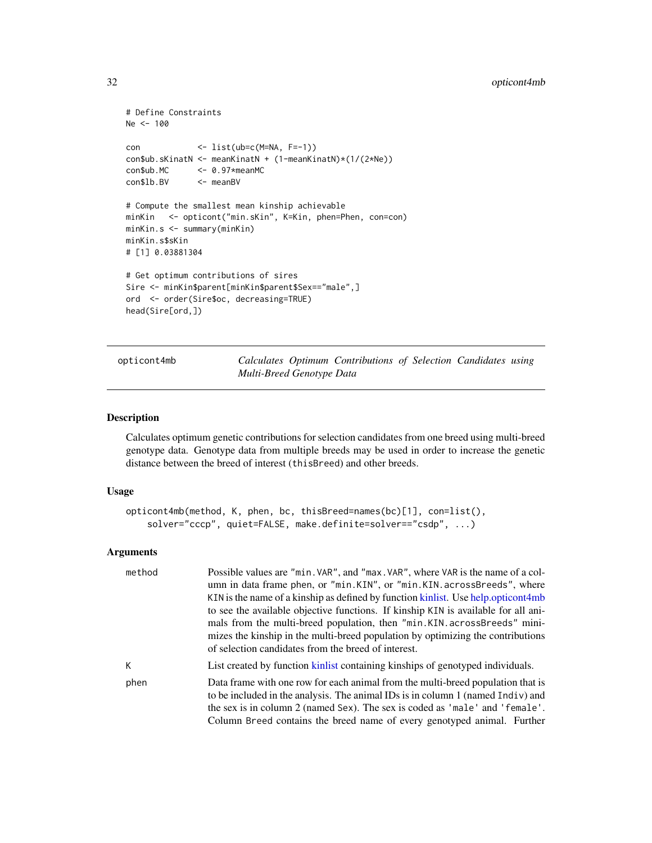```
# Define Constraints
Ne <- 100
con <- list(ub=c(M=NA, F=-1))
con$ub.sKinatN <- meanKinatN + (1-meanKinatN)*(1/(2*Ne))
con$ub.MC <- 0.97*meanMC
con$lb.BV <- meanBV
# Compute the smallest mean kinship achievable
minKin <- opticont("min.sKin", K=Kin, phen=Phen, con=con)
minKin.s <- summary(minKin)
minKin.s$sKin
# [1] 0.03881304
# Get optimum contributions of sires
Sire <- minKin$parent[minKin$parent$Sex=="male",]
ord <- order(Sire$oc, decreasing=TRUE)
head(Sire[ord,])
```
<span id="page-31-1"></span>opticont4mb *Calculates Optimum Contributions of Selection Candidates using Multi-Breed Genotype Data*

#### Description

Calculates optimum genetic contributions for selection candidates from one breed using multi-breed genotype data. Genotype data from multiple breeds may be used in order to increase the genetic distance between the breed of interest (thisBreed) and other breeds.

#### Usage

```
opticont4mb(method, K, phen, bc, thisBreed=names(bc)[1], con=list(),
    solver="cccp", quiet=FALSE, make.definite=solver=="csdp", ...)
```
#### Arguments

| method | Possible values are "min. VAR", and "max. VAR", where VAR is the name of a col-<br>umn in data frame phen, or "min.KIN", or "min.KIN.acrossBreeds", where<br>KIN is the name of a kinship as defined by function kinlist. Use help opticont 4mb<br>to see the available objective functions. If kinship KIN is available for all ani- |
|--------|---------------------------------------------------------------------------------------------------------------------------------------------------------------------------------------------------------------------------------------------------------------------------------------------------------------------------------------|
|        | mals from the multi-breed population, then "min.KIN.acrossBreeds" mini-<br>mizes the kinship in the multi-breed population by optimizing the contributions<br>of selection candidates from the breed of interest.                                                                                                                     |
| К      | List created by function kinlist containing kinships of genotyped individuals.                                                                                                                                                                                                                                                        |
| phen   | Data frame with one row for each animal from the multi-breed population that is<br>to be included in the analysis. The animal IDs is in column 1 (named Indiv) and<br>the sex is in column 2 (named Sex). The sex is coded as 'male' and 'female'.<br>Column Breed contains the breed name of every genotyped animal. Further         |

<span id="page-31-0"></span>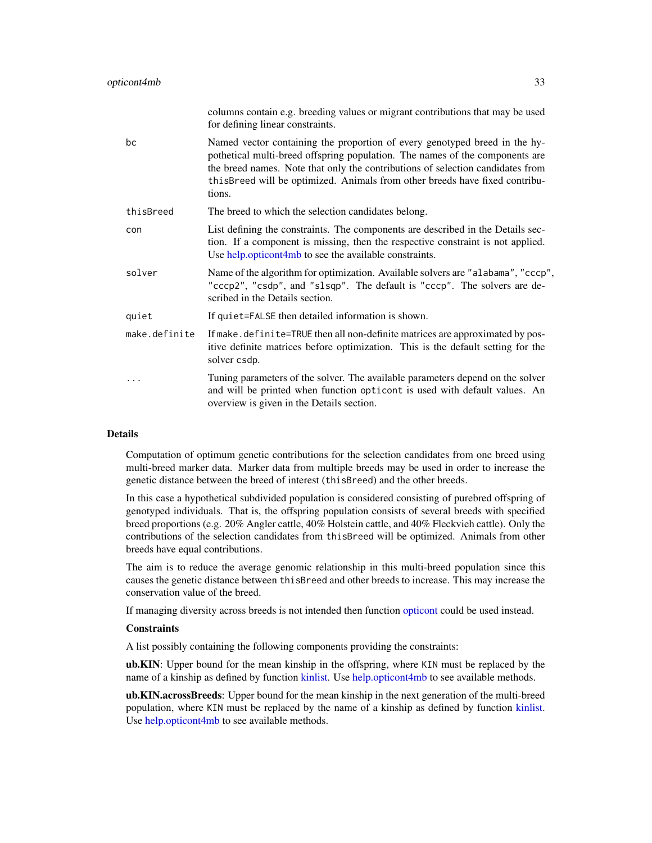<span id="page-32-0"></span>

|               | columns contain e.g. breeding values or migrant contributions that may be used<br>for defining linear constraints.                                                                                                                                                                                                                     |
|---------------|----------------------------------------------------------------------------------------------------------------------------------------------------------------------------------------------------------------------------------------------------------------------------------------------------------------------------------------|
| bc            | Named vector containing the proportion of every genotyped breed in the hy-<br>pothetical multi-breed offspring population. The names of the components are<br>the breed names. Note that only the contributions of selection candidates from<br>this Breed will be optimized. Animals from other breeds have fixed contribu-<br>tions. |
| thisBreed     | The breed to which the selection candidates belong.                                                                                                                                                                                                                                                                                    |
| con           | List defining the constraints. The components are described in the Details sec-<br>tion. If a component is missing, then the respective constraint is not applied.<br>Use help.opticont4mb to see the available constraints.                                                                                                           |
| solver        | Name of the algorithm for optimization. Available solvers are "alabama", "cccp",<br>"cccp2", "csdp", and "slsqp". The default is "cccp". The solvers are de-<br>scribed in the Details section.                                                                                                                                        |
| quiet         | If quiet=FALSE then detailed information is shown.                                                                                                                                                                                                                                                                                     |
| make.definite | If make . definite=TRUE then all non-definite matrices are approximated by pos-<br>itive definite matrices before optimization. This is the default setting for the<br>solver csdp.                                                                                                                                                    |
| .             | Tuning parameters of the solver. The available parameters depend on the solver<br>and will be printed when function opticont is used with default values. An<br>overview is given in the Details section.                                                                                                                              |

## Details

Computation of optimum genetic contributions for the selection candidates from one breed using multi-breed marker data. Marker data from multiple breeds may be used in order to increase the genetic distance between the breed of interest (thisBreed) and the other breeds.

In this case a hypothetical subdivided population is considered consisting of purebred offspring of genotyped individuals. That is, the offspring population consists of several breeds with specified breed proportions (e.g. 20% Angler cattle, 40% Holstein cattle, and 40% Fleckvieh cattle). Only the contributions of the selection candidates from thisBreed will be optimized. Animals from other breeds have equal contributions.

The aim is to reduce the average genomic relationship in this multi-breed population since this causes the genetic distance between thisBreed and other breeds to increase. This may increase the conservation value of the breed.

If managing diversity across breeds is not intended then function [opticont](#page-26-1) could be used instead.

#### **Constraints**

A list possibly containing the following components providing the constraints:

ub.KIN: Upper bound for the mean kinship in the offspring, where KIN must be replaced by the name of a kinship as defined by function [kinlist.](#page-18-1) Use [help.opticont4mb](#page-17-1) to see available methods.

ub.KIN.acrossBreeds: Upper bound for the mean kinship in the next generation of the multi-breed population, where KIN must be replaced by the name of a kinship as defined by function [kinlist.](#page-18-1) Use [help.opticont4mb](#page-17-1) to see available methods.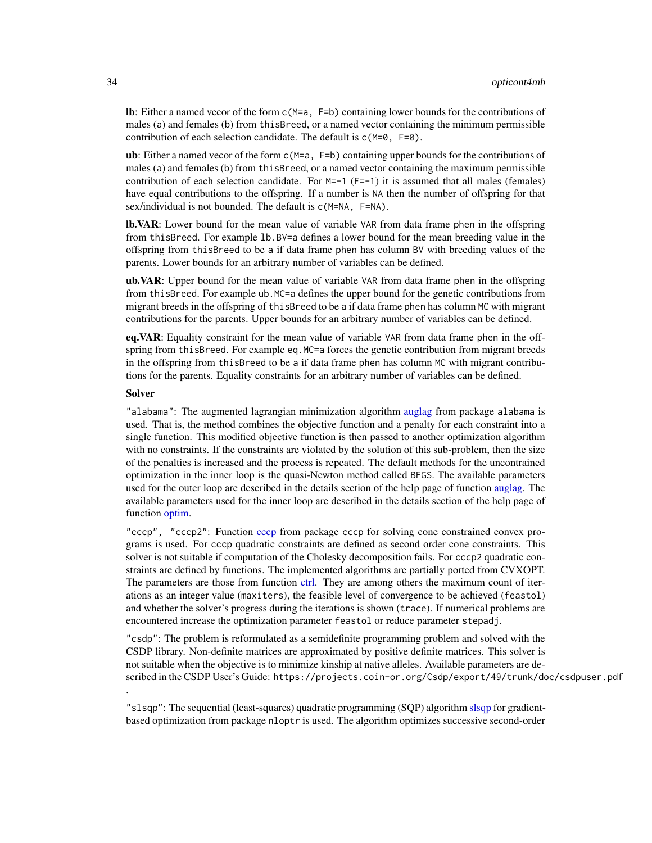<span id="page-33-0"></span>lb: Either a named vecor of the form c(M=a, F=b) containing lower bounds for the contributions of males (a) and females (b) from thisBreed, or a named vector containing the minimum permissible contribution of each selection candidate. The default is c(M=0, F=0).

ub: Either a named vecor of the form  $c(M=a, F=b)$  containing upper bounds for the contributions of males (a) and females (b) from thisBreed, or a named vector containing the maximum permissible contribution of each selection candidate. For  $M=-1$  (F=-1) it is assumed that all males (females) have equal contributions to the offspring. If a number is NA then the number of offspring for that sex/individual is not bounded. The default is  $c(M=NA, F=NA)$ .

**lb.VAR**: Lower bound for the mean value of variable VAR from data frame phen in the offspring from thisBreed. For example lb.BV=a defines a lower bound for the mean breeding value in the offspring from thisBreed to be a if data frame phen has column BV with breeding values of the parents. Lower bounds for an arbitrary number of variables can be defined.

ub. VAR: Upper bound for the mean value of variable VAR from data frame phen in the offspring from thisBreed. For example ub.MC=a defines the upper bound for the genetic contributions from migrant breeds in the offspring of thisBreed to be a if data frame phen has column MC with migrant contributions for the parents. Upper bounds for an arbitrary number of variables can be defined.

eq. VAR: Equality constraint for the mean value of variable VAR from data frame phen in the offspring from thisBreed. For example eq.MC=a forces the genetic contribution from migrant breeds in the offspring from thisBreed to be a if data frame phen has column MC with migrant contributions for the parents. Equality constraints for an arbitrary number of variables can be defined.

## Solver

.

"alabama": The augmented lagrangian minimization algorithm [auglag](#page-0-0) from package alabama is used. That is, the method combines the objective function and a penalty for each constraint into a single function. This modified objective function is then passed to another optimization algorithm with no constraints. If the constraints are violated by the solution of this sub-problem, then the size of the penalties is increased and the process is repeated. The default methods for the uncontrained optimization in the inner loop is the quasi-Newton method called BFGS. The available parameters used for the outer loop are described in the details section of the help page of function [auglag.](#page-0-0) The available parameters used for the inner loop are described in the details section of the help page of function [optim.](#page-0-0)

"cccp", "cccp2": Function [cccp](#page-0-0) from package cccp for solving cone constrained convex programs is used. For cccp quadratic constraints are defined as second order cone constraints. This solver is not suitable if computation of the Cholesky decomposition fails. For cccp2 quadratic constraints are defined by functions. The implemented algorithms are partially ported from CVXOPT. The parameters are those from function [ctrl.](#page-0-0) They are among others the maximum count of iterations as an integer value (maxiters), the feasible level of convergence to be achieved (feastol) and whether the solver's progress during the iterations is shown (trace). If numerical problems are encountered increase the optimization parameter feastol or reduce parameter stepadj.

"csdp": The problem is reformulated as a semidefinite programming problem and solved with the CSDP library. Non-definite matrices are approximated by positive definite matrices. This solver is not suitable when the objective is to minimize kinship at native alleles. Available parameters are described in the CSDP User's Guide: https://projects.coin-or.org/Csdp/export/49/trunk/doc/csdpuser.pdf

"slsqp": The sequential (least-squares) quadratic programming (SQP) algorithm [slsqp](#page-0-0) for gradientbased optimization from package nloptr is used. The algorithm optimizes successive second-order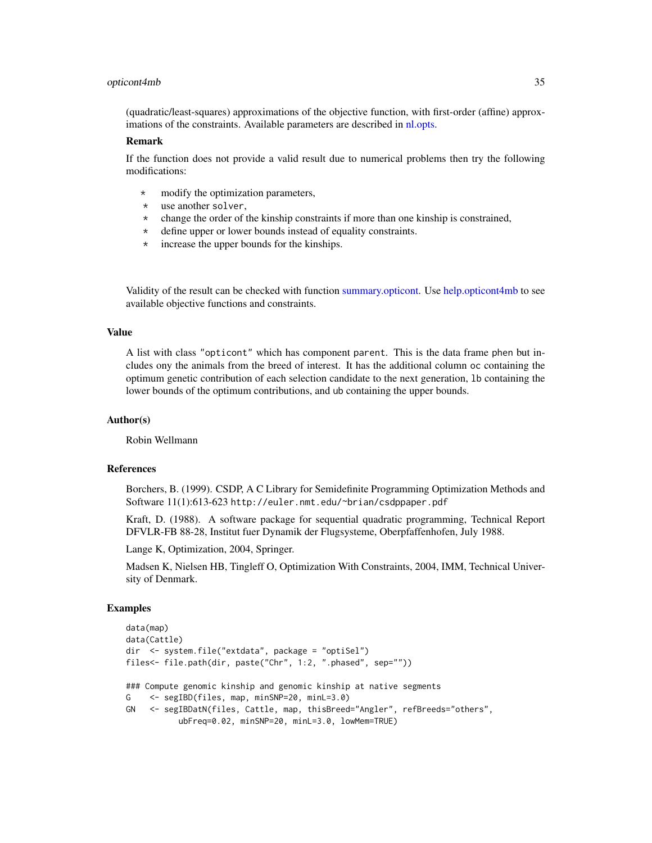#### <span id="page-34-0"></span>opticont4mb 35

(quadratic/least-squares) approximations of the objective function, with first-order (affine) approximations of the constraints. Available parameters are described in [nl.opts.](#page-0-0)

#### Remark

If the function does not provide a valid result due to numerical problems then try the following modifications:

- \* modify the optimization parameters,
- \* use another solver,
- \* change the order of the kinship constraints if more than one kinship is constrained,
- \* define upper or lower bounds instead of equality constraints.
- \* increase the upper bounds for the kinships.

Validity of the result can be checked with function [summary.opticont.](#page-67-1) Use [help.opticont4mb](#page-17-1) to see available objective functions and constraints.

## Value

A list with class "opticont" which has component parent. This is the data frame phen but includes ony the animals from the breed of interest. It has the additional column oc containing the optimum genetic contribution of each selection candidate to the next generation, lb containing the lower bounds of the optimum contributions, and ub containing the upper bounds.

## Author(s)

Robin Wellmann

#### References

Borchers, B. (1999). CSDP, A C Library for Semidefinite Programming Optimization Methods and Software 11(1):613-623 http://euler.nmt.edu/~brian/csdppaper.pdf

Kraft, D. (1988). A software package for sequential quadratic programming, Technical Report DFVLR-FB 88-28, Institut fuer Dynamik der Flugsysteme, Oberpfaffenhofen, July 1988.

Lange K, Optimization, 2004, Springer.

Madsen K, Nielsen HB, Tingleff O, Optimization With Constraints, 2004, IMM, Technical University of Denmark.

```
data(map)
data(Cattle)
dir <- system.file("extdata", package = "optiSel")
files<- file.path(dir, paste("Chr", 1:2, ".phased", sep=""))
### Compute genomic kinship and genomic kinship at native segments
G <- segIBD(files, map, minSNP=20, minL=3.0)
GN <- segIBDatN(files, Cattle, map, thisBreed="Angler", refBreeds="others",
          ubFreq=0.02, minSNP=20, minL=3.0, lowMem=TRUE)
```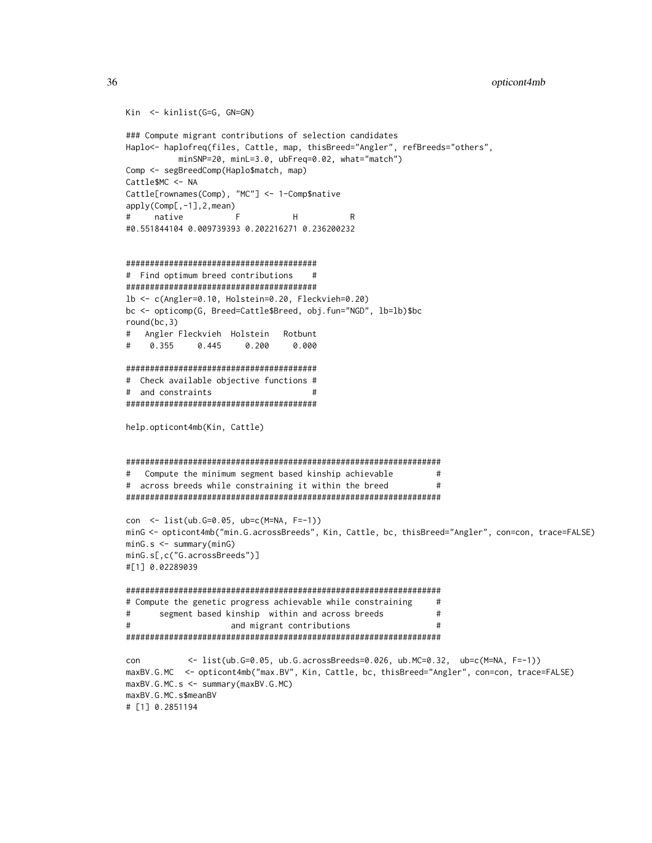```
Kin <- kinlist(G=G, GN=GN)
### Compute migrant contributions of selection candidates
Haplo<- haplofreq(files, Cattle, map, thisBreed="Angler", refBreeds="others",
          minSNP=20, minL=3.0, ubFreq=0.02, what="match")
Comp <- segBreedComp(Haplo$match, map)
Cattle$MC <- NA
Cattle[rownames(Comp), "MC"] <- 1-Comp$native
apply(Comp[,-1],2,mean)
# native F H R
#0.551844104 0.009739393 0.202216271 0.236200232
########################################
# Find optimum breed contributions #
########################################
lb <- c(Angler=0.10, Holstein=0.20, Fleckvieh=0.20)
bc <- opticomp(G, Breed=Cattle$Breed, obj.fun="NGD", lb=lb)$bc
round(bc,3)
# Angler Fleckvieh Holstein Rotbunt
# 0.355 0.445 0.200 0.000
########################################
# Check available objective functions #
# and constraints #
########################################
help.opticont4mb(Kin, Cattle)
##################################################################
# Compute the minimum segment based kinship achievable #
# across breeds while constraining it within the breed \qquad \qquad \###################################################################
con <- list(ub.G=0.05, ub=c(M=NA, F=-1))
minG <- opticont4mb("min.G.acrossBreeds", Kin, Cattle, bc, thisBreed="Angler", con=con, trace=FALSE)
minG.s <- summary(minG)
minG.s[,c("G.acrossBreeds")]
#[1] 0.02289039
##################################################################
# Compute the genetic progress achievable while constraining #
# segment based kinship within and across breeds #
# and migrant contributions #
##################################################################
con <- list(ub.G=0.05, ub.G.acrossBreeds=0.026, ub.MC=0.32, ub=c(M=NA, F=-1))
maxBV.G.MC <- opticont4mb("max.BV", Kin, Cattle, bc, thisBreed="Angler", con=con, trace=FALSE)
maxBV.G.MC.s <- summary(maxBV.G.MC)
maxBV.G.MC.s$meanBV
# [1] 0.2851194
```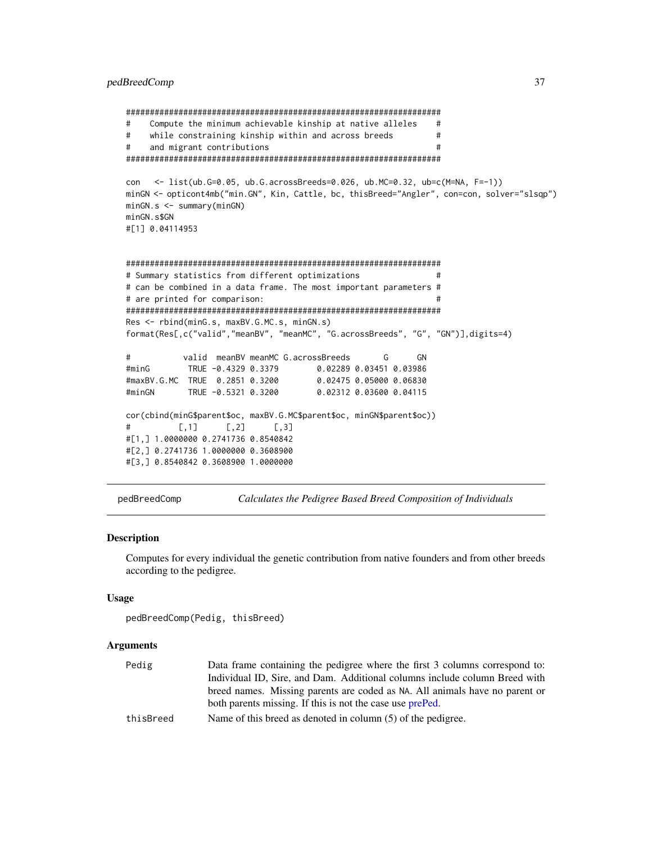```
##################################################################
# Compute the minimum achievable kinship at native alleles #
# while constraining kinship within and across breeds #
# and migrant contributions #
##################################################################
con <- list(ub.G=0.05, ub.G.acrossBreeds=0.026, ub.MC=0.32, ub=c(M=NA, F=-1))
minGN <- opticont4mb("min.GN", Kin, Cattle, bc, thisBreed="Angler", con=con, solver="slsqp")
minGN.s <- summary(minGN)
minGN.s$GN
#[1] 0.04114953
##################################################################
# Summary statistics from different optimizations #
# can be combined in a data frame. The most important parameters #
# are printed for comparison: #
##################################################################
Res <- rbind(minG.s, maxBV.G.MC.s, minGN.s)
format(Res[,c("valid","meanBV", "meanMC", "G.acrossBreeds", "G", "GN")],digits=4)
# valid meanBV meanMC G.acrossBreeds G GN
#minG TRUE -0.4329 0.3379 0.02289 0.03451 0.03986
#maxBV.G.MC TRUE 0.2851 0.3200 0.02475 0.05000 0.06830
#minGN TRUE -0.5321 0.3200 0.02312 0.03600 0.04115
cor(cbind(minG$parent$oc, maxBV.G.MC$parent$oc, minGN$parent$oc))
\sharp [,1] [,2] [,3]
#[1,] 1.0000000 0.2741736 0.8540842
#[2,] 0.2741736 1.0000000 0.3608900
#[3,] 0.8540842 0.3608900 1.0000000
```
<span id="page-36-1"></span>pedBreedComp *Calculates the Pedigree Based Breed Composition of Individuals*

## Description

Computes for every individual the genetic contribution from native founders and from other breeds according to the pedigree.

#### Usage

```
pedBreedComp(Pedig, thisBreed)
```
#### Arguments

| Pedig     | Data frame containing the pedigree where the first 3 columns correspond to: |
|-----------|-----------------------------------------------------------------------------|
|           | Individual ID, Sire, and Dam. Additional columns include column Breed with  |
|           | breed names. Missing parents are coded as NA. All animals have no parent or |
|           | both parents missing. If this is not the case use prePed.                   |
| thisBreed | Name of this breed as denoted in column $(5)$ of the pedigree.              |
|           |                                                                             |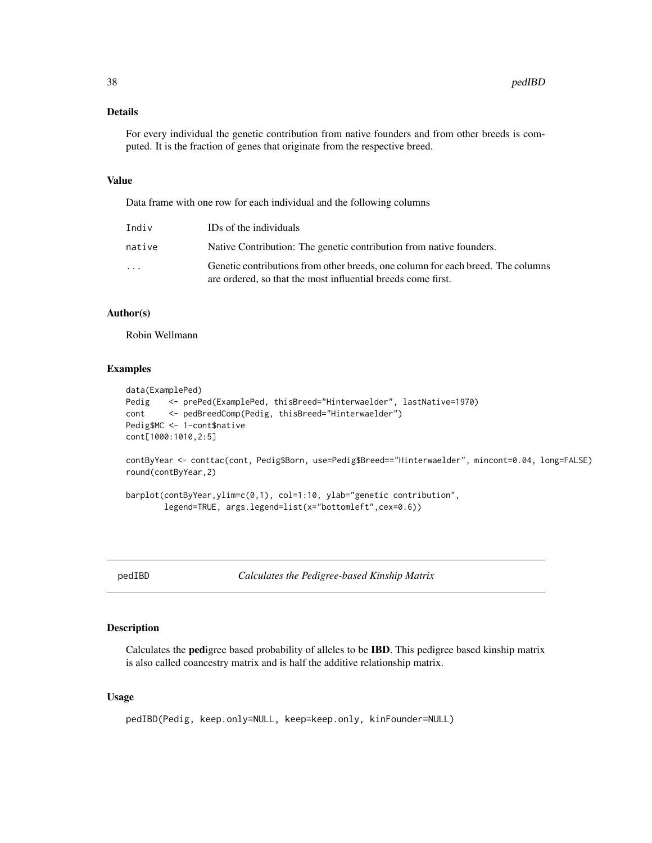## <span id="page-37-0"></span>Details

For every individual the genetic contribution from native founders and from other breeds is computed. It is the fraction of genes that originate from the respective breed.

## Value

Data frame with one row for each individual and the following columns

| Indiv                   | IDs of the individuals                                                                                                                          |
|-------------------------|-------------------------------------------------------------------------------------------------------------------------------------------------|
| native                  | Native Contribution: The genetic contribution from native founders.                                                                             |
| $\cdot$ $\cdot$ $\cdot$ | Genetic contributions from other breeds, one column for each breed. The columns<br>are ordered, so that the most influential breeds come first. |

## Author(s)

Robin Wellmann

## Examples

```
data(ExamplePed)
Pedig <- prePed(ExamplePed, thisBreed="Hinterwaelder", lastNative=1970)
cont <- pedBreedComp(Pedig, thisBreed="Hinterwaelder")
Pedig$MC <- 1-cont$native
cont[1000:1010,2:5]
```
contByYear <- conttac(cont, Pedig\$Born, use=Pedig\$Breed=="Hinterwaelder", mincont=0.04, long=FALSE) round(contByYear,2)

barplot(contByYear,ylim=c(0,1), col=1:10, ylab="genetic contribution", legend=TRUE, args.legend=list(x="bottomleft",cex=0.6))

<span id="page-37-1"></span>

pedIBD *Calculates the Pedigree-based Kinship Matrix*

## Description

Calculates the pedigree based probability of alleles to be IBD. This pedigree based kinship matrix is also called coancestry matrix and is half the additive relationship matrix.

## Usage

```
pedIBD(Pedig, keep.only=NULL, keep=keep.only, kinFounder=NULL)
```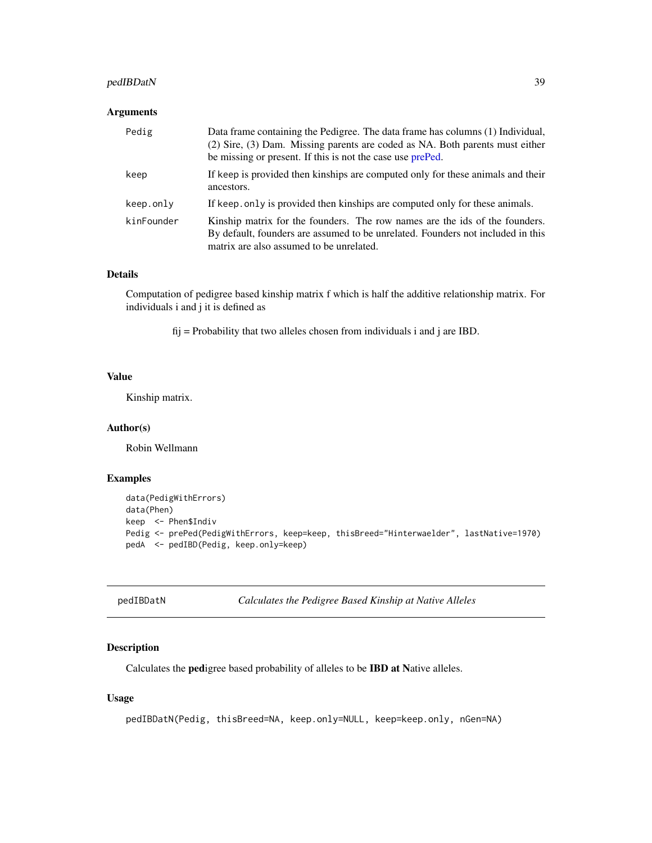## <span id="page-38-0"></span>pedIBDatN 39

## Arguments

| Pedig      | Data frame containing the Pedigree. The data frame has columns (1) Individual,<br>(2) Sire, (3) Dam. Missing parents are coded as NA. Both parents must either<br>be missing or present. If this is not the case use prePed. |
|------------|------------------------------------------------------------------------------------------------------------------------------------------------------------------------------------------------------------------------------|
| keep       | If keep is provided then kinships are computed only for these animals and their<br>ancestors.                                                                                                                                |
| keep.only  | If keep, only is provided then kinships are computed only for these animals.                                                                                                                                                 |
| kinFounder | Kinship matrix for the founders. The row names are the ids of the founders.<br>By default, founders are assumed to be unrelated. Founders not included in this<br>matrix are also assumed to be unrelated.                   |

## Details

Computation of pedigree based kinship matrix f which is half the additive relationship matrix. For individuals i and j it is defined as

 $f_{ij}$  = Probability that two alleles chosen from individuals i and j are IBD.

## Value

Kinship matrix.

## Author(s)

Robin Wellmann

#### Examples

```
data(PedigWithErrors)
data(Phen)
keep <- Phen$Indiv
Pedig <- prePed(PedigWithErrors, keep=keep, thisBreed="Hinterwaelder", lastNative=1970)
pedA <- pedIBD(Pedig, keep.only=keep)
```
<span id="page-38-1"></span>pedIBDatN *Calculates the Pedigree Based Kinship at Native Alleles*

## Description

Calculates the pedigree based probability of alleles to be IBD at Native alleles.

## Usage

```
pedIBDatN(Pedig, thisBreed=NA, keep.only=NULL, keep=keep.only, nGen=NA)
```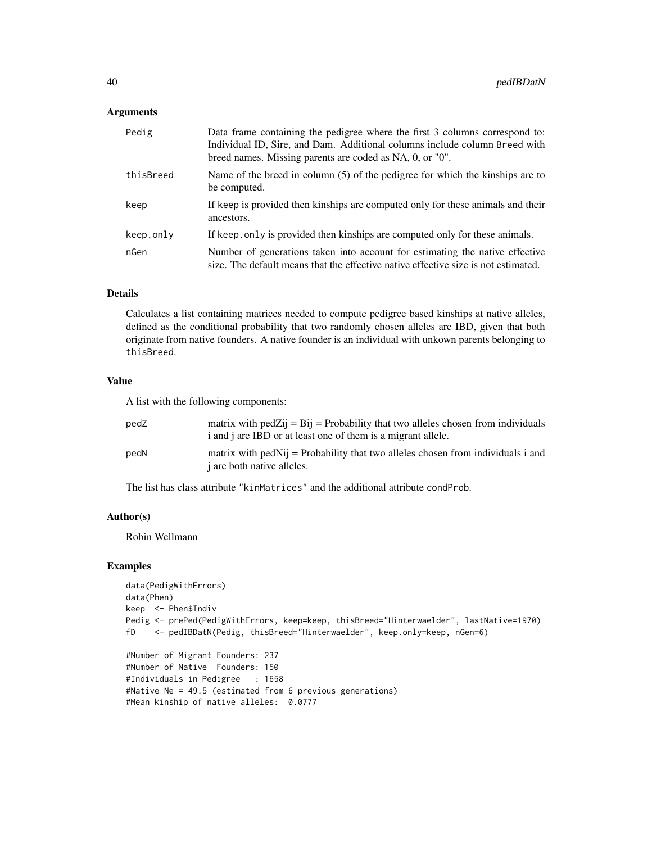#### Arguments

| Pedig     | Data frame containing the pedigree where the first 3 columns correspond to:<br>Individual ID, Sire, and Dam. Additional columns include column Breed with<br>breed names. Missing parents are coded as NA, 0, or "0". |
|-----------|-----------------------------------------------------------------------------------------------------------------------------------------------------------------------------------------------------------------------|
| thisBreed | Name of the breed in column $(5)$ of the pedigree for which the kinships are to<br>be computed.                                                                                                                       |
| keep      | If keep is provided then kinships are computed only for these animals and their<br>ancestors.                                                                                                                         |
| keep.only | If keep, only is provided then kinships are computed only for these animals.                                                                                                                                          |
| nGen      | Number of generations taken into account for estimating the native effective<br>size. The default means that the effective native effective size is not estimated.                                                    |

## Details

Calculates a list containing matrices needed to compute pedigree based kinships at native alleles, defined as the conditional probability that two randomly chosen alleles are IBD, given that both originate from native founders. A native founder is an individual with unkown parents belonging to thisBreed.

## Value

A list with the following components:

#Mean kinship of native alleles: 0.0777

| pedZ | matrix with pedZij = $\overline{Bi}$ j = Probability that two alleles chosen from individuals<br>i and j are IBD or at least one of them is a migrant allele. |
|------|---------------------------------------------------------------------------------------------------------------------------------------------------------------|
| pedN | matrix with ped $N_{ij}$ = Probability that two alleles chosen from individuals i and<br><i>i</i> are both native alleles.                                    |

The list has class attribute "kinMatrices" and the additional attribute condProb.

#### Author(s)

Robin Wellmann

```
data(PedigWithErrors)
data(Phen)
keep <- Phen$Indiv
Pedig <- prePed(PedigWithErrors, keep=keep, thisBreed="Hinterwaelder", lastNative=1970)
fD <- pedIBDatN(Pedig, thisBreed="Hinterwaelder", keep.only=keep, nGen=6)
#Number of Migrant Founders: 237
#Number of Native Founders: 150
#Individuals in Pedigree : 1658
#Native Ne = 49.5 (estimated from 6 previous generations)
```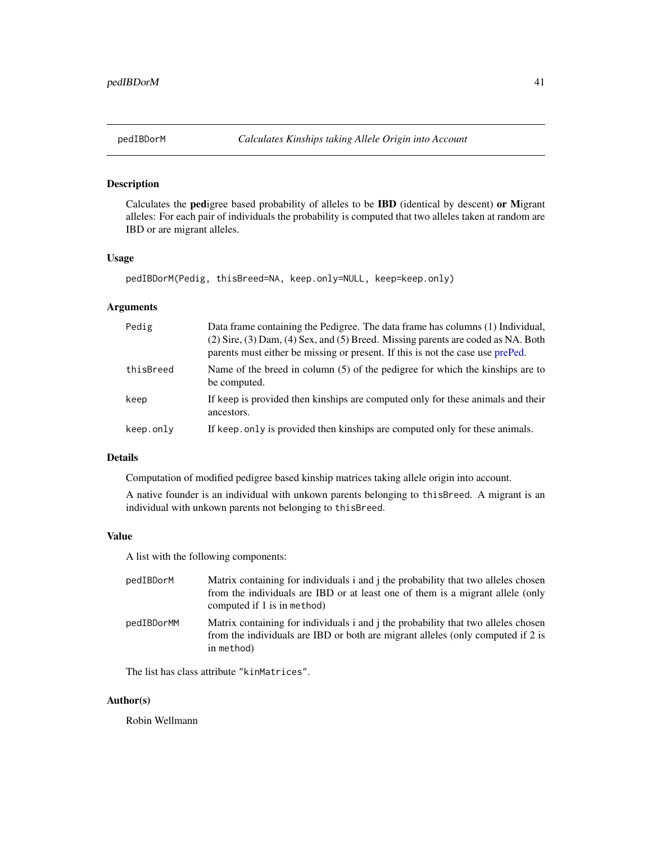<span id="page-40-1"></span><span id="page-40-0"></span>

## Description

Calculates the pedigree based probability of alleles to be IBD (identical by descent) or Migrant alleles: For each pair of individuals the probability is computed that two alleles taken at random are IBD or are migrant alleles.

## Usage

```
pedIBDorM(Pedig, thisBreed=NA, keep.only=NULL, keep=keep.only)
```
## Arguments

| Pedig     | Data frame containing the Pedigree. The data frame has columns (1) Individual,<br>(2) Sire, (3) Dam, (4) Sex, and (5) Breed. Missing parents are coded as NA. Both<br>parents must either be missing or present. If this is not the case use prePed. |
|-----------|------------------------------------------------------------------------------------------------------------------------------------------------------------------------------------------------------------------------------------------------------|
| thisBreed | Name of the breed in column $(5)$ of the pedigree for which the kinships are to<br>be computed.                                                                                                                                                      |
| keep      | If keep is provided then kinships are computed only for these animals and their<br>ancestors.                                                                                                                                                        |
| keep.only | If keep, only is provided then kinships are computed only for these animals.                                                                                                                                                                         |

## Details

Computation of modified pedigree based kinship matrices taking allele origin into account.

A native founder is an individual with unkown parents belonging to thisBreed. A migrant is an individual with unkown parents not belonging to thisBreed.

#### Value

A list with the following components:

| pedIBDorM  | Matrix containing for individuals i and j the probability that two alleles chosen<br>from the individuals are IBD or at least one of them is a migrant allele (only<br>computed if 1 is in method) |
|------------|----------------------------------------------------------------------------------------------------------------------------------------------------------------------------------------------------|
| pedIBDorMM | Matrix containing for individuals i and j the probability that two alleles chosen<br>from the individuals are IBD or both are migrant alleles (only computed if 2 is<br>in method)                 |

The list has class attribute "kinMatrices".

## Author(s)

Robin Wellmann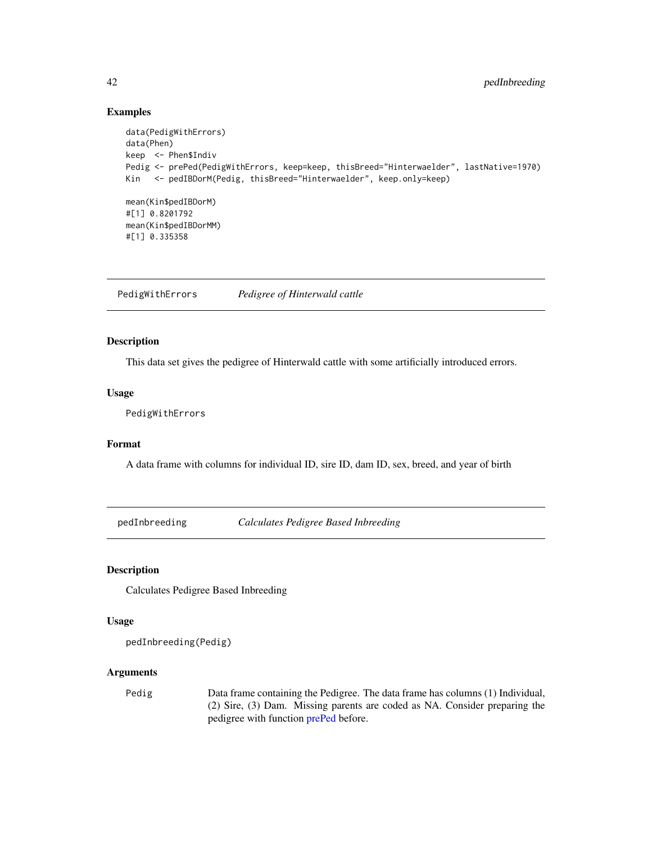## Examples

```
data(PedigWithErrors)
data(Phen)
keep <- Phen$Indiv
Pedig <- prePed(PedigWithErrors, keep=keep, thisBreed="Hinterwaelder", lastNative=1970)
Kin <- pedIBDorM(Pedig, thisBreed="Hinterwaelder", keep.only=keep)
mean(Kin$pedIBDorM)
#[1] 0.8201792
mean(Kin$pedIBDorMM)
#[1] 0.335358
```
PedigWithErrors *Pedigree of Hinterwald cattle*

## Description

This data set gives the pedigree of Hinterwald cattle with some artificially introduced errors.

## Usage

PedigWithErrors

## Format

A data frame with columns for individual ID, sire ID, dam ID, sex, breed, and year of birth

<span id="page-41-1"></span>pedInbreeding *Calculates Pedigree Based Inbreeding*

Description

Calculates Pedigree Based Inbreeding

## Usage

```
pedInbreeding(Pedig)
```
## Arguments

Pedig Data frame containing the Pedigree. The data frame has columns (1) Individual, (2) Sire, (3) Dam. Missing parents are coded as NA. Consider preparing the pedigree with function [prePed](#page-45-1) before.

<span id="page-41-0"></span>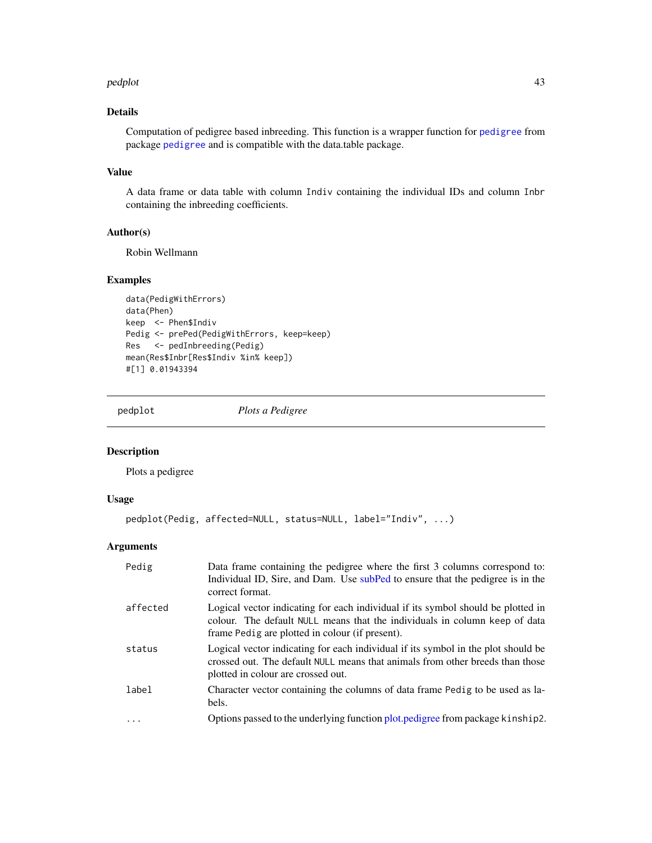#### <span id="page-42-0"></span>pedplot that a state of the state of the state of the state of the state of the state of the state of the state of the state of the state of the state of the state of the state of the state of the state of the state of the

## Details

Computation of pedigree based inbreeding. This function is a wrapper function for [pedigree](#page-0-0) from package [pedigree](#page-0-0) and is compatible with the data.table package.

## Value

A data frame or data table with column Indiv containing the individual IDs and column Inbr containing the inbreeding coefficients.

## Author(s)

Robin Wellmann

## Examples

```
data(PedigWithErrors)
data(Phen)
keep <- Phen$Indiv
Pedig <- prePed(PedigWithErrors, keep=keep)
Res <- pedInbreeding(Pedig)
mean(Res$Inbr[Res$Indiv %in% keep])
#[1] 0.01943394
```
<span id="page-42-1"></span>pedplot *Plots a Pedigree*

## Description

Plots a pedigree

## Usage

```
pedplot(Pedig, affected=NULL, status=NULL, label="Indiv", ...)
```
## Arguments

| Pedig    | Data frame containing the pedigree where the first 3 columns correspond to:<br>Individual ID, Sire, and Dam. Use subPed to ensure that the pedigree is in the<br>correct format.                                  |
|----------|-------------------------------------------------------------------------------------------------------------------------------------------------------------------------------------------------------------------|
| affected | Logical vector indicating for each individual if its symbol should be plotted in<br>colour. The default NULL means that the individuals in column keep of data<br>frame Pedig are plotted in colour (if present). |
| status   | Logical vector indicating for each individual if its symbol in the plot should be<br>crossed out. The default NULL means that animals from other breeds than those<br>plotted in colour are crossed out.          |
| label    | Character vector containing the columns of data frame Pedig to be used as la-<br>bels.                                                                                                                            |
| $\cdot$  | Options passed to the underlying function plot, pedigree from package kinship2.                                                                                                                                   |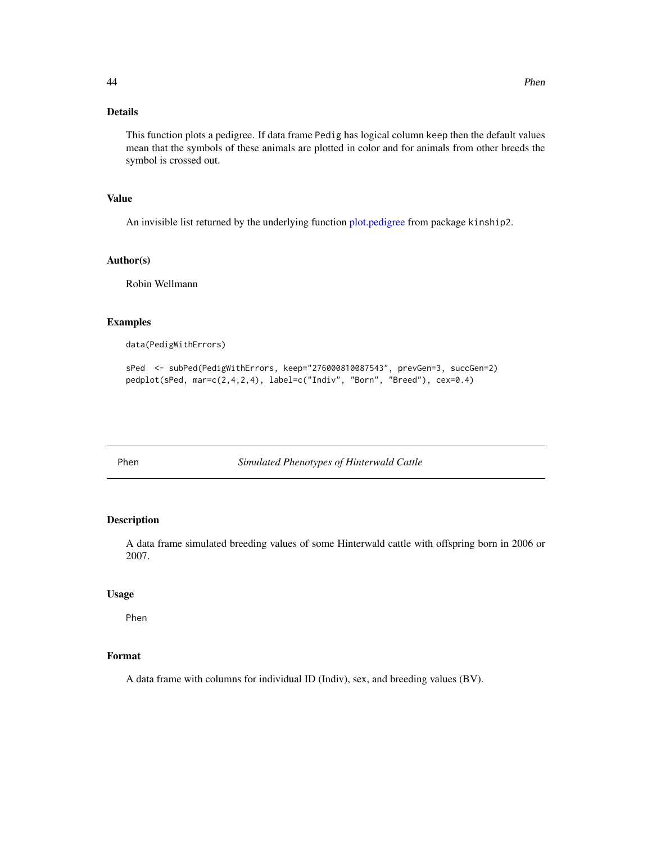## <span id="page-43-0"></span>Details

This function plots a pedigree. If data frame Pedig has logical column keep then the default values mean that the symbols of these animals are plotted in color and for animals from other breeds the symbol is crossed out.

## Value

An invisible list returned by the underlying function [plot.pedigree](#page-0-0) from package kinship2.

#### Author(s)

Robin Wellmann

## Examples

data(PedigWithErrors)

sPed <- subPed(PedigWithErrors, keep="276000810087543", prevGen=3, succGen=2) pedplot(sPed, mar=c(2,4,2,4), label=c("Indiv", "Born", "Breed"), cex=0.4)

<span id="page-43-1"></span>Phen *Simulated Phenotypes of Hinterwald Cattle*

## Description

A data frame simulated breeding values of some Hinterwald cattle with offspring born in 2006 or 2007.

#### Usage

Phen

## Format

A data frame with columns for individual ID (Indiv), sex, and breeding values (BV).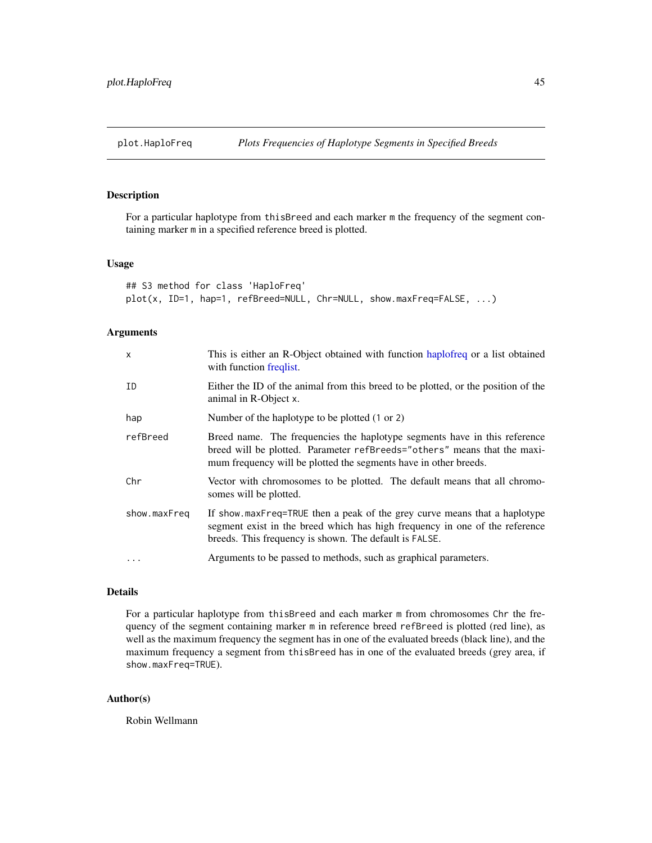## <span id="page-44-1"></span><span id="page-44-0"></span>Description

For a particular haplotype from thisBreed and each marker m the frequency of the segment containing marker m in a specified reference breed is plotted.

#### Usage

```
## S3 method for class 'HaploFreq'
plot(x, ID=1, hap=1, refBreed=NULL, Chr=NULL, show.maxFreq=FALSE, ...)
```
## Arguments

| $\mathsf{x}$ | This is either an R-Object obtained with function haplofreq or a list obtained<br>with function freqlist.                                                                                                                 |
|--------------|---------------------------------------------------------------------------------------------------------------------------------------------------------------------------------------------------------------------------|
| ID           | Either the ID of the animal from this breed to be plotted, or the position of the<br>animal in R-Object x.                                                                                                                |
| hap          | Number of the haplotype to be plotted (1 or 2)                                                                                                                                                                            |
| refBreed     | Breed name. The frequencies the haplotype segments have in this reference<br>breed will be plotted. Parameter refBreeds="others" means that the maxi-<br>mum frequency will be plotted the segments have in other breeds. |
| Chr          | Vector with chromosomes to be plotted. The default means that all chromo-<br>somes will be plotted.                                                                                                                       |
| show.maxFreq | If show maxFreq=TRUE then a peak of the grey curve means that a haplotype<br>segment exist in the breed which has high frequency in one of the reference<br>breeds. This frequency is shown. The default is FALSE.        |
|              | Arguments to be passed to methods, such as graphical parameters.                                                                                                                                                          |

## Details

For a particular haplotype from thisBreed and each marker m from chromosomes Chr the frequency of the segment containing marker m in reference breed refBreed is plotted (red line), as well as the maximum frequency the segment has in one of the evaluated breeds (black line), and the maximum frequency a segment from thisBreed has in one of the evaluated breeds (grey area, if show.maxFreq=TRUE).

#### Author(s)

Robin Wellmann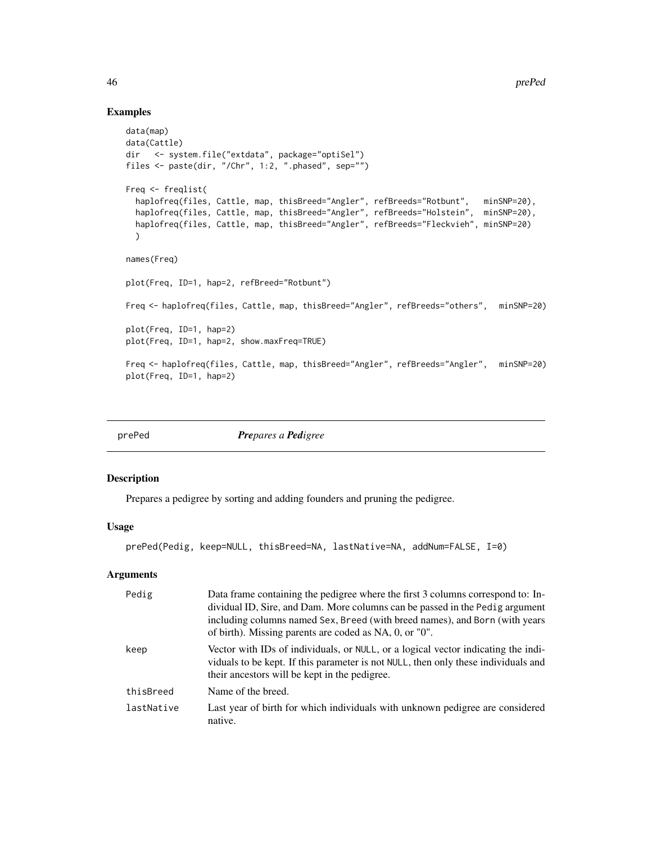## Examples

```
data(map)
data(Cattle)
dir <- system.file("extdata", package="optiSel")
files <- paste(dir, "/Chr", 1:2, ".phased", sep="")
Freq <- freqlist(
  haplofreq(files, Cattle, map, thisBreed="Angler", refBreeds="Rotbunt", minSNP=20),
  haplofreq(files, Cattle, map, thisBreed="Angler", refBreeds="Holstein", minSNP=20),
  haplofreq(files, Cattle, map, thisBreed="Angler", refBreeds="Fleckvieh", minSNP=20)
  )
names(Freq)
plot(Freq, ID=1, hap=2, refBreed="Rotbunt")
Freq <- haplofreq(files, Cattle, map, thisBreed="Angler", refBreeds="others", minSNP=20)
plot(Freq, ID=1, hap=2)
plot(Freq, ID=1, hap=2, show.maxFreq=TRUE)
Freq <- haplofreq(files, Cattle, map, thisBreed="Angler", refBreeds="Angler", minSNP=20)
plot(Freq, ID=1, hap=2)
```
<span id="page-45-1"></span>

prePed *Prepares a Pedigree*

## Description

Prepares a pedigree by sorting and adding founders and pruning the pedigree.

## Usage

prePed(Pedig, keep=NULL, thisBreed=NA, lastNative=NA, addNum=FALSE, I=0)

#### Arguments

| Pedig      | Data frame containing the pedigree where the first 3 columns correspond to: In-<br>dividual ID, Sire, and Dam. More columns can be passed in the Pedig argument<br>including columns named Sex, Breed (with breed names), and Born (with years<br>of birth). Missing parents are coded as NA, 0, or "0". |
|------------|----------------------------------------------------------------------------------------------------------------------------------------------------------------------------------------------------------------------------------------------------------------------------------------------------------|
| keep       | Vector with IDs of individuals, or NULL, or a logical vector indicating the indi-<br>viduals to be kept. If this parameter is not NULL, then only these individuals and<br>their ancestors will be kept in the pedigree.                                                                                 |
| thisBreed  | Name of the breed.                                                                                                                                                                                                                                                                                       |
| lastNative | Last year of birth for which individuals with unknown pedigree are considered<br>native.                                                                                                                                                                                                                 |

<span id="page-45-0"></span>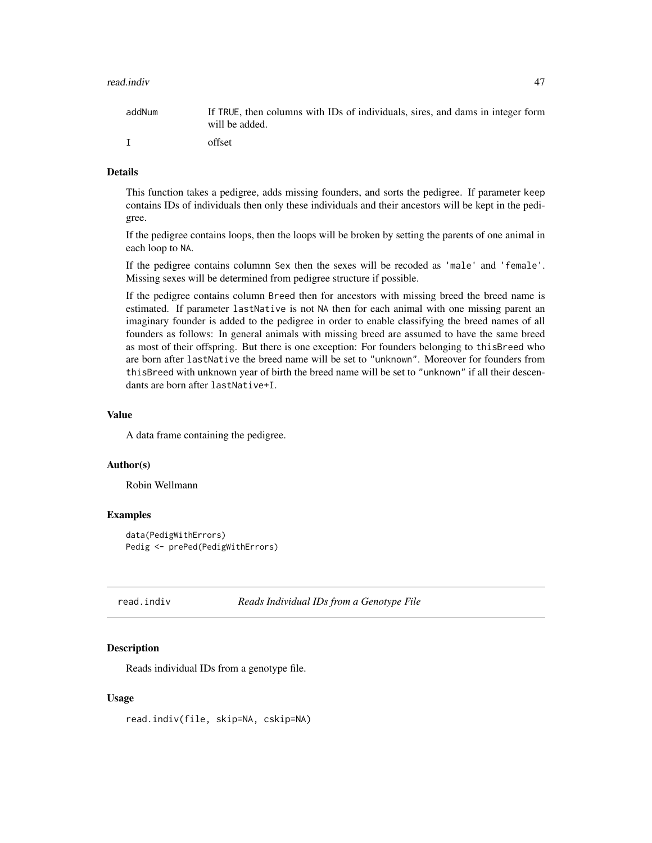#### <span id="page-46-0"></span>read.indiv 47

| addNum | If TRUE, then columns with IDs of individuals, sires, and dams in integer form<br>will be added. |
|--------|--------------------------------------------------------------------------------------------------|
|        | offset                                                                                           |

#### Details

This function takes a pedigree, adds missing founders, and sorts the pedigree. If parameter keep contains IDs of individuals then only these individuals and their ancestors will be kept in the pedigree.

If the pedigree contains loops, then the loops will be broken by setting the parents of one animal in each loop to NA.

If the pedigree contains columnn Sex then the sexes will be recoded as 'male' and 'female'. Missing sexes will be determined from pedigree structure if possible.

If the pedigree contains column Breed then for ancestors with missing breed the breed name is estimated. If parameter lastNative is not NA then for each animal with one missing parent an imaginary founder is added to the pedigree in order to enable classifying the breed names of all founders as follows: In general animals with missing breed are assumed to have the same breed as most of their offspring. But there is one exception: For founders belonging to thisBreed who are born after lastNative the breed name will be set to "unknown". Moreover for founders from thisBreed with unknown year of birth the breed name will be set to "unknown" if all their descendants are born after lastNative+I.

## Value

A data frame containing the pedigree.

#### Author(s)

Robin Wellmann

## Examples

```
data(PedigWithErrors)
Pedig <- prePed(PedigWithErrors)
```
<span id="page-46-1"></span>read.indiv *Reads Individual IDs from a Genotype File*

#### Description

Reads individual IDs from a genotype file.

#### Usage

read.indiv(file, skip=NA, cskip=NA)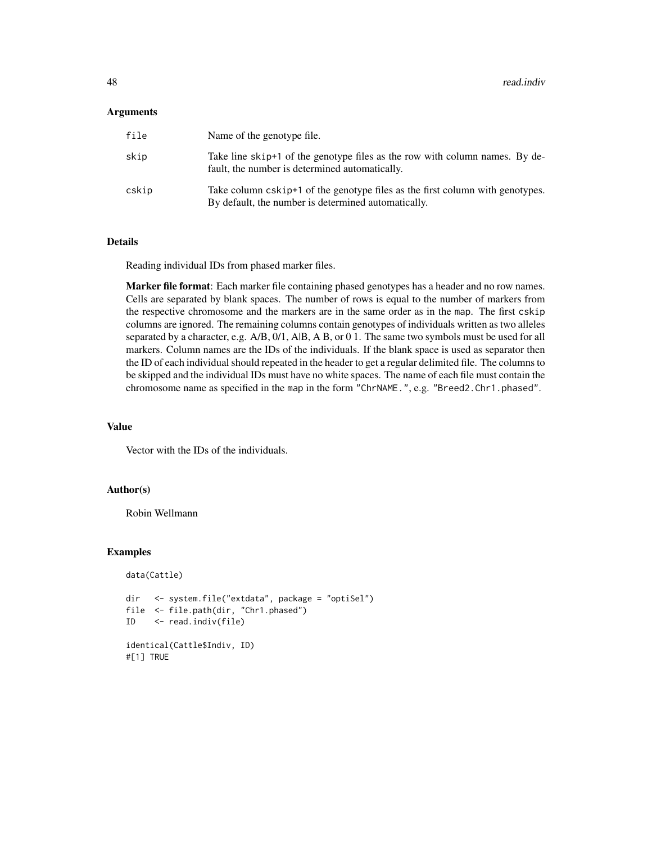#### Arguments

| file  | Name of the genotype file.                                                                                                           |
|-------|--------------------------------------------------------------------------------------------------------------------------------------|
| skip  | Take line skip+1 of the genotype files as the row with column names. By de-<br>fault, the number is determined automatically.        |
| cskip | Take column cskip+1 of the genotype files as the first column with genotypes.<br>By default, the number is determined automatically. |

#### Details

Reading individual IDs from phased marker files.

Marker file format: Each marker file containing phased genotypes has a header and no row names. Cells are separated by blank spaces. The number of rows is equal to the number of markers from the respective chromosome and the markers are in the same order as in the map. The first cskip columns are ignored. The remaining columns contain genotypes of individuals written as two alleles separated by a character, e.g. A/B, 0/1, A|B, A B, or 0 1. The same two symbols must be used for all markers. Column names are the IDs of the individuals. If the blank space is used as separator then the ID of each individual should repeated in the header to get a regular delimited file. The columns to be skipped and the individual IDs must have no white spaces. The name of each file must contain the chromosome name as specified in the map in the form "ChrNAME.", e.g. "Breed2.Chr1.phased".

#### Value

Vector with the IDs of the individuals.

#### Author(s)

Robin Wellmann

```
data(Cattle)
```

```
dir <- system.file("extdata", package = "optiSel")
file <- file.path(dir, "Chr1.phased")
ID <- read.indiv(file)
identical(Cattle$Indiv, ID)
#[1] TRUE
```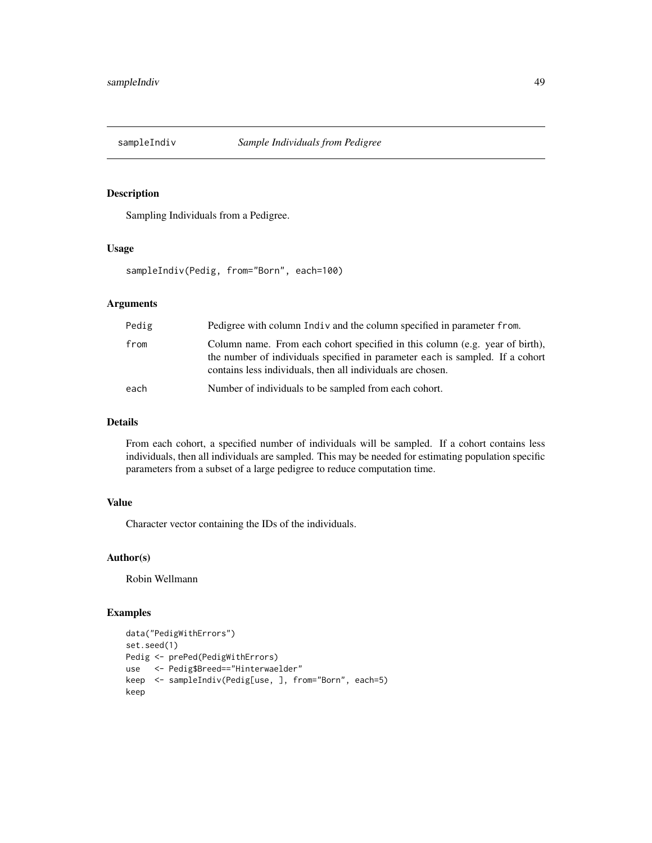<span id="page-48-1"></span><span id="page-48-0"></span>

## Description

Sampling Individuals from a Pedigree.

#### Usage

sampleIndiv(Pedig, from="Born", each=100)

## Arguments

| Pedig | Pedigree with column Indiv and the column specified in parameter from.                                                                                                                                                       |
|-------|------------------------------------------------------------------------------------------------------------------------------------------------------------------------------------------------------------------------------|
| from  | Column name. From each cohort specified in this column (e.g. year of birth),<br>the number of individuals specified in parameter each is sampled. If a cohort<br>contains less individuals, then all individuals are chosen. |
| each  | Number of individuals to be sampled from each cohort.                                                                                                                                                                        |

## Details

From each cohort, a specified number of individuals will be sampled. If a cohort contains less individuals, then all individuals are sampled. This may be needed for estimating population specific parameters from a subset of a large pedigree to reduce computation time.

## Value

Character vector containing the IDs of the individuals.

## Author(s)

Robin Wellmann

```
data("PedigWithErrors")
set.seed(1)
Pedig <- prePed(PedigWithErrors)
use <- Pedig$Breed=="Hinterwaelder"
keep <- sampleIndiv(Pedig[use, ], from="Born", each=5)
keep
```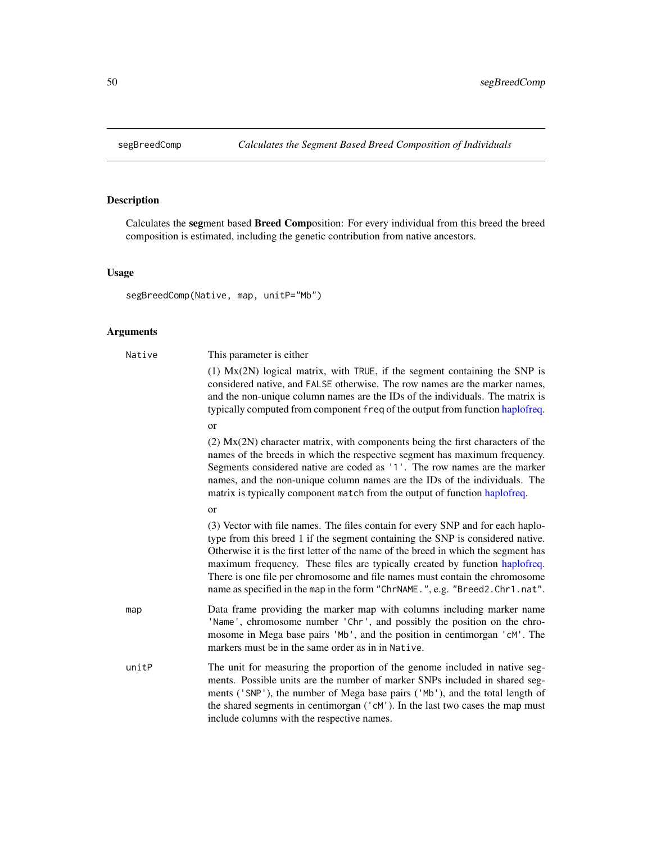<span id="page-49-1"></span><span id="page-49-0"></span>

## Description

Calculates the segment based Breed Composition: For every individual from this breed the breed composition is estimated, including the genetic contribution from native ancestors.

## Usage

```
segBreedComp(Native, map, unitP="Mb")
```
## Arguments

| Native | This parameter is either                                                                                                                                                                                                                                                                                                                                                                                                                                                                              |
|--------|-------------------------------------------------------------------------------------------------------------------------------------------------------------------------------------------------------------------------------------------------------------------------------------------------------------------------------------------------------------------------------------------------------------------------------------------------------------------------------------------------------|
|        | $(1)$ Mx $(2N)$ logical matrix, with TRUE, if the segment containing the SNP is<br>considered native, and FALSE otherwise. The row names are the marker names,<br>and the non-unique column names are the IDs of the individuals. The matrix is<br>typically computed from component freq of the output from function haplofreq.                                                                                                                                                                      |
|        | <b>or</b>                                                                                                                                                                                                                                                                                                                                                                                                                                                                                             |
|        | $(2)$ Mx $(2N)$ character matrix, with components being the first characters of the<br>names of the breeds in which the respective segment has maximum frequency.<br>Segments considered native are coded as '1'. The row names are the marker<br>names, and the non-unique column names are the IDs of the individuals. The<br>matrix is typically component match from the output of function haplofreq.                                                                                            |
|        | or                                                                                                                                                                                                                                                                                                                                                                                                                                                                                                    |
|        | (3) Vector with file names. The files contain for every SNP and for each haplo-<br>type from this breed 1 if the segment containing the SNP is considered native.<br>Otherwise it is the first letter of the name of the breed in which the segment has<br>maximum frequency. These files are typically created by function haplofreq.<br>There is one file per chromosome and file names must contain the chromosome<br>name as specified in the map in the form "ChrNAME.", e.g. "Breed2.Chr1.nat". |
| map    | Data frame providing the marker map with columns including marker name<br>'Name', chromosome number 'Chr', and possibly the position on the chro-<br>mosome in Mega base pairs 'Mb', and the position in centimorgan 'cM'. The<br>markers must be in the same order as in in Native.                                                                                                                                                                                                                  |
| unitP  | The unit for measuring the proportion of the genome included in native seg-<br>ments. Possible units are the number of marker SNPs included in shared seg-<br>ments ('SNP'), the number of Mega base pairs ('Mb'), and the total length of<br>the shared segments in centimorgan ('cM'). In the last two cases the map must<br>include columns with the respective names.                                                                                                                             |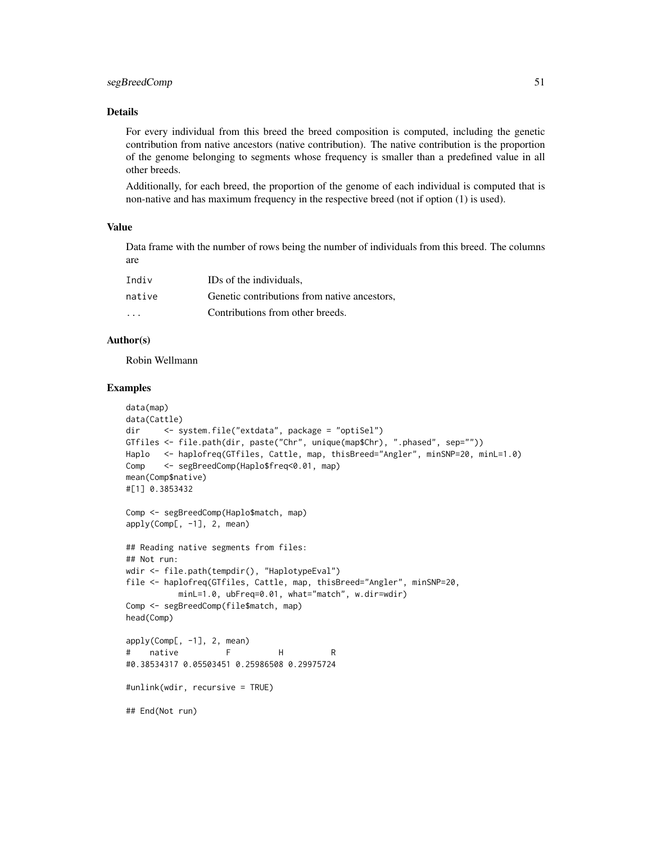## segBreedComp 51

## Details

For every individual from this breed the breed composition is computed, including the genetic contribution from native ancestors (native contribution). The native contribution is the proportion of the genome belonging to segments whose frequency is smaller than a predefined value in all other breeds.

Additionally, for each breed, the proportion of the genome of each individual is computed that is non-native and has maximum frequency in the respective breed (not if option (1) is used).

#### Value

Data frame with the number of rows being the number of individuals from this breed. The columns are

| Indiv                   | IDs of the individuals.                      |
|-------------------------|----------------------------------------------|
| native                  | Genetic contributions from native ancestors, |
| $\cdot$ $\cdot$ $\cdot$ | Contributions from other breeds.             |

## Author(s)

Robin Wellmann

```
data(map)
data(Cattle)
dir <- system.file("extdata", package = "optiSel")
GTfiles <- file.path(dir, paste("Chr", unique(map$Chr), ".phased", sep=""))
Haplo <- haplofreq(GTfiles, Cattle, map, thisBreed="Angler", minSNP=20, minL=1.0)
Comp <- segBreedComp(Haplo$freq<0.01, map)
mean(Comp$native)
#[1] 0.3853432
Comp <- segBreedComp(Haplo$match, map)
apply(Comp[, -1], 2, mean)
## Reading native segments from files:
## Not run:
wdir <- file.path(tempdir(), "HaplotypeEval")
file <- haplofreq(GTfiles, Cattle, map, thisBreed="Angler", minSNP=20,
          minL=1.0, ubFreq=0.01, what="match", w.dir=wdir)
Comp <- segBreedComp(file$match, map)
head(Comp)
apply(Comp[, -1], 2, mean)
# native F H R
#0.38534317 0.05503451 0.25986508 0.29975724
#unlink(wdir, recursive = TRUE)
## End(Not run)
```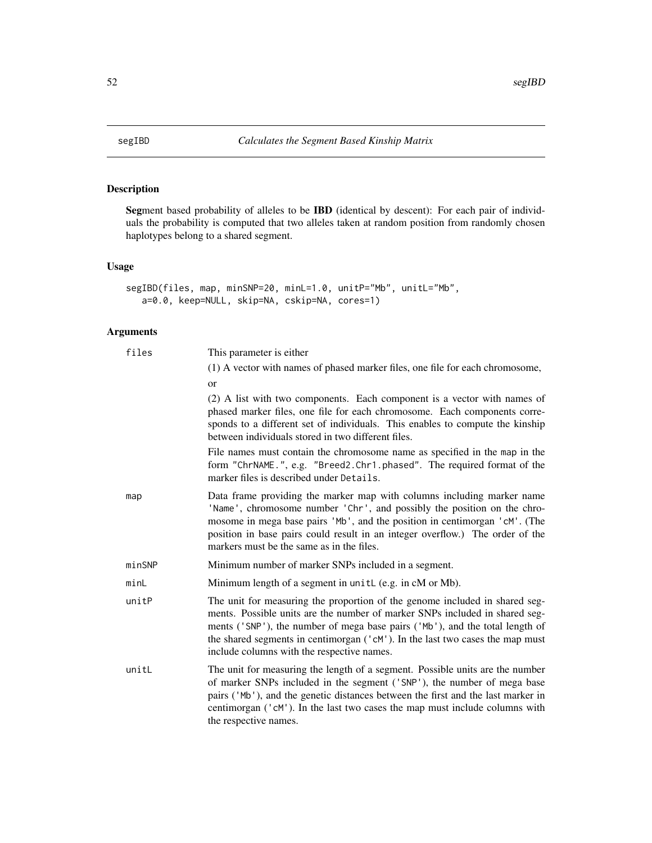<span id="page-51-1"></span><span id="page-51-0"></span>

## Description

Segment based probability of alleles to be IBD (identical by descent): For each pair of individuals the probability is computed that two alleles taken at random position from randomly chosen haplotypes belong to a shared segment.

## Usage

```
segIBD(files, map, minSNP=20, minL=1.0, unitP="Mb", unitL="Mb",
  a=0.0, keep=NULL, skip=NA, cskip=NA, cores=1)
```
## Arguments

| files  | This parameter is either                                                                                                                                                                                                                                                                                                                                                  |
|--------|---------------------------------------------------------------------------------------------------------------------------------------------------------------------------------------------------------------------------------------------------------------------------------------------------------------------------------------------------------------------------|
|        | (1) A vector with names of phased marker files, one file for each chromosome,                                                                                                                                                                                                                                                                                             |
|        | <b>or</b>                                                                                                                                                                                                                                                                                                                                                                 |
|        | (2) A list with two components. Each component is a vector with names of<br>phased marker files, one file for each chromosome. Each components corre-<br>sponds to a different set of individuals. This enables to compute the kinship<br>between individuals stored in two different files.                                                                              |
|        | File names must contain the chromosome name as specified in the map in the<br>form "ChrNAME.", e.g. "Breed2.Chr1.phased". The required format of the<br>marker files is described under Details.                                                                                                                                                                          |
| map    | Data frame providing the marker map with columns including marker name<br>'Name', chromosome number 'Chr', and possibly the position on the chro-<br>mosome in mega base pairs 'Mb', and the position in centimorgan 'cM'. (The<br>position in base pairs could result in an integer overflow.) The order of the<br>markers must be the same as in the files.             |
| minSNP | Minimum number of marker SNPs included in a segment.                                                                                                                                                                                                                                                                                                                      |
| minL   | Minimum length of a segment in unitL (e.g. in cM or Mb).                                                                                                                                                                                                                                                                                                                  |
| unitP  | The unit for measuring the proportion of the genome included in shared seg-<br>ments. Possible units are the number of marker SNPs included in shared seg-<br>ments ('SNP'), the number of mega base pairs ('Mb'), and the total length of<br>the shared segments in centimorgan ('cM'). In the last two cases the map must<br>include columns with the respective names. |
| unitL  | The unit for measuring the length of a segment. Possible units are the number<br>of marker SNPs included in the segment ('SNP'), the number of mega base<br>pairs ('Mb'), and the genetic distances between the first and the last marker in<br>centimorgan ('cM'). In the last two cases the map must include columns with<br>the respective names.                      |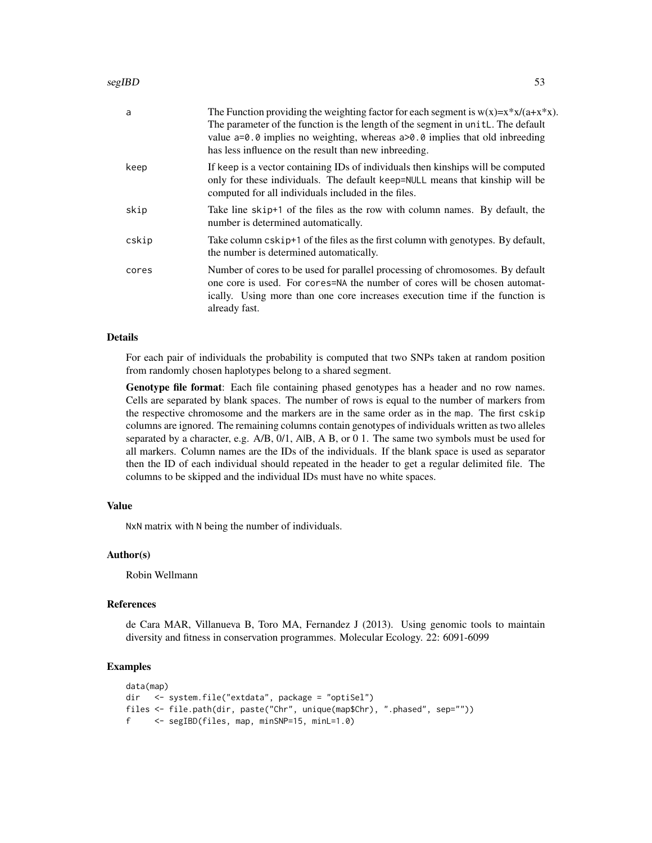| a     | The Function providing the weighting factor for each segment is $w(x)=x*x/(a+x*x)$ .<br>The parameter of the function is the length of the segment in unit L. The default<br>value $a=0.0$ implies no weighting, whereas $a>0.0$ implies that old inbreeding<br>has less influence on the result than new inbreeding. |
|-------|-----------------------------------------------------------------------------------------------------------------------------------------------------------------------------------------------------------------------------------------------------------------------------------------------------------------------|
| keep  | If keep is a vector containing IDs of individuals then kinships will be computed<br>only for these individuals. The default keep=NULL means that kinship will be<br>computed for all individuals included in the files.                                                                                               |
| skip  | Take line skip+1 of the files as the row with column names. By default, the<br>number is determined automatically.                                                                                                                                                                                                    |
| cskip | Take column cskip+1 of the files as the first column with genotypes. By default,<br>the number is determined automatically.                                                                                                                                                                                           |
| cores | Number of cores to be used for parallel processing of chromosomes. By default<br>one core is used. For cores=NA the number of cores will be chosen automat-<br>ically. Using more than one core increases execution time if the function is<br>already fast.                                                          |

#### Details

For each pair of individuals the probability is computed that two SNPs taken at random position from randomly chosen haplotypes belong to a shared segment.

Genotype file format: Each file containing phased genotypes has a header and no row names. Cells are separated by blank spaces. The number of rows is equal to the number of markers from the respective chromosome and the markers are in the same order as in the map. The first cskip columns are ignored. The remaining columns contain genotypes of individuals written as two alleles separated by a character, e.g. A/B, 0/1, AlB, A B, or 0 1. The same two symbols must be used for all markers. Column names are the IDs of the individuals. If the blank space is used as separator then the ID of each individual should repeated in the header to get a regular delimited file. The columns to be skipped and the individual IDs must have no white spaces.

#### Value

NxN matrix with N being the number of individuals.

#### Author(s)

Robin Wellmann

## References

de Cara MAR, Villanueva B, Toro MA, Fernandez J (2013). Using genomic tools to maintain diversity and fitness in conservation programmes. Molecular Ecology. 22: 6091-6099

```
data(map)
dir <- system.file("extdata", package = "optiSel")
files <- file.path(dir, paste("Chr", unique(map$Chr), ".phased", sep=""))
f <- segIBD(files, map, minSNP=15, minL=1.0)
```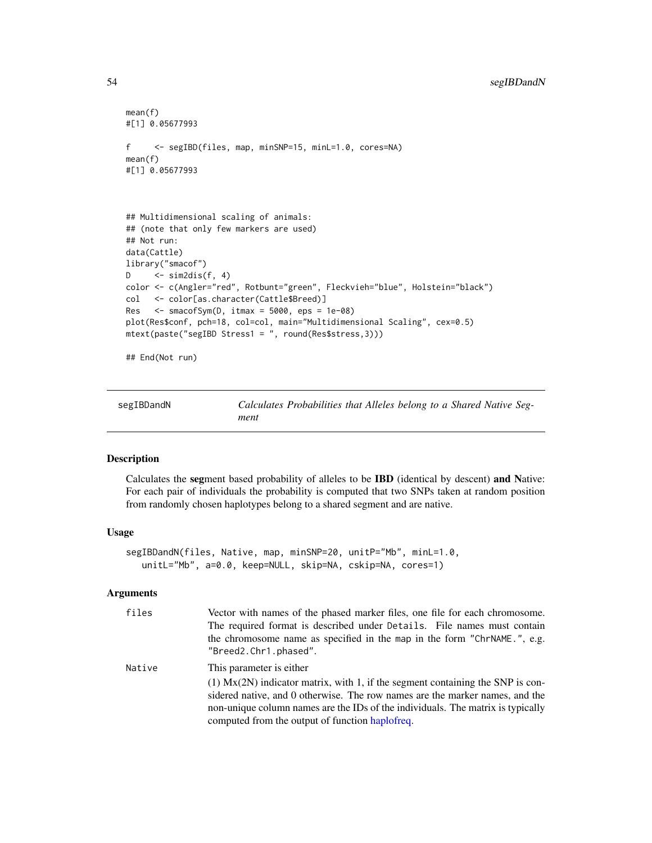```
mean(f)
#[1] 0.05677993
f <- segIBD(files, map, minSNP=15, minL=1.0, cores=NA)
mean(f)
#[1] 0.05677993
## Multidimensional scaling of animals:
## (note that only few markers are used)
## Not run:
data(Cattle)
library("smacof")
D \leftarrow sim2dis(f, 4)
color <- c(Angler="red", Rotbunt="green", Fleckvieh="blue", Holstein="black")
col <- color[as.character(Cattle$Breed)]
Res <- smacofSym(D, itmax = 5000, eps = 1e-08)
plot(Res$conf, pch=18, col=col, main="Multidimensional Scaling", cex=0.5)
mtext(paste("segIBD Stress1 = ", round(Res$stress,3)))
```
## End(Not run)

<span id="page-53-1"></span>

| segIBDandN | Calculates Probabilities that Alleles belong to a Shared Native Seg- |  |
|------------|----------------------------------------------------------------------|--|
|            | ment                                                                 |  |

## Description

Calculates the segment based probability of alleles to be IBD (identical by descent) and Native: For each pair of individuals the probability is computed that two SNPs taken at random position from randomly chosen haplotypes belong to a shared segment and are native.

## Usage

```
segIBDandN(files, Native, map, minSNP=20, unitP="Mb", minL=1.0,
  unitL="Mb", a=0.0, keep=NULL, skip=NA, cskip=NA, cores=1)
```
#### Arguments

| files  | Vector with names of the phased marker files, one file for each chromosome.<br>The required format is described under Details. File names must contain<br>the chromosome name as specified in the map in the form "ChrNAME.", e.g.<br>"Breed2.Chr1.phased".                                                                           |
|--------|---------------------------------------------------------------------------------------------------------------------------------------------------------------------------------------------------------------------------------------------------------------------------------------------------------------------------------------|
| Native | This parameter is either<br>$(1)$ Mx $(2N)$ indicator matrix, with 1, if the segment containing the SNP is con-<br>sidered native, and 0 otherwise. The row names are the marker names, and the<br>non-unique column names are the IDs of the individuals. The matrix is typically<br>computed from the output of function haplofreq. |

<span id="page-53-0"></span>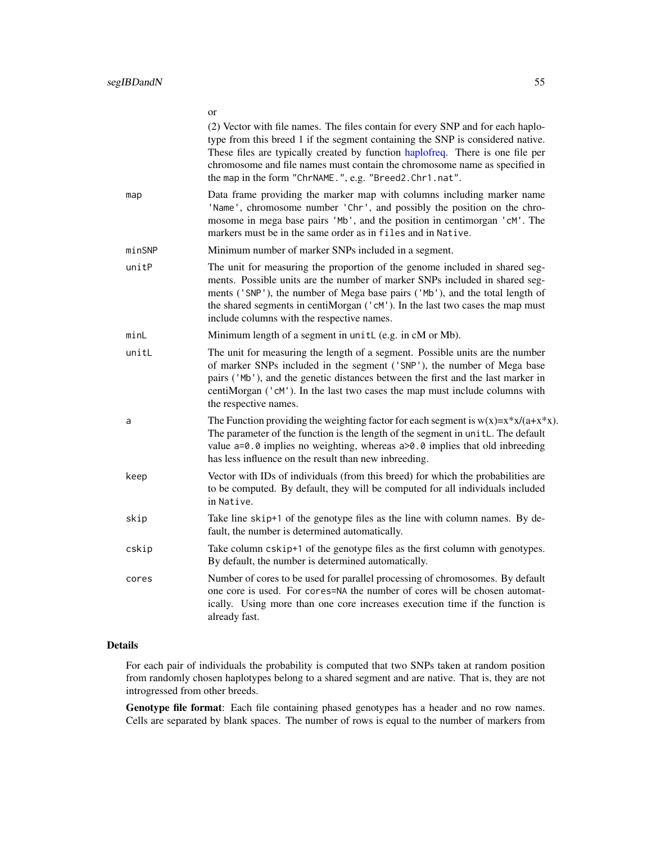<span id="page-54-0"></span>

|        | UI<br>(2) Vector with file names. The files contain for every SNP and for each haplo-<br>type from this breed 1 if the segment containing the SNP is considered native.<br>These files are typically created by function haplofreq. There is one file per<br>chromosome and file names must contain the chromosome name as specified in<br>the map in the form "ChrNAME.", e.g. "Breed2.Chr1.nat". |
|--------|----------------------------------------------------------------------------------------------------------------------------------------------------------------------------------------------------------------------------------------------------------------------------------------------------------------------------------------------------------------------------------------------------|
| map    | Data frame providing the marker map with columns including marker name<br>'Name', chromosome number 'Chr', and possibly the position on the chro-<br>mosome in mega base pairs 'Mb', and the position in centimorgan 'cM'. The<br>markers must be in the same order as in files and in Native.                                                                                                     |
| minSNP | Minimum number of marker SNPs included in a segment.                                                                                                                                                                                                                                                                                                                                               |
| unitP  | The unit for measuring the proportion of the genome included in shared seg-<br>ments. Possible units are the number of marker SNPs included in shared seg-<br>ments ('SNP'), the number of Mega base pairs ('Mb'), and the total length of<br>the shared segments in centiMorgan ('cM'). In the last two cases the map must<br>include columns with the respective names.                          |
| minL   | Minimum length of a segment in unitL (e.g. in cM or Mb).                                                                                                                                                                                                                                                                                                                                           |
| unitL  | The unit for measuring the length of a segment. Possible units are the number<br>of marker SNPs included in the segment ('SNP'), the number of Mega base<br>pairs ('Mb'), and the genetic distances between the first and the last marker in<br>centiMorgan ('cM'). In the last two cases the map must include columns with<br>the respective names.                                               |
| a      | The Function providing the weighting factor for each segment is $w(x)=x*x/(a+x*x)$<br>The parameter of the function is the length of the segment in unitL. The default<br>value $a=0.0$ implies no weighting, whereas $a>0.0$ implies that old inbreeding<br>has less influence on the result than new inbreeding.                                                                                 |
| keep   | Vector with IDs of individuals (from this breed) for which the probabilities are<br>to be computed. By default, they will be computed for all individuals included<br>in Native.                                                                                                                                                                                                                   |
| skip   | Take line skip+1 of the genotype files as the line with column names. By de-<br>fault, the number is determined automatically.                                                                                                                                                                                                                                                                     |
| cskip  | Take column cskip+1 of the genotype files as the first column with genotypes.<br>By default, the number is determined automatically.                                                                                                                                                                                                                                                               |
| cores  | Number of cores to be used for parallel processing of chromosomes. By default<br>one core is used. For cores=NA the number of cores will be chosen automat-<br>ically. Using more than one core increases execution time if the function is<br>already fast.                                                                                                                                       |

## Details

For each pair of individuals the probability is computed that two SNPs taken at random position from randomly chosen haplotypes belong to a shared segment and are native. That is, they are not introgressed from other breeds.

Genotype file format: Each file containing phased genotypes has a header and no row names. Cells are separated by blank spaces. The number of rows is equal to the number of markers from

## or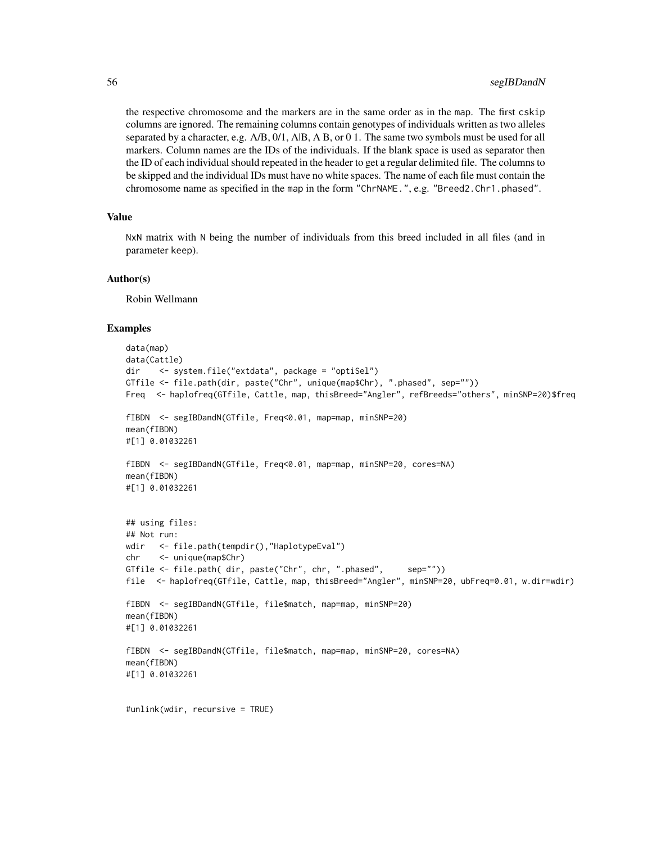the respective chromosome and the markers are in the same order as in the map. The first cskip columns are ignored. The remaining columns contain genotypes of individuals written as two alleles separated by a character, e.g.  $A/B$ ,  $O/1$ ,  $A/B$ ,  $A B$ , or 0 1. The same two symbols must be used for all markers. Column names are the IDs of the individuals. If the blank space is used as separator then the ID of each individual should repeated in the header to get a regular delimited file. The columns to be skipped and the individual IDs must have no white spaces. The name of each file must contain the chromosome name as specified in the map in the form "ChrNAME.", e.g. "Breed2.Chr1.phased".

## Value

NxN matrix with N being the number of individuals from this breed included in all files (and in parameter keep).

#### Author(s)

Robin Wellmann

```
data(map)
data(Cattle)
dir <- system.file("extdata", package = "optiSel")
GTfile <- file.path(dir, paste("Chr", unique(map$Chr), ".phased", sep=""))
Freq <- haplofreq(GTfile, Cattle, map, thisBreed="Angler", refBreeds="others", minSNP=20)$freq
fIBDN <- segIBDandN(GTfile, Freq<0.01, map=map, minSNP=20)
mean(fIBDN)
#[1] 0.01032261
fIBDN <- segIBDandN(GTfile, Freq<0.01, map=map, minSNP=20, cores=NA)
mean(fIBDN)
#[1] 0.01032261
## using files:
## Not run:
wdir <- file.path(tempdir(),"HaplotypeEval")
chr <- unique(map$Chr)
GTfile <- file.path( dir, paste("Chr", chr, ".phased", sep=""))
file <- haplofreq(GTfile, Cattle, map, thisBreed="Angler", minSNP=20, ubFreq=0.01, w.dir=wdir)
fIBDN <- segIBDandN(GTfile, file$match, map=map, minSNP=20)
mean(fIBDN)
#[1] 0.01032261
fIBDN <- segIBDandN(GTfile, file$match, map=map, minSNP=20, cores=NA)
mean(fIBDN)
#[1] 0.01032261
#unlink(wdir, recursive = TRUE)
```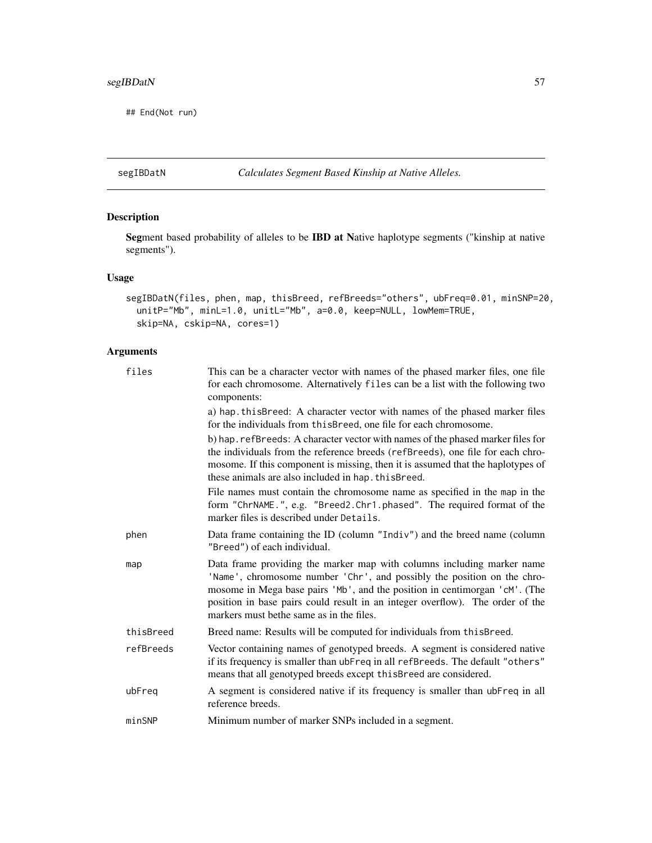## <span id="page-56-0"></span>segIBDatN 57

## End(Not run)

<span id="page-56-1"></span>segIBDatN *Calculates Segment Based Kinship at Native Alleles.*

## Description

Segment based probability of alleles to be IBD at Native haplotype segments ("kinship at native segments").

## Usage

```
segIBDatN(files, phen, map, thisBreed, refBreeds="others", ubFreq=0.01, minSNP=20,
 unitP="Mb", minL=1.0, unitL="Mb", a=0.0, keep=NULL, lowMem=TRUE,
  skip=NA, cskip=NA, cores=1)
```
## Arguments

| files     | This can be a character vector with names of the phased marker files, one file<br>for each chromosome. Alternatively files can be a list with the following two<br>components:                                                                                                                                                                                |
|-----------|---------------------------------------------------------------------------------------------------------------------------------------------------------------------------------------------------------------------------------------------------------------------------------------------------------------------------------------------------------------|
|           | a) hap this Breed: A character vector with names of the phased marker files<br>for the individuals from this Breed, one file for each chromosome.                                                                                                                                                                                                             |
|           | b) hap. refBreeds: A character vector with names of the phased marker files for<br>the individuals from the reference breeds (refBreeds), one file for each chro-<br>mosome. If this component is missing, then it is assumed that the haplotypes of<br>these animals are also included in hap. this Breed.                                                   |
|           | File names must contain the chromosome name as specified in the map in the<br>form "ChrNAME.", e.g. "Breed2.Chr1.phased". The required format of the<br>marker files is described under Details.                                                                                                                                                              |
| phen      | Data frame containing the ID (column "Indiv") and the breed name (column<br>"Breed") of each individual.                                                                                                                                                                                                                                                      |
| map       | Data frame providing the marker map with columns including marker name<br>'Name', chromosome number 'Chr', and possibly the position on the chro-<br>mosome in Mega base pairs 'Mb', and the position in centimorgan 'cM'. (The<br>position in base pairs could result in an integer overflow). The order of the<br>markers must be the same as in the files. |
| thisBreed | Breed name: Results will be computed for individuals from this Breed.                                                                                                                                                                                                                                                                                         |
| refBreeds | Vector containing names of genotyped breeds. A segment is considered native<br>if its frequency is smaller than ubFreq in all refBreeds. The default "others"<br>means that all genotyped breeds except this Breed are considered.                                                                                                                            |
| ubFreq    | A segment is considered native if its frequency is smaller than ubFreq in all<br>reference breeds.                                                                                                                                                                                                                                                            |
| minSNP    | Minimum number of marker SNPs included in a segment.                                                                                                                                                                                                                                                                                                          |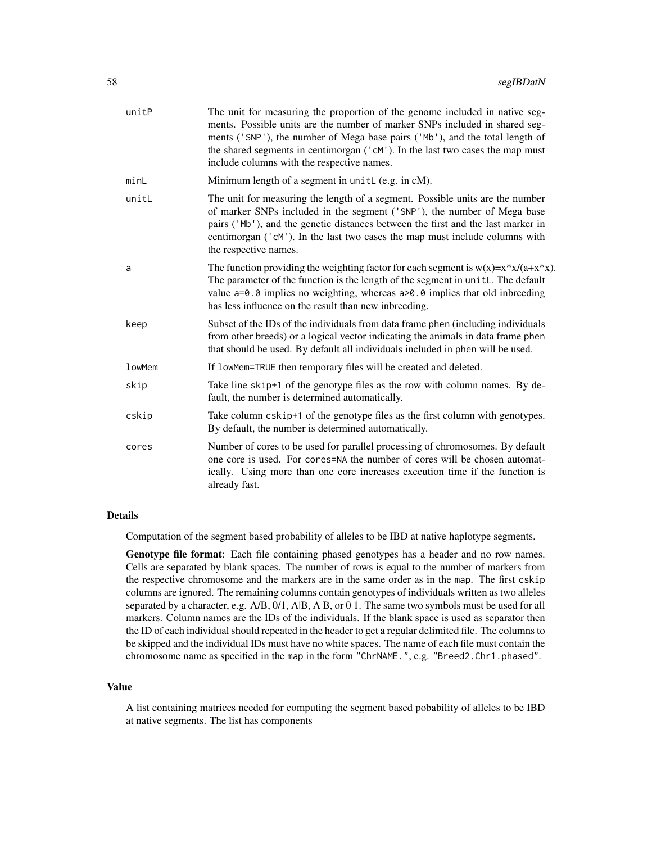| unitP  | The unit for measuring the proportion of the genome included in native seg-<br>ments. Possible units are the number of marker SNPs included in shared seg-<br>ments ('SNP'), the number of Mega base pairs ('Mb'), and the total length of<br>the shared segments in centimorgan ('cM'). In the last two cases the map must<br>include columns with the respective names. |
|--------|---------------------------------------------------------------------------------------------------------------------------------------------------------------------------------------------------------------------------------------------------------------------------------------------------------------------------------------------------------------------------|
| minL   | Minimum length of a segment in unitL (e.g. in cM).                                                                                                                                                                                                                                                                                                                        |
| unitL  | The unit for measuring the length of a segment. Possible units are the number<br>of marker SNPs included in the segment ('SNP'), the number of Mega base<br>pairs ('Mb'), and the genetic distances between the first and the last marker in<br>centimorgan ('cM'). In the last two cases the map must include columns with<br>the respective names.                      |
| a      | The function providing the weighting factor for each segment is $w(x)=x*x/(a+x*x)$ .<br>The parameter of the function is the length of the segment in unitL. The default<br>value $a=0.0$ implies no weighting, whereas $a>0.0$ implies that old inbreeding<br>has less influence on the result than new inbreeding.                                                      |
| keep   | Subset of the IDs of the individuals from data frame phen (including individuals<br>from other breeds) or a logical vector indicating the animals in data frame phen<br>that should be used. By default all individuals included in phen will be used.                                                                                                                    |
| lowMem | If lowMem=TRUE then temporary files will be created and deleted.                                                                                                                                                                                                                                                                                                          |
| skip   | Take line skip+1 of the genotype files as the row with column names. By de-<br>fault, the number is determined automatically.                                                                                                                                                                                                                                             |
| cskip  | Take column cskip+1 of the genotype files as the first column with genotypes.<br>By default, the number is determined automatically.                                                                                                                                                                                                                                      |
| cores  | Number of cores to be used for parallel processing of chromosomes. By default<br>one core is used. For cores=NA the number of cores will be chosen automat-<br>ically. Using more than one core increases execution time if the function is<br>already fast.                                                                                                              |

## Details

Computation of the segment based probability of alleles to be IBD at native haplotype segments.

Genotype file format: Each file containing phased genotypes has a header and no row names. Cells are separated by blank spaces. The number of rows is equal to the number of markers from the respective chromosome and the markers are in the same order as in the map. The first cskip columns are ignored. The remaining columns contain genotypes of individuals written as two alleles separated by a character, e.g. A/B, 0/1, A|B, A B, or 0 1. The same two symbols must be used for all markers. Column names are the IDs of the individuals. If the blank space is used as separator then the ID of each individual should repeated in the header to get a regular delimited file. The columns to be skipped and the individual IDs must have no white spaces. The name of each file must contain the chromosome name as specified in the map in the form "ChrNAME.", e.g. "Breed2.Chr1.phased".

## Value

A list containing matrices needed for computing the segment based pobability of alleles to be IBD at native segments. The list has components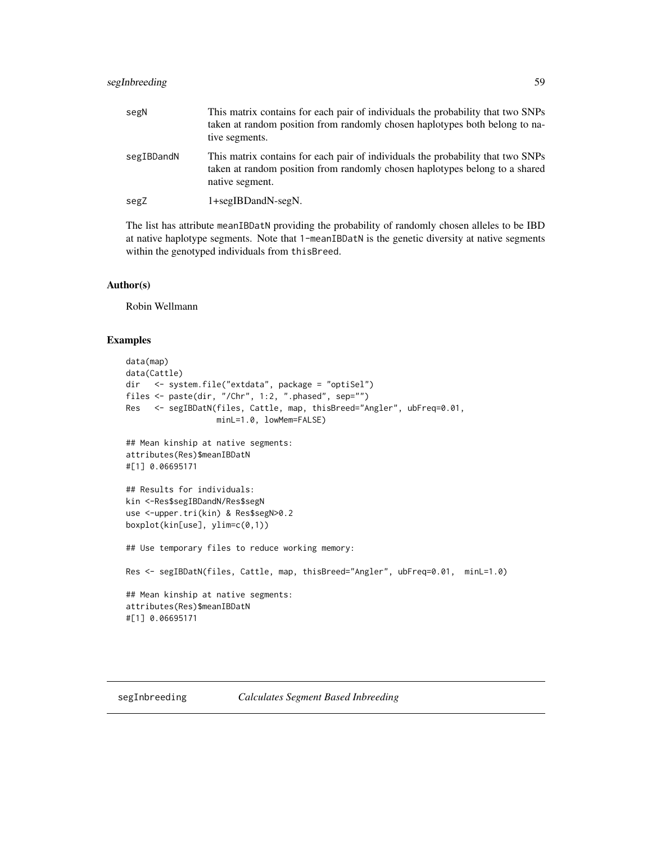## <span id="page-58-0"></span>segInbreeding 59

| segN       | This matrix contains for each pair of individuals the probability that two SNPs<br>taken at random position from randomly chosen haplotypes both belong to na-<br>tive segments.  |
|------------|-----------------------------------------------------------------------------------------------------------------------------------------------------------------------------------|
| segIBDandN | This matrix contains for each pair of individuals the probability that two SNPs<br>taken at random position from randomly chosen haplotypes belong to a shared<br>native segment. |
| segZ       | 1+segIBDandN-segN.                                                                                                                                                                |

The list has attribute meanIBDatN providing the probability of randomly chosen alleles to be IBD at native haplotype segments. Note that 1-meanIBDatN is the genetic diversity at native segments within the genotyped individuals from thisBreed.

## Author(s)

Robin Wellmann

```
data(map)
data(Cattle)
dir <- system.file("extdata", package = "optiSel")
files <- paste(dir, "/Chr", 1:2, ".phased", sep="")
Res <- segIBDatN(files, Cattle, map, thisBreed="Angler", ubFreq=0.01,
                  minL=1.0, lowMem=FALSE)
## Mean kinship at native segments:
attributes(Res)$meanIBDatN
#[1] 0.06695171
## Results for individuals:
kin <-Res$segIBDandN/Res$segN
use <-upper.tri(kin) & Res$segN>0.2
boxplot(kin[use], ylim=c(0,1))
## Use temporary files to reduce working memory:
Res <- segIBDatN(files, Cattle, map, thisBreed="Angler", ubFreq=0.01, minL=1.0)
## Mean kinship at native segments:
attributes(Res)$meanIBDatN
#[1] 0.06695171
```
<span id="page-58-1"></span>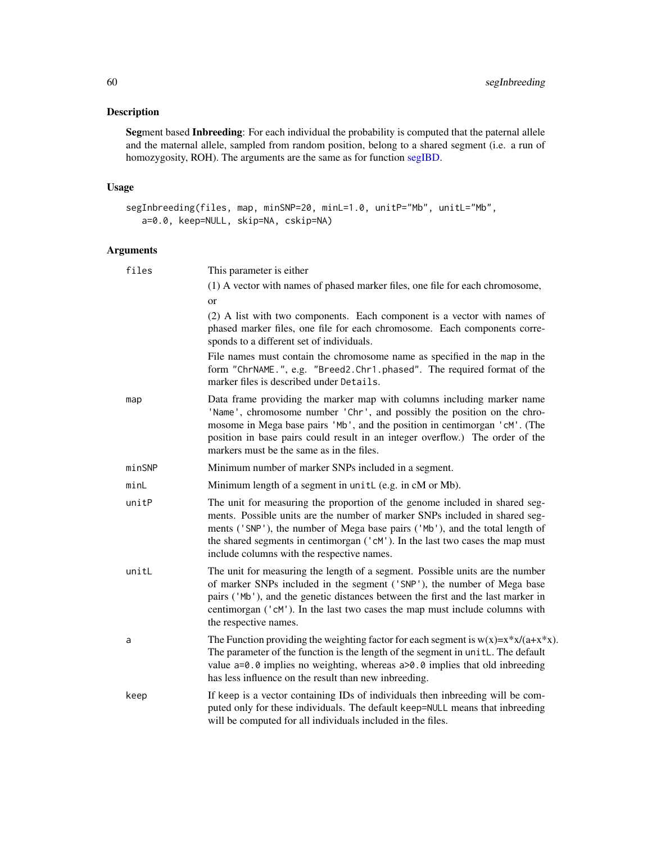## <span id="page-59-0"></span>Description

Segment based Inbreeding: For each individual the probability is computed that the paternal allele and the maternal allele, sampled from random position, belong to a shared segment (i.e. a run of homozygosity, ROH). The arguments are the same as for function [segIBD.](#page-51-1)

## Usage

```
segInbreeding(files, map, minSNP=20, minL=1.0, unitP="Mb", unitL="Mb",
  a=0.0, keep=NULL, skip=NA, cskip=NA)
```
## Arguments

| files  | This parameter is either                                                                                                                                                                                                                                                                                                                                                  |
|--------|---------------------------------------------------------------------------------------------------------------------------------------------------------------------------------------------------------------------------------------------------------------------------------------------------------------------------------------------------------------------------|
|        | (1) A vector with names of phased marker files, one file for each chromosome,                                                                                                                                                                                                                                                                                             |
|        | or                                                                                                                                                                                                                                                                                                                                                                        |
|        | (2) A list with two components. Each component is a vector with names of<br>phased marker files, one file for each chromosome. Each components corre-<br>sponds to a different set of individuals.                                                                                                                                                                        |
|        | File names must contain the chromosome name as specified in the map in the<br>form "ChrNAME.", e.g. "Breed2.Chr1.phased". The required format of the<br>marker files is described under Details.                                                                                                                                                                          |
| map    | Data frame providing the marker map with columns including marker name<br>'Name', chromosome number 'Chr', and possibly the position on the chro-<br>mosome in Mega base pairs 'Mb', and the position in centimorgan 'cM'. (The<br>position in base pairs could result in an integer overflow.) The order of the<br>markers must be the same as in the files.             |
| minSNP | Minimum number of marker SNPs included in a segment.                                                                                                                                                                                                                                                                                                                      |
| minL   | Minimum length of a segment in unitL (e.g. in cM or Mb).                                                                                                                                                                                                                                                                                                                  |
| unitP  | The unit for measuring the proportion of the genome included in shared seg-<br>ments. Possible units are the number of marker SNPs included in shared seg-<br>ments ('SNP'), the number of Mega base pairs ('Mb'), and the total length of<br>the shared segments in centimorgan ('cM'). In the last two cases the map must<br>include columns with the respective names. |
| unitL  | The unit for measuring the length of a segment. Possible units are the number<br>of marker SNPs included in the segment ('SNP'), the number of Mega base<br>pairs ('Mb'), and the genetic distances between the first and the last marker in<br>centimorgan ('cM'). In the last two cases the map must include columns with<br>the respective names.                      |
| a      | The Function providing the weighting factor for each segment is $w(x)=x*x/(a+x*x)$ .<br>The parameter of the function is the length of the segment in unitL. The default<br>value $a=0.0$ implies no weighting, whereas $a>0.0$ implies that old inbreeding<br>has less influence on the result than new inbreeding.                                                      |
| keep   | If keep is a vector containing IDs of individuals then inbreeding will be com-<br>puted only for these individuals. The default keep=NULL means that inbreeding<br>will be computed for all individuals included in the files.                                                                                                                                            |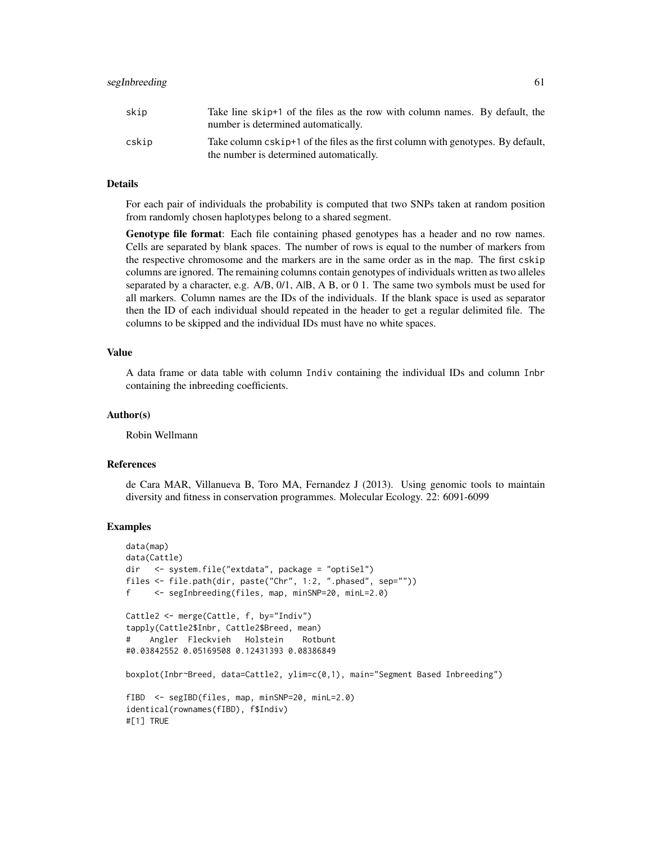| skip  | Take line skip+1 of the files as the row with column names. By default, the<br>number is determined automatically.          |
|-------|-----------------------------------------------------------------------------------------------------------------------------|
| cskip | Take column cskip+1 of the files as the first column with genotypes. By default,<br>the number is determined automatically. |

#### Details

For each pair of individuals the probability is computed that two SNPs taken at random position from randomly chosen haplotypes belong to a shared segment.

Genotype file format: Each file containing phased genotypes has a header and no row names. Cells are separated by blank spaces. The number of rows is equal to the number of markers from the respective chromosome and the markers are in the same order as in the map. The first cskip columns are ignored. The remaining columns contain genotypes of individuals written as two alleles separated by a character, e.g.  $A/B$ ,  $0/1$ ,  $A/B$ ,  $A$  B, or  $0$  1. The same two symbols must be used for all markers. Column names are the IDs of the individuals. If the blank space is used as separator then the ID of each individual should repeated in the header to get a regular delimited file. The columns to be skipped and the individual IDs must have no white spaces.

#### Value

A data frame or data table with column Indiv containing the individual IDs and column Inbr containing the inbreeding coefficients.

#### Author(s)

Robin Wellmann

#### References

de Cara MAR, Villanueva B, Toro MA, Fernandez J (2013). Using genomic tools to maintain diversity and fitness in conservation programmes. Molecular Ecology. 22: 6091-6099

```
data(map)
data(Cattle)
dir <- system.file("extdata", package = "optiSel")
files <- file.path(dir, paste("Chr", 1:2, ".phased", sep=""))
f <- segInbreeding(files, map, minSNP=20, minL=2.0)
Cattle2 <- merge(Cattle, f, by="Indiv")
tapply(Cattle2$Inbr, Cattle2$Breed, mean)
# Angler Fleckvieh Holstein Rotbunt
#0.03842552 0.05169508 0.12431393 0.08386849
boxplot(Inbr~Breed, data=Cattle2, ylim=c(0,1), main="Segment Based Inbreeding")
fIBD <- segIBD(files, map, minSNP=20, minL=2.0)
identical(rownames(fIBD), f$Indiv)
#[1] TRUE
```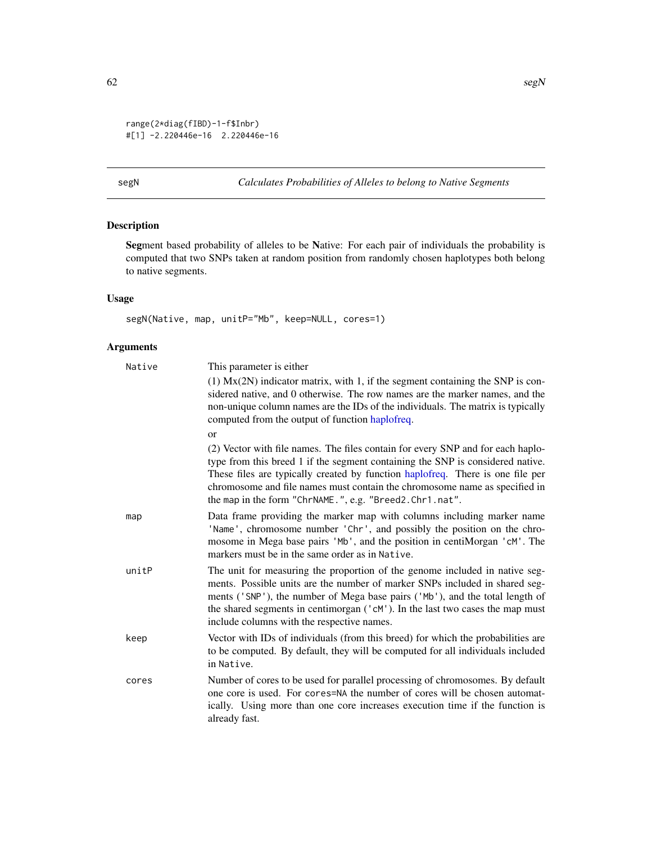```
range(2*diag(fIBD)-1-f$Inbr)
#[1] -2.220446e-16 2.220446e-16
```
<span id="page-61-1"></span>segN *Calculates Probabilities of Alleles to belong to Native Segments*

## Description

Segment based probability of alleles to be Native: For each pair of individuals the probability is computed that two SNPs taken at random position from randomly chosen haplotypes both belong to native segments.

## Usage

segN(Native, map, unitP="Mb", keep=NULL, cores=1)

## Arguments

| Native | This parameter is either                                                                                                                                                                                                                                                                                                                                                                     |
|--------|----------------------------------------------------------------------------------------------------------------------------------------------------------------------------------------------------------------------------------------------------------------------------------------------------------------------------------------------------------------------------------------------|
|        | $(1)$ Mx $(2N)$ indicator matrix, with 1, if the segment containing the SNP is con-<br>sidered native, and 0 otherwise. The row names are the marker names, and the<br>non-unique column names are the IDs of the individuals. The matrix is typically<br>computed from the output of function haplofreq.                                                                                    |
|        | <sub>or</sub>                                                                                                                                                                                                                                                                                                                                                                                |
|        | (2) Vector with file names. The files contain for every SNP and for each haplo-<br>type from this breed 1 if the segment containing the SNP is considered native.<br>These files are typically created by function haplofreq. There is one file per<br>chromosome and file names must contain the chromosome name as specified in<br>the map in the form "ChrNAME.", e.g. "Breed2.Chr1.nat". |
| map    | Data frame providing the marker map with columns including marker name<br>'Name', chromosome number 'Chr', and possibly the position on the chro-<br>mosome in Mega base pairs 'Mb', and the position in centiMorgan 'cM'. The<br>markers must be in the same order as in Native.                                                                                                            |
| unitP  | The unit for measuring the proportion of the genome included in native seg-<br>ments. Possible units are the number of marker SNPs included in shared seg-<br>ments ('SNP'), the number of Mega base pairs ('Mb'), and the total length of<br>the shared segments in centimorgan ('cM'). In the last two cases the map must<br>include columns with the respective names.                    |
| keep   | Vector with IDs of individuals (from this breed) for which the probabilities are<br>to be computed. By default, they will be computed for all individuals included<br>in Native.                                                                                                                                                                                                             |
| cores  | Number of cores to be used for parallel processing of chromosomes. By default<br>one core is used. For cores=NA the number of cores will be chosen automat-<br>ically. Using more than one core increases execution time if the function is<br>already fast.                                                                                                                                 |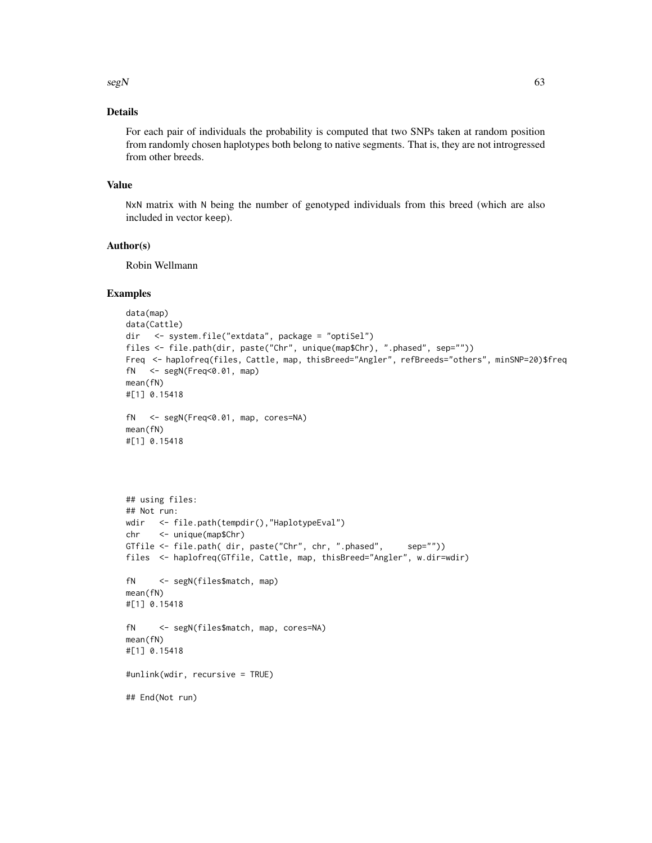$\text{segN}$  63

## Details

For each pair of individuals the probability is computed that two SNPs taken at random position from randomly chosen haplotypes both belong to native segments. That is, they are not introgressed from other breeds.

## Value

NxN matrix with N being the number of genotyped individuals from this breed (which are also included in vector keep).

## Author(s)

Robin Wellmann

## Examples

```
data(map)
data(Cattle)
dir <- system.file("extdata", package = "optiSel")
files <- file.path(dir, paste("Chr", unique(map$Chr), ".phased", sep=""))
Freq <- haplofreq(files, Cattle, map, thisBreed="Angler", refBreeds="others", minSNP=20)$freq
fN <- segN(Freq<0.01, map)
mean(fN)
#[1] 0.15418
fN <- segN(Freq<0.01, map, cores=NA)
mean(fN)
#[1] 0.15418
## using files:
## Not run:
wdir <- file.path(tempdir(),"HaplotypeEval")
chr <- unique(map$Chr)
GTfile <- file.path( dir, paste("Chr", chr, ".phased", sep=""))
files <- haplofreq(GTfile, Cattle, map, thisBreed="Angler", w.dir=wdir)
fN <- segN(files$match, map)
mean(fN)
#[1] 0.15418
fN <- segN(files$match, map, cores=NA)
mean(fN)
#[1] 0.15418
```
#unlink(wdir, recursive = TRUE)

## End(Not run)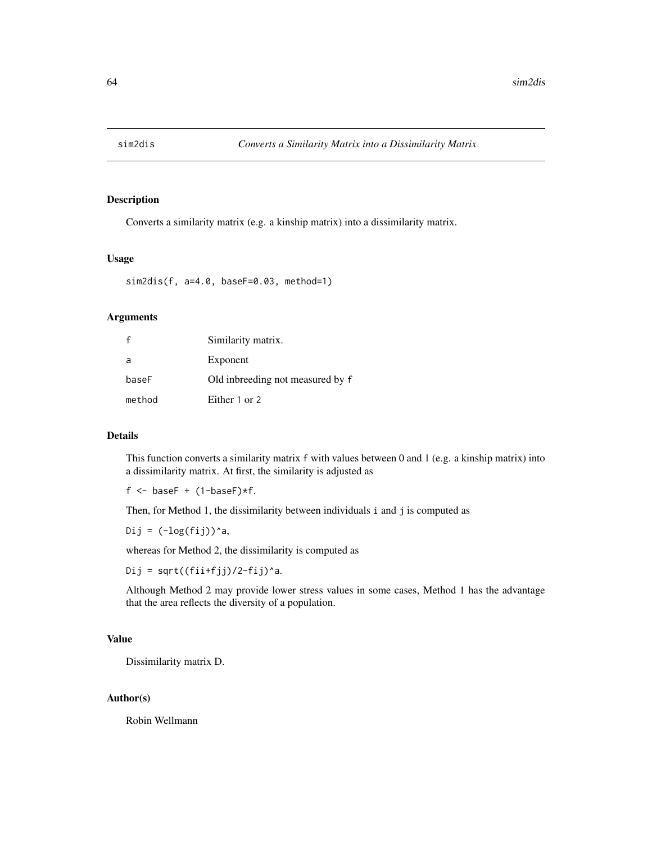<span id="page-63-1"></span><span id="page-63-0"></span>

## Description

Converts a similarity matrix (e.g. a kinship matrix) into a dissimilarity matrix.

## Usage

sim2dis(f, a=4.0, baseF=0.03, method=1)

## Arguments

|        | Similarity matrix.               |
|--------|----------------------------------|
| a      | Exponent                         |
| baseF  | Old inbreeding not measured by f |
| method | Either 1 or 2                    |

## Details

This function converts a similarity matrix f with values between 0 and 1 (e.g. a kinship matrix) into a dissimilarity matrix. At first, the similarity is adjusted as

 $f \leftarrow$  baseF +  $(1-\text{baseF}) \star f$ .

Then, for Method 1, the dissimilarity between individuals i and j is computed as

Dij =  $(\text{-log}(\text{fij}))^a$ a,

whereas for Method 2, the dissimilarity is computed as

Dij = sqrt $((fii+fjj)/2-fij)^a$ a.

Although Method 2 may provide lower stress values in some cases, Method 1 has the advantage that the area reflects the diversity of a population.

## Value

Dissimilarity matrix D.

## Author(s)

Robin Wellmann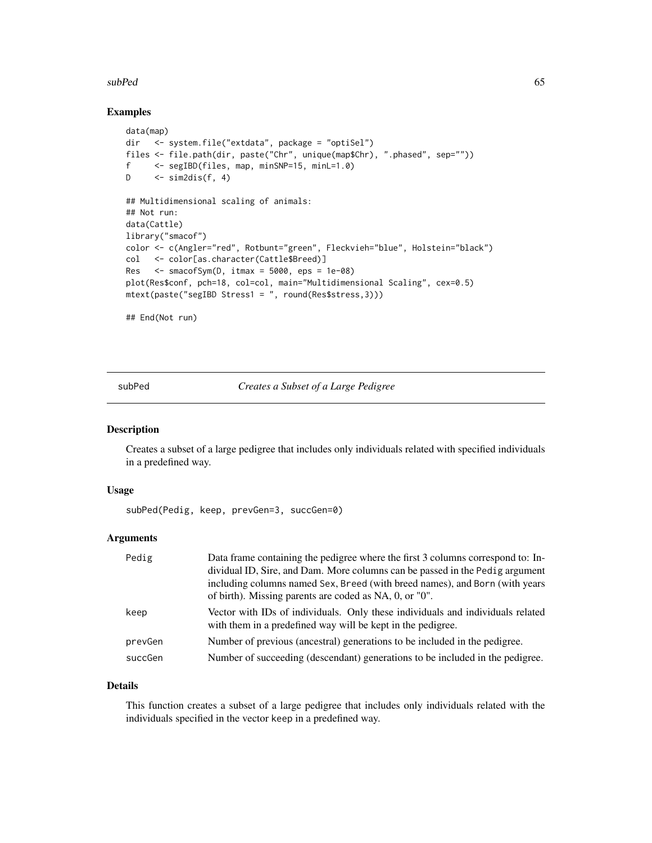#### <span id="page-64-0"></span>subPed 65

## Examples

```
data(map)
dir <- system.file("extdata", package = "optiSel")
files <- file.path(dir, paste("Chr", unique(map$Chr), ".phased", sep=""))
f <- segIBD(files, map, minSNP=15, minL=1.0)
D \le - sim2dis(f, 4)
## Multidimensional scaling of animals:
## Not run:
data(Cattle)
library("smacof")
color <- c(Angler="red", Rotbunt="green", Fleckvieh="blue", Holstein="black")
col <- color[as.character(Cattle$Breed)]
Res \leq smacofSym(D, itmax = 5000, eps = 1e-08)
plot(Res$conf, pch=18, col=col, main="Multidimensional Scaling", cex=0.5)
mtext(paste("segIBD Stress1 = ", round(Res$stress,3)))
```
## End(Not run)

<span id="page-64-1"></span>subPed *Creates a Subset of a Large Pedigree*

#### Description

Creates a subset of a large pedigree that includes only individuals related with specified individuals in a predefined way.

#### Usage

subPed(Pedig, keep, prevGen=3, succGen=0)

## Arguments

| Pedig   | Data frame containing the pedigree where the first 3 columns correspond to: In-<br>dividual ID, Sire, and Dam. More columns can be passed in the Pedig argument<br>including columns named Sex, Breed (with breed names), and Born (with years |
|---------|------------------------------------------------------------------------------------------------------------------------------------------------------------------------------------------------------------------------------------------------|
|         | of birth). Missing parents are coded as NA, 0, or "0".                                                                                                                                                                                         |
| keep    | Vector with IDs of individuals. Only these individuals and individuals related<br>with them in a predefined way will be kept in the pedigree.                                                                                                  |
| prevGen | Number of previous (ancestral) generations to be included in the pedigree.                                                                                                                                                                     |
| succGen | Number of succeeding (descendant) generations to be included in the pedigree.                                                                                                                                                                  |

## Details

This function creates a subset of a large pedigree that includes only individuals related with the individuals specified in the vector keep in a predefined way.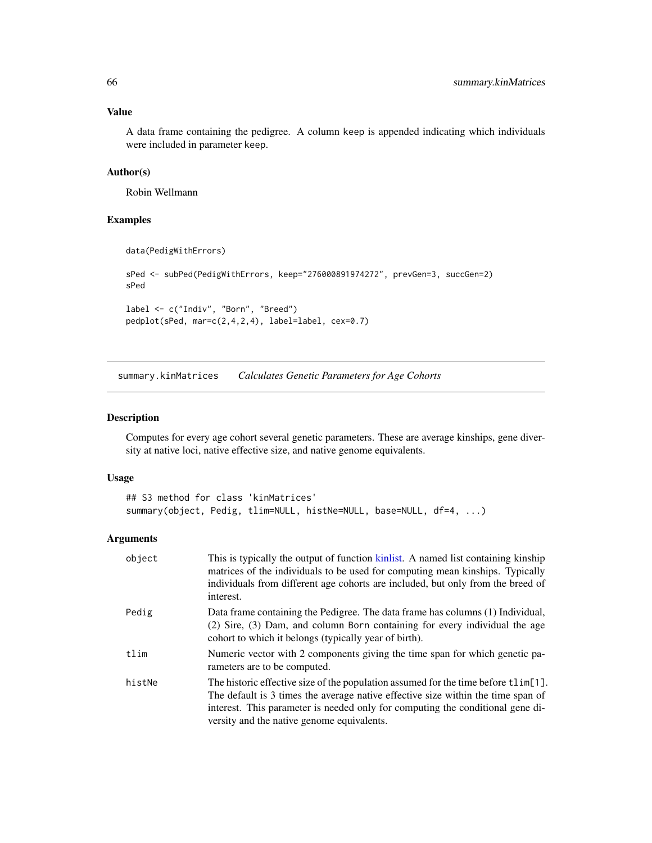## <span id="page-65-0"></span>Value

A data frame containing the pedigree. A column keep is appended indicating which individuals were included in parameter keep.

## Author(s)

Robin Wellmann

## Examples

```
data(PedigWithErrors)
sPed <- subPed(PedigWithErrors, keep="276000891974272", prevGen=3, succGen=2)
sPed
label <- c("Indiv", "Born", "Breed")
pedplot(sPed, mar=c(2,4,2,4), label=label, cex=0.7)
```
<span id="page-65-1"></span>summary.kinMatrices *Calculates Genetic Parameters for Age Cohorts*

## Description

Computes for every age cohort several genetic parameters. These are average kinships, gene diversity at native loci, native effective size, and native genome equivalents.

#### Usage

```
## S3 method for class 'kinMatrices'
summary(object, Pedig, tlim=NULL, histNe=NULL, base=NULL, df=4, ...)
```
## Arguments

| object | This is typically the output of function kinlist. A named list containing kinship<br>matrices of the individuals to be used for computing mean kinships. Typically<br>individuals from different age cohorts are included, but only from the breed of<br>interest.                                     |
|--------|--------------------------------------------------------------------------------------------------------------------------------------------------------------------------------------------------------------------------------------------------------------------------------------------------------|
| Pedig  | Data frame containing the Pedigree. The data frame has columns (1) Individual,<br>(2) Sire, (3) Dam, and column Born containing for every individual the age<br>cohort to which it belongs (typically year of birth).                                                                                  |
| tlim   | Numeric vector with 2 components giving the time span for which genetic pa-<br>rameters are to be computed.                                                                                                                                                                                            |
| histNe | The historic effective size of the population assumed for the time before tlim[1].<br>The default is 3 times the average native effective size within the time span of<br>interest. This parameter is needed only for computing the conditional gene di-<br>versity and the native genome equivalents. |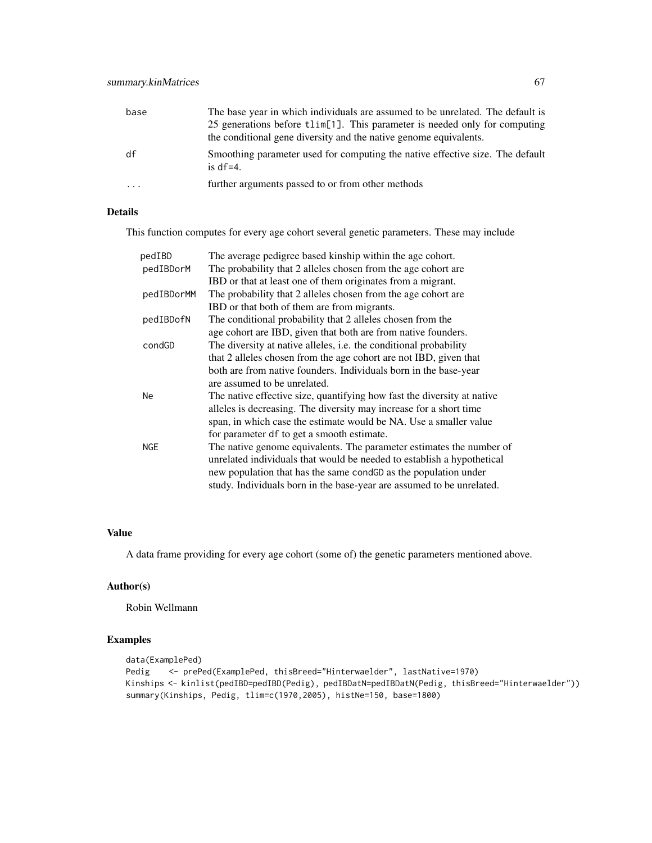| base | The base year in which individuals are assumed to be unrelated. The default is               |
|------|----------------------------------------------------------------------------------------------|
|      | 25 generations before tlim[1]. This parameter is needed only for computing                   |
|      | the conditional gene diversity and the native genome equivalents.                            |
| df   | Smoothing parameter used for computing the native effective size. The default<br>is $df=4$ . |
| .    | further arguments passed to or from other methods                                            |

## Details

This function computes for every age cohort several genetic parameters. These may include

| pedIBD     | The average pedigree based kinship within the age cohort.                |
|------------|--------------------------------------------------------------------------|
| pedIBDorM  | The probability that 2 alleles chosen from the age cohort are            |
|            | IBD or that at least one of them originates from a migrant.              |
| pedIBDorMM | The probability that 2 alleles chosen from the age cohort are            |
|            | IBD or that both of them are from migrants.                              |
| pedIBDofN  | The conditional probability that 2 alleles chosen from the               |
|            | age cohort are IBD, given that both are from native founders.            |
| condGD     | The diversity at native alleles, <i>i.e.</i> the conditional probability |
|            | that 2 alleles chosen from the age cohort are not IBD, given that        |
|            | both are from native founders. Individuals born in the base-year         |
|            | are assumed to be unrelated.                                             |
| Ne         | The native effective size, quantifying how fast the diversity at native  |
|            | alleles is decreasing. The diversity may increase for a short time       |
|            | span, in which case the estimate would be NA. Use a smaller value        |
|            | for parameter df to get a smooth estimate.                               |
| <b>NGE</b> | The native genome equivalents. The parameter estimates the number of     |
|            | unrelated individuals that would be needed to establish a hypothetical   |
|            | new population that has the same condGD as the population under          |
|            | study. Individuals born in the base-year are assumed to be unrelated.    |

## Value

A data frame providing for every age cohort (some of) the genetic parameters mentioned above.

## Author(s)

Robin Wellmann

```
data(ExamplePed)
Pedig <- prePed(ExamplePed, thisBreed="Hinterwaelder", lastNative=1970)
Kinships <- kinlist(pedIBD=pedIBD(Pedig), pedIBDatN=pedIBDatN(Pedig, thisBreed="Hinterwaelder"))
summary(Kinships, Pedig, tlim=c(1970,2005), histNe=150, base=1800)
```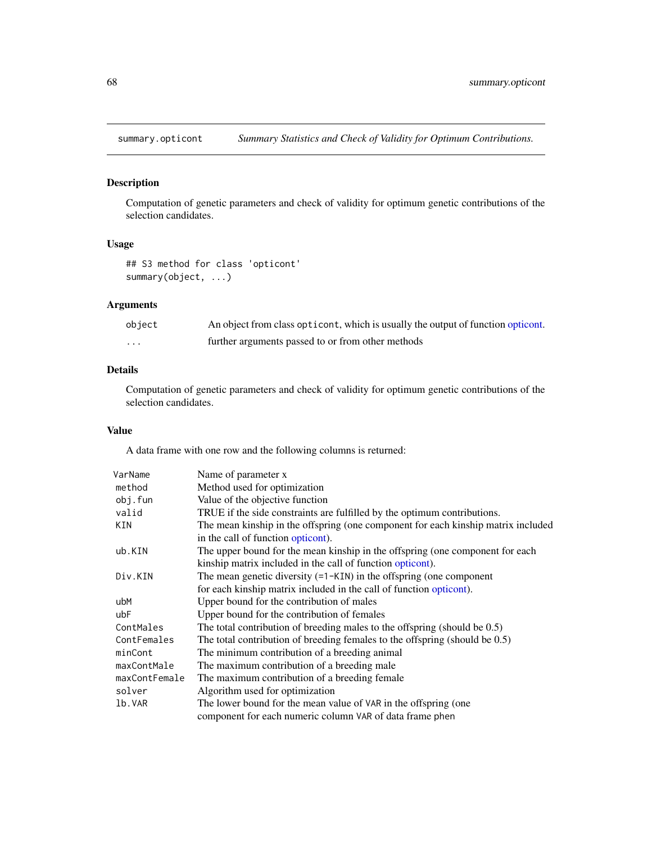<span id="page-67-1"></span><span id="page-67-0"></span>

## Description

Computation of genetic parameters and check of validity for optimum genetic contributions of the selection candidates.

#### Usage

## S3 method for class 'opticont' summary(object, ...)

## Arguments

| object | An object from class opticont, which is usually the output of function opticont. |
|--------|----------------------------------------------------------------------------------|
| .      | further arguments passed to or from other methods                                |

## Details

Computation of genetic parameters and check of validity for optimum genetic contributions of the selection candidates.

## Value

A data frame with one row and the following columns is returned:

| VarName       | Name of parameter x                                                               |
|---------------|-----------------------------------------------------------------------------------|
| method        | Method used for optimization                                                      |
| obj.fun       | Value of the objective function                                                   |
| valid         | TRUE if the side constraints are fulfilled by the optimum contributions.          |
| KIN           | The mean kinship in the offspring (one component for each kinship matrix included |
|               | in the call of function opticont).                                                |
| ub.KIN        | The upper bound for the mean kinship in the offspring (one component for each     |
|               | kinship matrix included in the call of function opticont).                        |
| Div.KIN       | The mean genetic diversity $(=1 - KIN)$ in the offspring (one component           |
|               | for each kinship matrix included in the call of function opticont).               |
| ubM           | Upper bound for the contribution of males                                         |
| ubF           | Upper bound for the contribution of females                                       |
| ContMales     | The total contribution of breeding males to the offspring (should be $0.5$ )      |
| ContFemales   | The total contribution of breeding females to the offspring (should be $0.5$ )    |
| minCont       | The minimum contribution of a breeding animal                                     |
| maxContMale   | The maximum contribution of a breeding male.                                      |
| maxContFemale | The maximum contribution of a breeding female                                     |
| solver        | Algorithm used for optimization                                                   |
| 1b.VAR        | The lower bound for the mean value of VAR in the offspring (one                   |
|               | component for each numeric column VAR of data frame phen                          |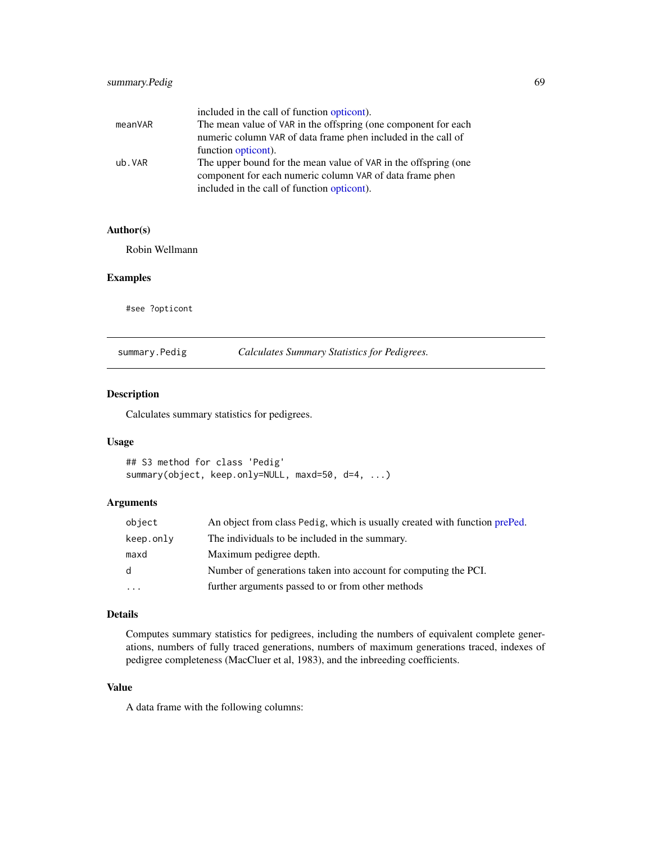<span id="page-68-0"></span>

|         | included in the call of function opticont).                     |
|---------|-----------------------------------------------------------------|
| meanVAR | The mean value of VAR in the offspring (one component for each  |
|         | numeric column VAR of data frame phen included in the call of   |
|         | function opticont).                                             |
| ub.VAR  | The upper bound for the mean value of VAR in the offspring (one |
|         | component for each numeric column VAR of data frame phen        |
|         | included in the call of function opticont).                     |

## Author(s)

Robin Wellmann

#### Examples

#see ?opticont

<span id="page-68-1"></span>summary.Pedig *Calculates Summary Statistics for Pedigrees.*

## Description

Calculates summary statistics for pedigrees.

## Usage

```
## S3 method for class 'Pedig'
summary(object, keep.only=NULL, maxd=50, d=4, ...)
```
## Arguments

| object       | An object from class Pedig, which is usually created with function prePed. |
|--------------|----------------------------------------------------------------------------|
| keep.only    | The individuals to be included in the summary.                             |
| maxd         | Maximum pedigree depth.                                                    |
| <sub>d</sub> | Number of generations taken into account for computing the PCI.            |
| $\cdots$     | further arguments passed to or from other methods                          |

## Details

Computes summary statistics for pedigrees, including the numbers of equivalent complete generations, numbers of fully traced generations, numbers of maximum generations traced, indexes of pedigree completeness (MacCluer et al, 1983), and the inbreeding coefficients.

#### Value

A data frame with the following columns: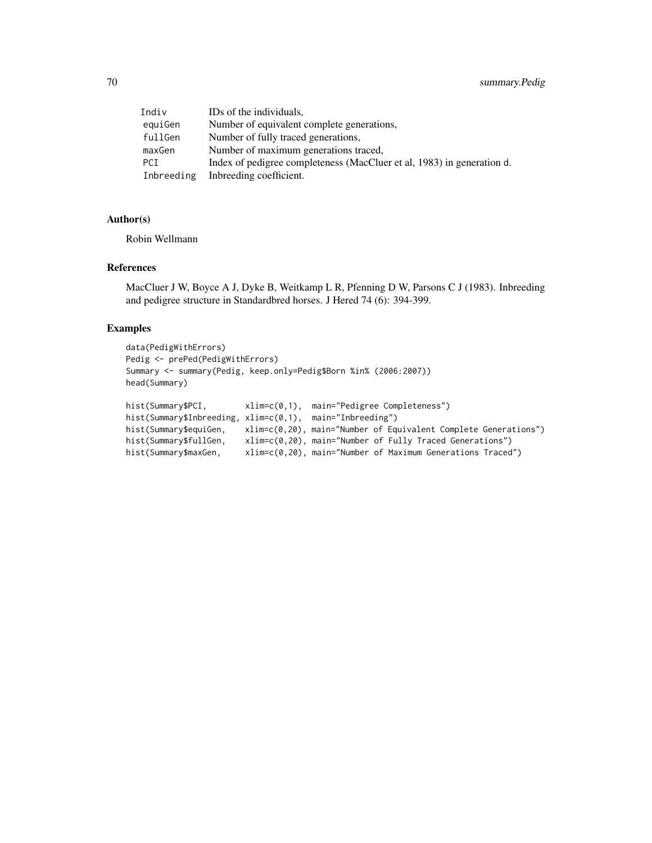| Indiv      | IDs of the individuals,                                                |
|------------|------------------------------------------------------------------------|
| equiGen    | Number of equivalent complete generations,                             |
| fullGen    | Number of fully traced generations,                                    |
| maxGen     | Number of maximum generations traced,                                  |
| <b>PCI</b> | Index of pedigree completeness (MacCluer et al, 1983) in generation d. |
| Inbreeding | Inbreeding coefficient.                                                |

#### Author(s)

Robin Wellmann

#### References

MacCluer J W, Boyce A J, Dyke B, Weitkamp L R, Pfenning D W, Parsons C J (1983). Inbreeding and pedigree structure in Standardbred horses. J Hered 74 (6): 394-399.

```
data(PedigWithErrors)
Pedig <- prePed(PedigWithErrors)
Summary <- summary(Pedig, keep.only=Pedig$Born %in% (2006:2007))
head(Summary)
hist(Summary$PCI, xlim=c(0,1), main="Pedigree Completeness")
hist(Summary$Inbreeding, xlim=c(0,1), main="Inbreeding")
hist(Summary$equiGen, xlim=c(0,20), main="Number of Equivalent Complete Generations")
hist(Summary$fullGen, xlim=c(0,20), main="Number of Fully Traced Generations")
hist(Summary$maxGen, xlim=c(0,20), main="Number of Maximum Generations Traced")
```